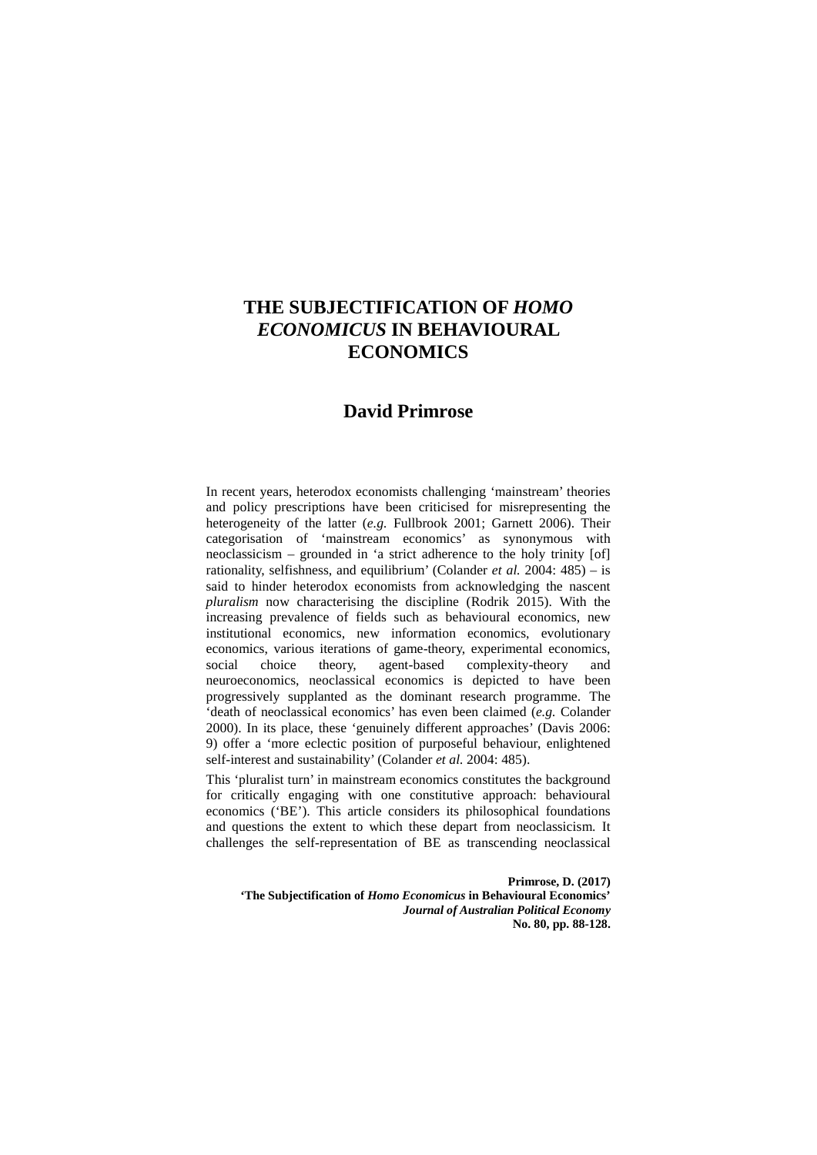# **THE SUBJECTIFICATION OF** *HOMO ECONOMICUS* **IN BEHAVIOURAL ECONOMICS**

## **David Primrose**

In recent years, heterodox economists challenging 'mainstream' theories and policy prescriptions have been criticised for misrepresenting the heterogeneity of the latter (*e.g.* Fullbrook 2001; Garnett 2006). Their categorisation of 'mainstream economics' as synonymous with neoclassicism – grounded in 'a strict adherence to the holy trinity [of] rationality, selfishness, and equilibrium' (Colander *et al.* 2004: 485) – is said to hinder heterodox economists from acknowledging the nascent *pluralism* now characterising the discipline (Rodrik 2015). With the increasing prevalence of fields such as behavioural economics, new institutional economics, new information economics, evolutionary economics, various iterations of game-theory, experimental economics, social choice theory, agent-based complexity-theory and neuroeconomics, neoclassical economics is depicted to have been progressively supplanted as the dominant research programme. The 'death of neoclassical economics' has even been claimed (*e.g.* Colander 2000). In its place, these 'genuinely different approaches' (Davis 2006: 9) offer a 'more eclectic position of purposeful behaviour, enlightened self-interest and sustainability' (Colander *et al.* 2004: 485).

This 'pluralist turn' in mainstream economics constitutes the background for critically engaging with one constitutive approach: behavioural economics ('BE'). This article considers its philosophical foundations and questions the extent to which these depart from neoclassicism. It challenges the self-representation of BE as transcending neoclassical

**Primrose, D. (2017) 'The Subjectification of** *Homo Economicus* **in Behavioural Economics'**  *Journal of Australian Political Economy* **No. 80, pp. 88-128.**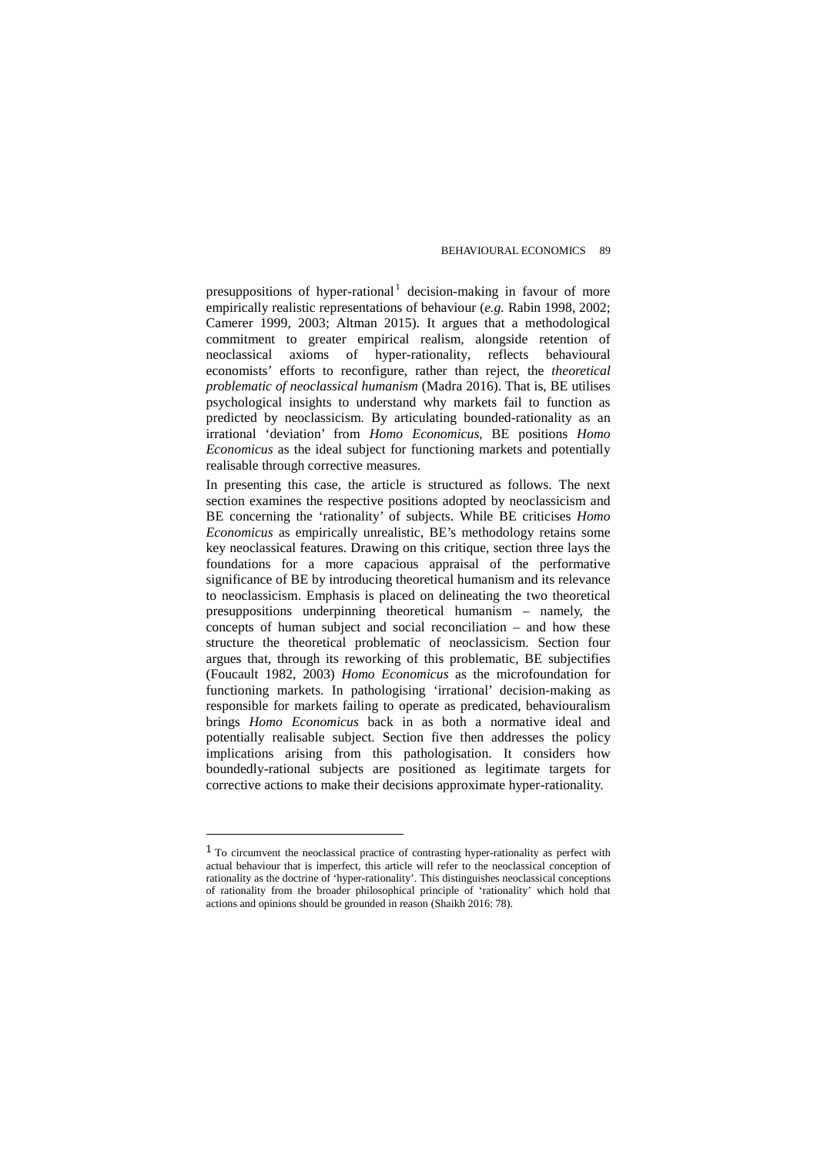presuppositions of hyper-rational<sup>[1](#page-1-0)</sup> decision-making in favour of more empirically realistic representations of behaviour (*e.g.* Rabin 1998, 2002; Camerer 1999, 2003; Altman 2015). It argues that a methodological commitment to greater empirical realism, alongside retention of neoclassical axioms of hyper-rationality, reflects behavioural economists' efforts to reconfigure, rather than reject, the *theoretical problematic of neoclassical humanism* (Madra 2016). That is, BE utilises psychological insights to understand why markets fail to function as predicted by neoclassicism. By articulating bounded-rationality as an irrational 'deviation' from *Homo Economicus*, BE positions *Homo Economicus* as the ideal subject for functioning markets and potentially realisable through corrective measures.

In presenting this case, the article is structured as follows. The next section examines the respective positions adopted by neoclassicism and BE concerning the 'rationality' of subjects. While BE criticises *Homo Economicus* as empirically unrealistic, BE's methodology retains some key neoclassical features. Drawing on this critique, section three lays the foundations for a more capacious appraisal of the performative significance of BE by introducing theoretical humanism and its relevance to neoclassicism. Emphasis is placed on delineating the two theoretical presuppositions underpinning theoretical humanism – namely, the concepts of human subject and social reconciliation – and how these structure the theoretical problematic of neoclassicism. Section four argues that, through its reworking of this problematic, BE subjectifies (Foucault 1982, 2003) *Homo Economicus* as the microfoundation for functioning markets. In pathologising 'irrational' decision-making as responsible for markets failing to operate as predicated, behaviouralism brings *Homo Economicus* back in as both a normative ideal and potentially realisable subject. Section five then addresses the policy implications arising from this pathologisation. It considers how boundedly-rational subjects are positioned as legitimate targets for corrective actions to make their decisions approximate hyper-rationality.

 $\overline{a}$ 

<span id="page-1-0"></span><sup>1</sup> To circumvent the neoclassical practice of contrasting hyper-rationality as perfect with actual behaviour that is imperfect, this article will refer to the neoclassical conception of rationality as the doctrine of 'hyper-rationality'. This distinguishes neoclassical conceptions of rationality from the broader philosophical principle of 'rationality' which hold that actions and opinions should be grounded in reason (Shaikh 2016: 78).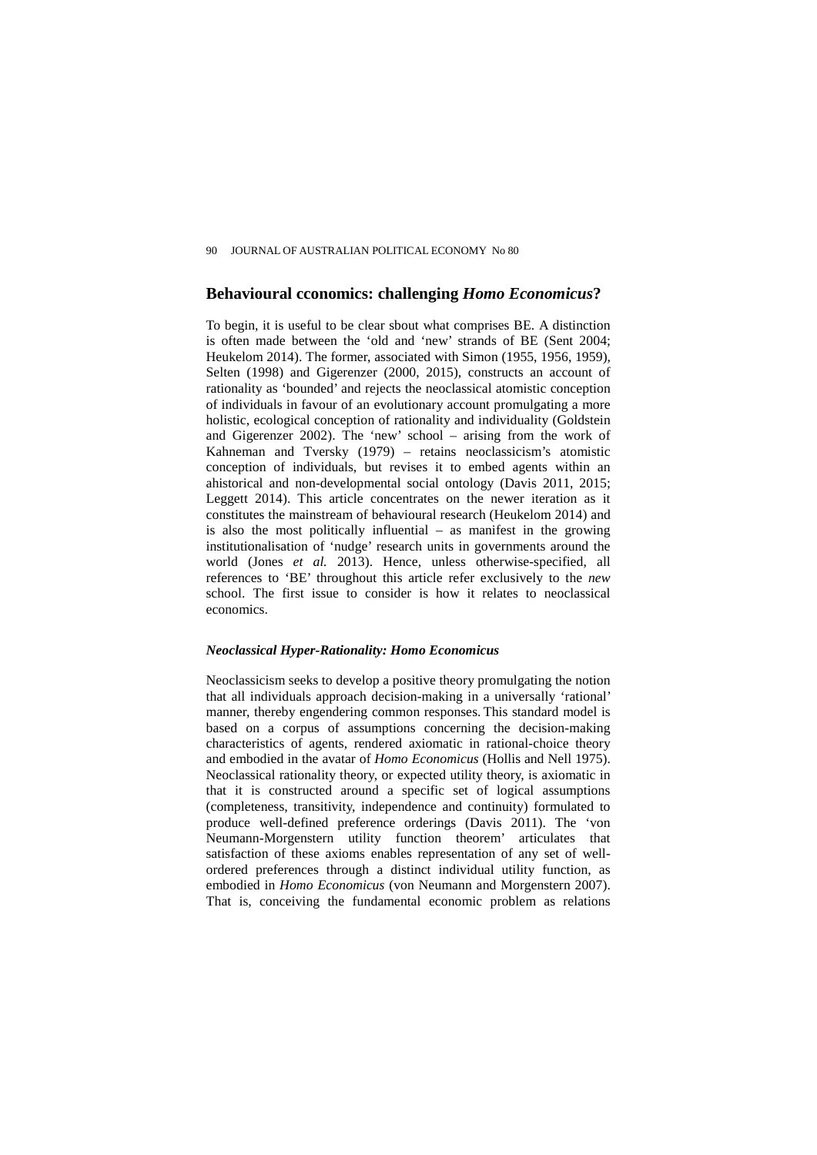## **Behavioural cconomics: challenging** *Homo Economicus***?**

To begin, it is useful to be clear sbout what comprises BE. A distinction is often made between the 'old and 'new' strands of BE (Sent 2004; Heukelom 2014). The former, associated with Simon (1955, 1956, 1959), Selten (1998) and Gigerenzer (2000, 2015), constructs an account of rationality as 'bounded' and rejects the neoclassical atomistic conception of individuals in favour of an evolutionary account promulgating a more holistic, ecological conception of rationality and individuality (Goldstein and Gigerenzer 2002). The 'new' school – arising from the work of Kahneman and Tversky (1979) – retains neoclassicism's atomistic conception of individuals, but revises it to embed agents within an ahistorical and non-developmental social ontology (Davis 2011, 2015; Leggett 2014). This article concentrates on the newer iteration as it constitutes the mainstream of behavioural research (Heukelom 2014) and is also the most politically influential – as manifest in the growing institutionalisation of 'nudge' research units in governments around the world (Jones *et al.* 2013). Hence, unless otherwise-specified, all references to 'BE' throughout this article refer exclusively to the *new* school. The first issue to consider is how it relates to neoclassical economics.

#### *Neoclassical Hyper-Rationality: Homo Economicus*

Neoclassicism seeks to develop a positive theory promulgating the notion that all individuals approach decision-making in a universally 'rational' manner, thereby engendering common responses. This standard model is based on a corpus of assumptions concerning the decision-making characteristics of agents, rendered axiomatic in rational-choice theory and embodied in the avatar of *Homo Economicus* (Hollis and Nell 1975). Neoclassical rationality theory, or expected utility theory, is axiomatic in that it is constructed around a specific set of logical assumptions (completeness, transitivity, independence and continuity) formulated to produce well-defined preference orderings (Davis 2011). The 'von Neumann-Morgenstern utility function theorem' articulates that satisfaction of these axioms enables representation of any set of wellordered preferences through a distinct individual utility function, as embodied in *Homo Economicus* (von Neumann and Morgenstern 2007). That is, conceiving the fundamental economic problem as relations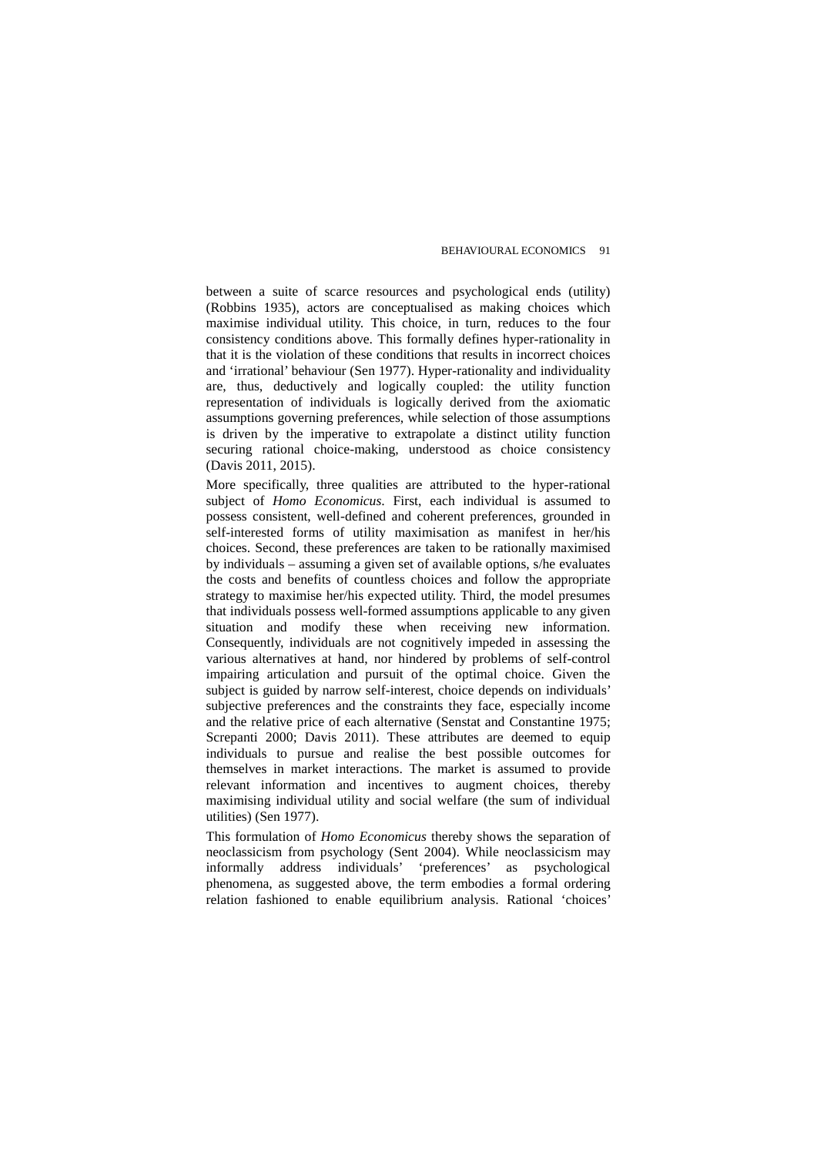between a suite of scarce resources and psychological ends (utility) (Robbins 1935), actors are conceptualised as making choices which maximise individual utility. This choice, in turn, reduces to the four consistency conditions above. This formally defines hyper-rationality in that it is the violation of these conditions that results in incorrect choices and 'irrational' behaviour (Sen 1977). Hyper-rationality and individuality are, thus, deductively and logically coupled: the utility function representation of individuals is logically derived from the axiomatic assumptions governing preferences, while selection of those assumptions is driven by the imperative to extrapolate a distinct utility function securing rational choice-making, understood as choice consistency (Davis 2011, 2015).

More specifically, three qualities are attributed to the hyper-rational subject of *Homo Economicus*. First, each individual is assumed to possess consistent, well-defined and coherent preferences, grounded in self-interested forms of utility maximisation as manifest in her/his choices. Second, these preferences are taken to be rationally maximised by individuals – assuming a given set of available options, s/he evaluates the costs and benefits of countless choices and follow the appropriate strategy to maximise her/his expected utility. Third, the model presumes that individuals possess well-formed assumptions applicable to any given situation and modify these when receiving new information. Consequently, individuals are not cognitively impeded in assessing the various alternatives at hand, nor hindered by problems of self-control impairing articulation and pursuit of the optimal choice. Given the subject is guided by narrow self-interest, choice depends on individuals' subjective preferences and the constraints they face, especially income and the relative price of each alternative (Senstat and Constantine 1975; Screpanti 2000; Davis 2011). These attributes are deemed to equip individuals to pursue and realise the best possible outcomes for themselves in market interactions. The market is assumed to provide relevant information and incentives to augment choices, thereby maximising individual utility and social welfare (the sum of individual utilities) (Sen 1977).

This formulation of *Homo Economicus* thereby shows the separation of neoclassicism from psychology (Sent 2004). While neoclassicism may informally address individuals' 'preferences' as psychological phenomena, as suggested above, the term embodies a formal ordering relation fashioned to enable equilibrium analysis. Rational 'choices'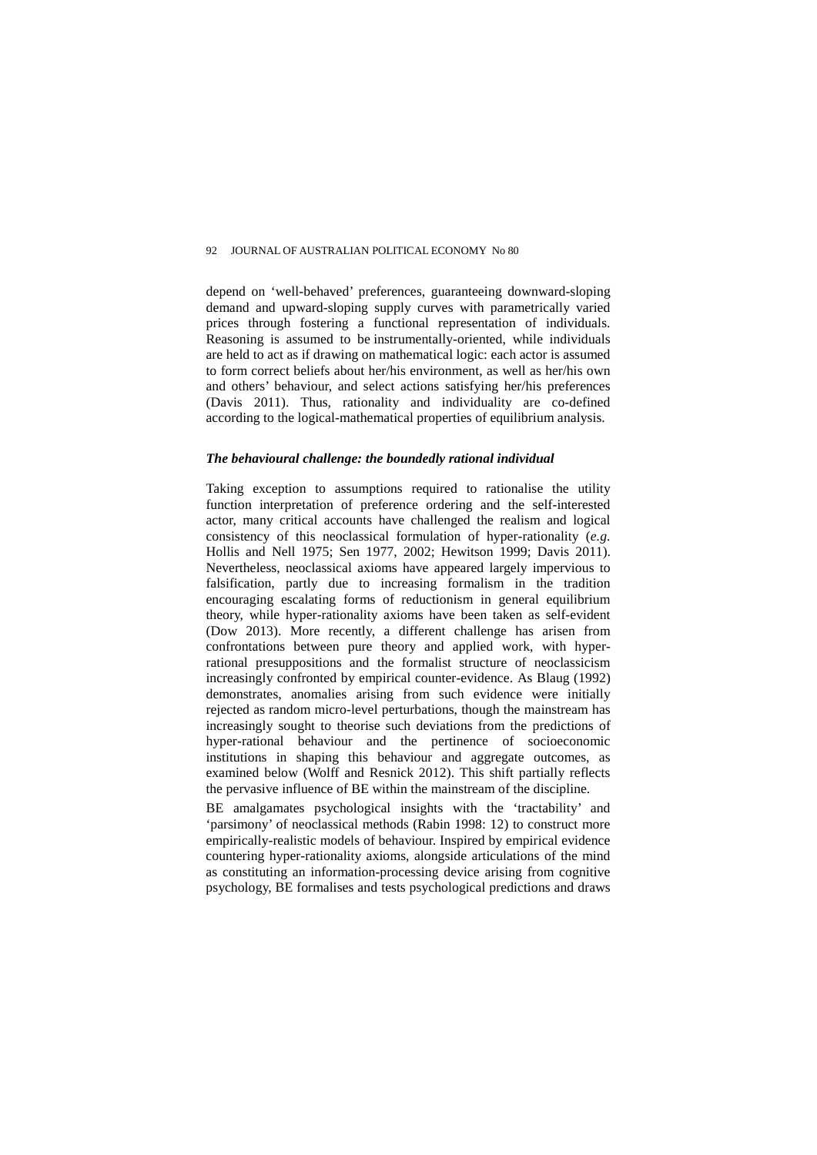depend on 'well-behaved' preferences, guaranteeing downward-sloping demand and upward-sloping supply curves with parametrically varied prices through fostering a functional representation of individuals. Reasoning is assumed to be instrumentally-oriented, while individuals are held to act as if drawing on mathematical logic: each actor is assumed to form correct beliefs about her/his environment, as well as her/his own and others' behaviour, and select actions satisfying her/his preferences (Davis 2011). Thus, rationality and individuality are co-defined according to the logical-mathematical properties of equilibrium analysis.

#### *The behavioural challenge: the boundedly rational individual*

Taking exception to assumptions required to rationalise the utility function interpretation of preference ordering and the self-interested actor, many critical accounts have challenged the realism and logical consistency of this neoclassical formulation of hyper-rationality (*e.g.* Hollis and Nell 1975; Sen 1977, 2002; Hewitson 1999; Davis 2011). Nevertheless, neoclassical axioms have appeared largely impervious to falsification, partly due to increasing formalism in the tradition encouraging escalating forms of reductionism in general equilibrium theory, while hyper-rationality axioms have been taken as self-evident (Dow 2013). More recently, a different challenge has arisen from confrontations between pure theory and applied work, with hyperrational presuppositions and the formalist structure of neoclassicism increasingly confronted by empirical counter-evidence. As Blaug (1992) demonstrates, anomalies arising from such evidence were initially rejected as random micro-level perturbations, though the mainstream has increasingly sought to theorise such deviations from the predictions of hyper-rational behaviour and the pertinence of socioeconomic institutions in shaping this behaviour and aggregate outcomes, as examined below (Wolff and Resnick 2012). This shift partially reflects the pervasive influence of BE within the mainstream of the discipline.

BE amalgamates psychological insights with the 'tractability' and 'parsimony' of neoclassical methods (Rabin 1998: 12) to construct more empirically-realistic models of behaviour. Inspired by empirical evidence countering hyper-rationality axioms, alongside articulations of the mind as constituting an information-processing device arising from cognitive psychology, BE formalises and tests psychological predictions and draws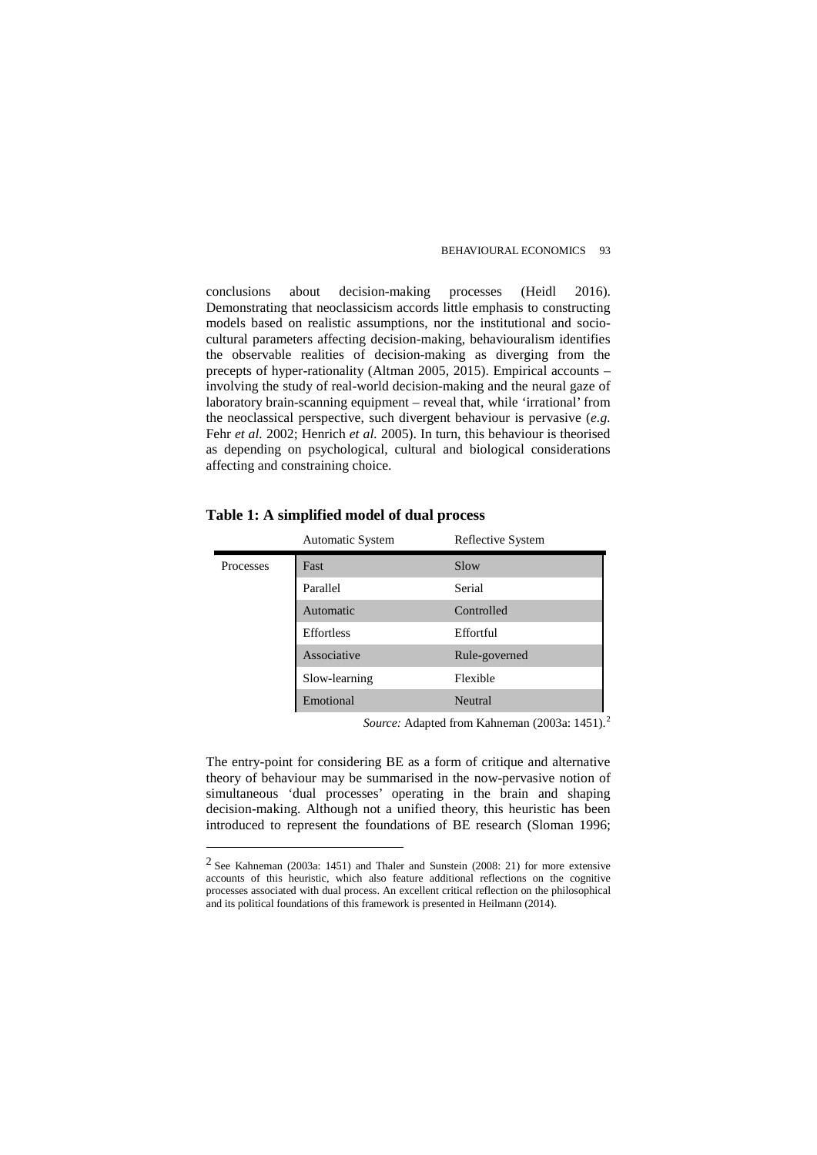conclusions about decision-making processes (Heidl 2016). Demonstrating that neoclassicism accords little emphasis to constructing models based on realistic assumptions, nor the institutional and sociocultural parameters affecting decision-making, behaviouralism identifies the observable realities of decision-making as diverging from the precepts of hyper-rationality (Altman 2005, 2015). Empirical accounts – involving the study of real-world decision-making and the neural gaze of laboratory brain-scanning equipment – reveal that, while 'irrational' from the neoclassical perspective, such divergent behaviour is pervasive (*e.g.*  Fehr *et al.* 2002; Henrich *et al.* 2005). In turn, this behaviour is theorised as depending on psychological, cultural and biological considerations affecting and constraining choice.

|           | <b>Automatic System</b> | Reflective System |
|-----------|-------------------------|-------------------|
| Processes | Fast                    | Slow              |
|           | Parallel                | Serial            |
|           | Automatic               | Controlled        |
|           | Effortless              | Effortful         |
|           | Associative             | Rule-governed     |
|           | Slow-learning           | Flexible          |
|           | Emotional               | Neutral           |

**Table 1: A simplified model of dual process**

 $\overline{a}$ 

Source: Adapted from Kahneman ([2](#page-5-0)003a: 1451).<sup>2</sup>

The entry-point for considering BE as a form of critique and alternative theory of behaviour may be summarised in the now-pervasive notion of simultaneous 'dual processes' operating in the brain and shaping decision-making. Although not a unified theory, this heuristic has been introduced to represent the foundations of BE research (Sloman 1996;

<span id="page-5-0"></span><sup>2</sup> See Kahneman (2003a: 1451) and Thaler and Sunstein (2008: 21) for more extensive accounts of this heuristic, which also feature additional reflections on the cognitive processes associated with dual process. An excellent critical reflection on the philosophical and its political foundations of this framework is presented in Heilmann (2014).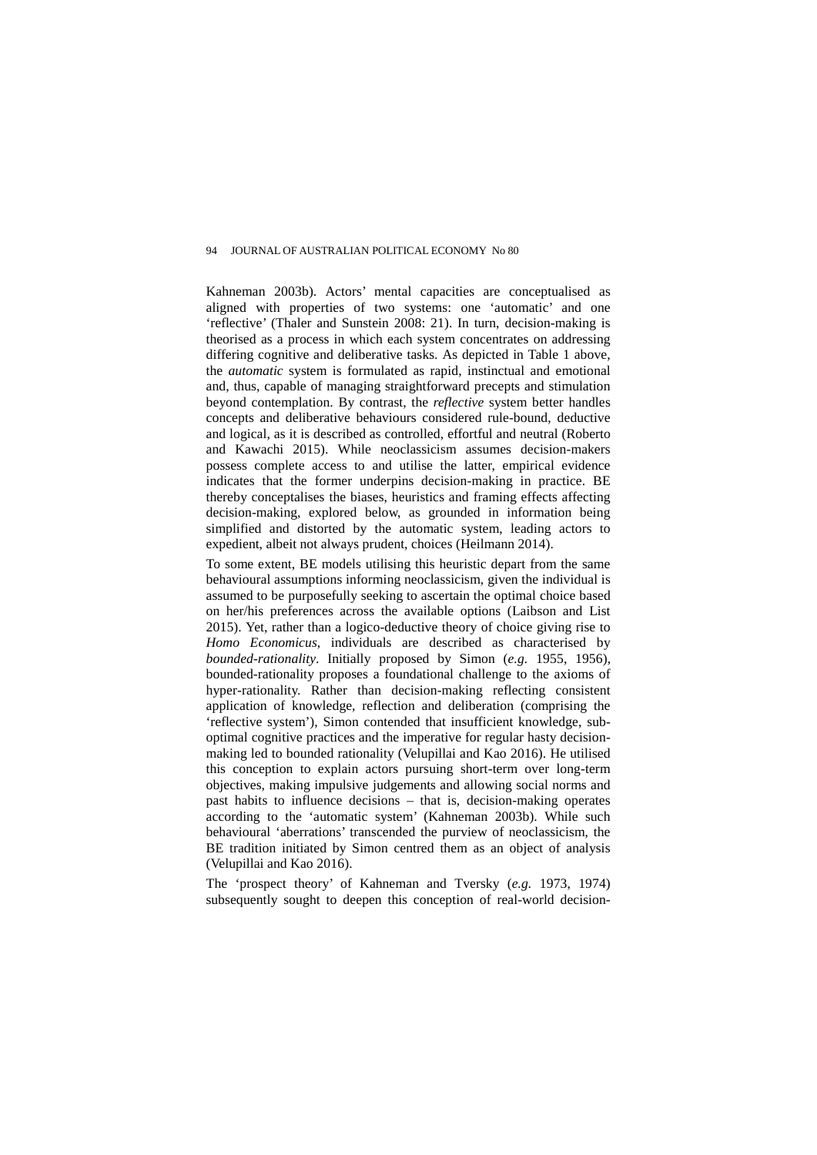Kahneman 2003b). Actors' mental capacities are conceptualised as aligned with properties of two systems: one 'automatic' and one 'reflective' (Thaler and Sunstein 2008: 21). In turn, decision-making is theorised as a process in which each system concentrates on addressing differing cognitive and deliberative tasks. As depicted in Table 1 above, the *automatic* system is formulated as rapid, instinctual and emotional and, thus, capable of managing straightforward precepts and stimulation beyond contemplation. By contrast, the *reflective* system better handles concepts and deliberative behaviours considered rule-bound, deductive and logical, as it is described as controlled, effortful and neutral (Roberto and Kawachi 2015). While neoclassicism assumes decision-makers possess complete access to and utilise the latter, empirical evidence indicates that the former underpins decision-making in practice. BE thereby conceptalises the biases, heuristics and framing effects affecting decision-making, explored below, as grounded in information being simplified and distorted by the automatic system, leading actors to expedient, albeit not always prudent, choices (Heilmann 2014).

To some extent, BE models utilising this heuristic depart from the same behavioural assumptions informing neoclassicism, given the individual is assumed to be purposefully seeking to ascertain the optimal choice based on her/his preferences across the available options (Laibson and List 2015). Yet, rather than a logico-deductive theory of choice giving rise to *Homo Economicus*, individuals are described as characterised by *bounded-rationality*. Initially proposed by Simon (*e.g.* 1955, 1956), bounded-rationality proposes a foundational challenge to the axioms of hyper-rationality. Rather than decision-making reflecting consistent application of knowledge, reflection and deliberation (comprising the 'reflective system'), Simon contended that insufficient knowledge, suboptimal cognitive practices and the imperative for regular hasty decisionmaking led to bounded rationality (Velupillai and Kao 2016). He utilised this conception to explain actors pursuing short-term over long-term objectives, making impulsive judgements and allowing social norms and past habits to influence decisions – that is, decision-making operates according to the 'automatic system' (Kahneman 2003b). While such behavioural 'aberrations' transcended the purview of neoclassicism, the BE tradition initiated by Simon centred them as an object of analysis (Velupillai and Kao 2016).

The 'prospect theory' of Kahneman and Tversky (*e.g.* 1973, 1974) subsequently sought to deepen this conception of real-world decision-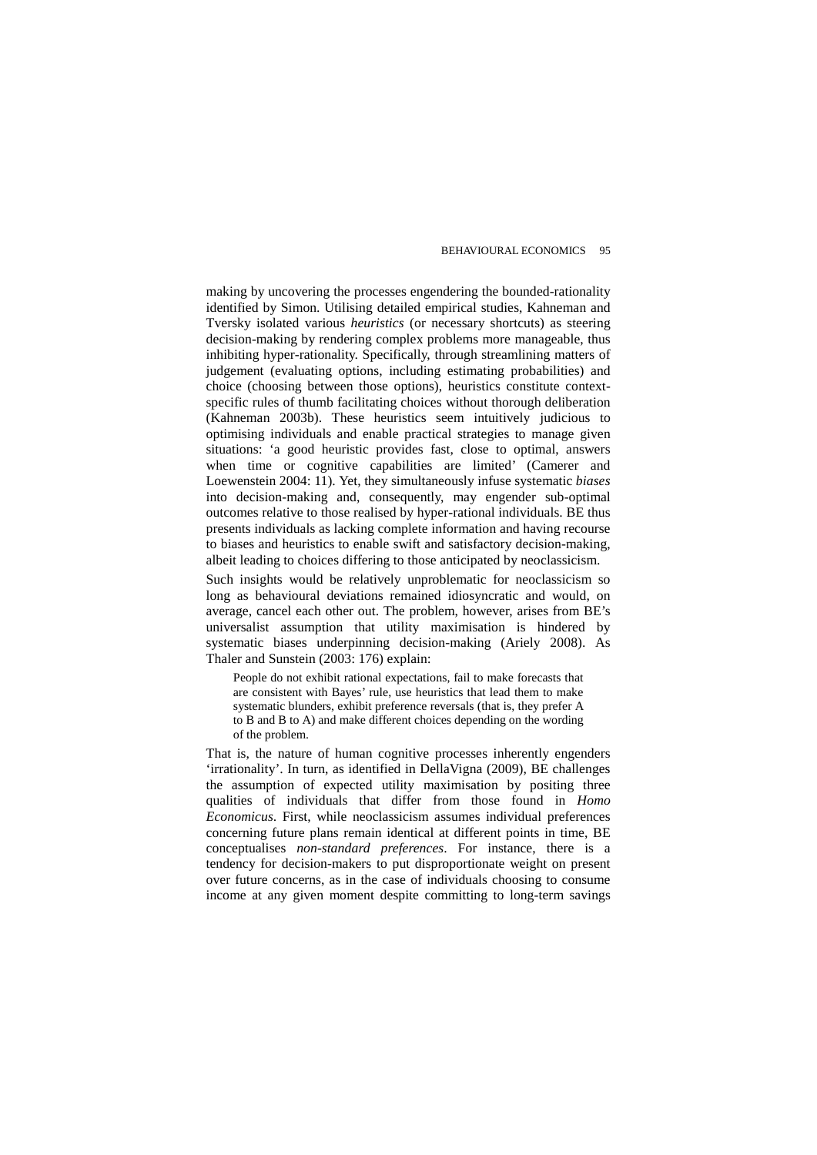making by uncovering the processes engendering the bounded-rationality identified by Simon. Utilising detailed empirical studies, Kahneman and Tversky isolated various *heuristics* (or necessary shortcuts) as steering decision-making by rendering complex problems more manageable, thus inhibiting hyper-rationality. Specifically, through streamlining matters of judgement (evaluating options, including estimating probabilities) and choice (choosing between those options), heuristics constitute contextspecific rules of thumb facilitating choices without thorough deliberation (Kahneman 2003b). These heuristics seem intuitively judicious to optimising individuals and enable practical strategies to manage given situations: 'a good heuristic provides fast, close to optimal, answers when time or cognitive capabilities are limited' (Camerer and Loewenstein 2004: 11). Yet, they simultaneously infuse systematic *biases* into decision-making and, consequently, may engender sub-optimal outcomes relative to those realised by hyper-rational individuals. BE thus presents individuals as lacking complete information and having recourse to biases and heuristics to enable swift and satisfactory decision-making, albeit leading to choices differing to those anticipated by neoclassicism.

Such insights would be relatively unproblematic for neoclassicism so long as behavioural deviations remained idiosyncratic and would, on average, cancel each other out. The problem, however, arises from BE's universalist assumption that utility maximisation is hindered by systematic biases underpinning decision-making (Ariely 2008). As Thaler and Sunstein (2003: 176) explain:

People do not exhibit rational expectations, fail to make forecasts that are consistent with Bayes' rule, use heuristics that lead them to make systematic blunders, exhibit preference reversals (that is, they prefer A to B and B to A) and make different choices depending on the wording of the problem.

That is, the nature of human cognitive processes inherently engenders 'irrationality'. In turn, as identified in DellaVigna (2009), BE challenges the assumption of expected utility maximisation by positing three qualities of individuals that differ from those found in *Homo Economicus*. First, while neoclassicism assumes individual preferences concerning future plans remain identical at different points in time, BE conceptualises *non-standard preferences*. For instance, there is a tendency for decision-makers to put disproportionate weight on present over future concerns, as in the case of individuals choosing to consume income at any given moment despite committing to long-term savings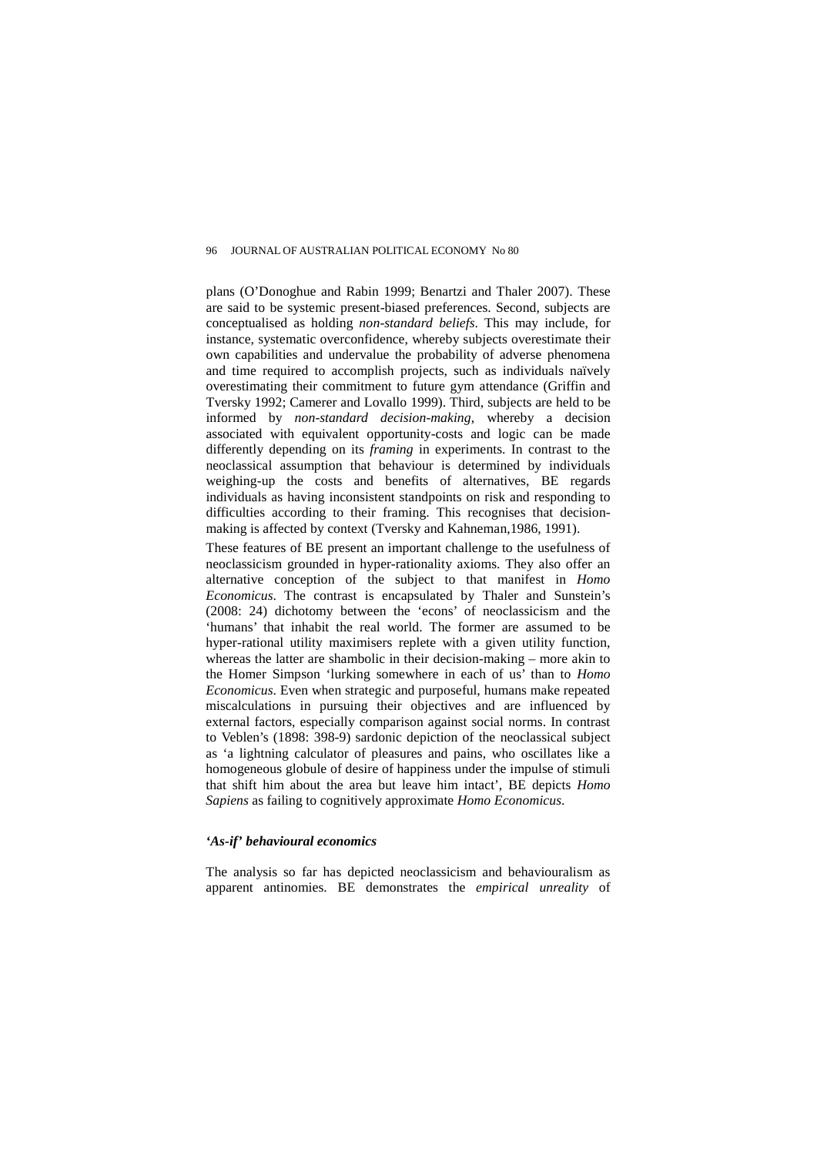plans (O'Donoghue and Rabin 1999; Benartzi and Thaler 2007). These are said to be systemic present-biased preferences. Second, subjects are conceptualised as holding *non-standard beliefs*. This may include, for instance, systematic overconfidence, whereby subjects overestimate their own capabilities and undervalue the probability of adverse phenomena and time required to accomplish projects, such as individuals naïvely overestimating their commitment to future gym attendance (Griffin and Tversky 1992; Camerer and Lovallo 1999). Third, subjects are held to be informed by *non-standard decision-making*, whereby a decision associated with equivalent opportunity-costs and logic can be made differently depending on its *framing* in experiments. In contrast to the neoclassical assumption that behaviour is determined by individuals weighing-up the costs and benefits of alternatives, BE regards individuals as having inconsistent standpoints on risk and responding to difficulties according to their framing. This recognises that decisionmaking is affected by context (Tversky and Kahneman,1986, 1991).

These features of BE present an important challenge to the usefulness of neoclassicism grounded in hyper-rationality axioms. They also offer an alternative conception of the subject to that manifest in *Homo Economicus*. The contrast is encapsulated by Thaler and Sunstein's (2008: 24) dichotomy between the 'econs' of neoclassicism and the 'humans' that inhabit the real world. The former are assumed to be hyper-rational utility maximisers replete with a given utility function, whereas the latter are shambolic in their decision-making – more akin to the Homer Simpson 'lurking somewhere in each of us' than to *Homo Economicus*. Even when strategic and purposeful, humans make repeated miscalculations in pursuing their objectives and are influenced by external factors, especially comparison against social norms. In contrast to Veblen's (1898: 398-9) sardonic depiction of the neoclassical subject as 'a lightning calculator of pleasures and pains, who oscillates like a homogeneous globule of desire of happiness under the impulse of stimuli that shift him about the area but leave him intact', BE depicts *Homo Sapiens* as failing to cognitively approximate *Homo Economicus*.

#### *'As-if' behavioural economics*

The analysis so far has depicted neoclassicism and behaviouralism as apparent antinomies. BE demonstrates the *empirical unreality* of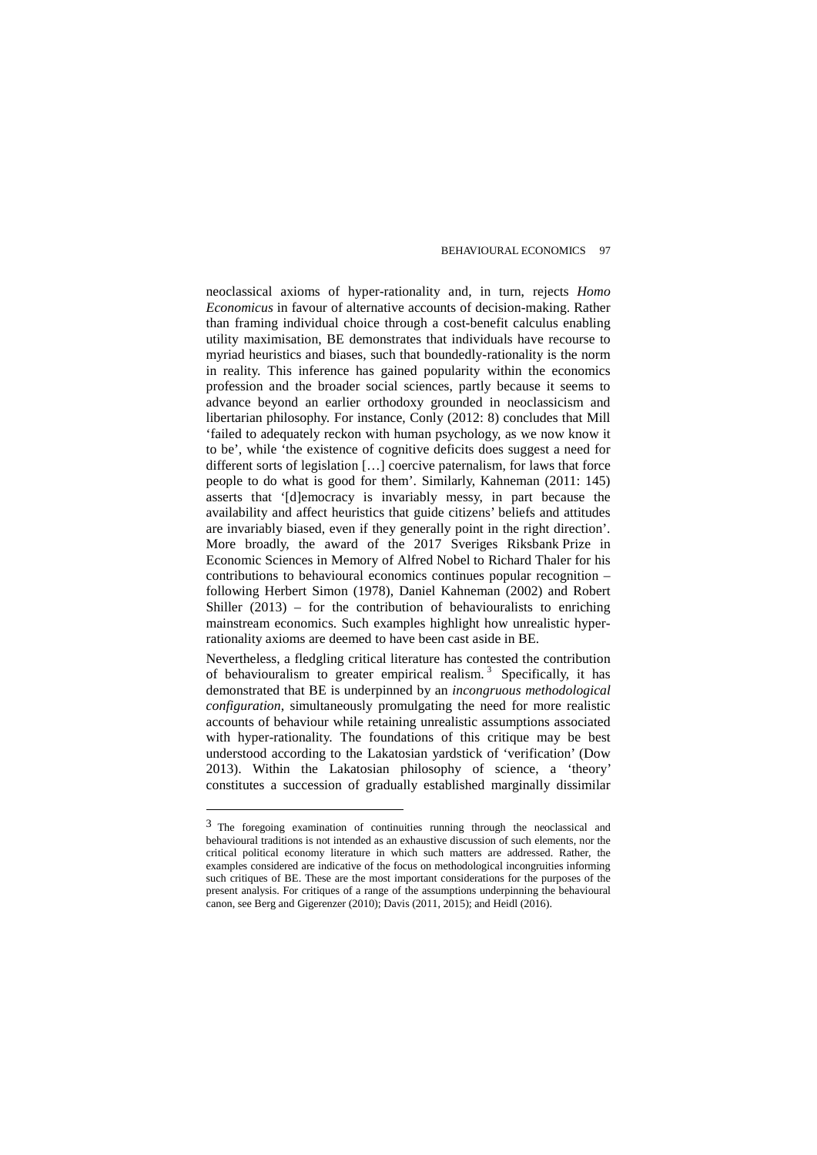neoclassical axioms of hyper-rationality and, in turn, rejects *Homo Economicus* in favour of alternative accounts of decision-making. Rather than framing individual choice through a cost-benefit calculus enabling utility maximisation, BE demonstrates that individuals have recourse to myriad heuristics and biases, such that boundedly-rationality is the norm in reality. This inference has gained popularity within the economics profession and the broader social sciences, partly because it seems to advance beyond an earlier orthodoxy grounded in neoclassicism and libertarian philosophy. For instance, Conly (2012: 8) concludes that Mill 'failed to adequately reckon with human psychology, as we now know it to be', while 'the existence of cognitive deficits does suggest a need for different sorts of legislation […] coercive paternalism, for laws that force people to do what is good for them'. Similarly, Kahneman (2011: 145) asserts that '[d]emocracy is invariably messy, in part because the availability and affect heuristics that guide citizens' beliefs and attitudes are invariably biased, even if they generally point in the right direction'. More broadly, the award of the 2017 Sveriges Riksbank Prize in Economic Sciences in Memory of Alfred Nobel to Richard Thaler for his contributions to behavioural economics continues popular recognition – following Herbert Simon (1978), Daniel Kahneman (2002) and Robert Shiller (2013) – for the contribution of behaviouralists to enriching mainstream economics. Such examples highlight how unrealistic hyperrationality axioms are deemed to have been cast aside in BE.

Nevertheless, a fledgling critical literature has contested the contribution of behaviouralism to greater empirical realism.<sup>[3](#page-9-0)</sup> Specifically, it has demonstrated that BE is underpinned by an *incongruous methodological configuration*, simultaneously promulgating the need for more realistic accounts of behaviour while retaining unrealistic assumptions associated with hyper-rationality. The foundations of this critique may be best understood according to the Lakatosian yardstick of 'verification' (Dow 2013). Within the Lakatosian philosophy of science, a 'theory' constitutes a succession of gradually established marginally dissimilar

 $\overline{a}$ 

<span id="page-9-0"></span><sup>3</sup> The foregoing examination of continuities running through the neoclassical and behavioural traditions is not intended as an exhaustive discussion of such elements, nor the critical political economy literature in which such matters are addressed. Rather, the examples considered are indicative of the focus on methodological incongruities informing such critiques of BE. These are the most important considerations for the purposes of the present analysis. For critiques of a range of the assumptions underpinning the behavioural canon, see Berg and Gigerenzer (2010); Davis (2011, 2015); and Heidl (2016).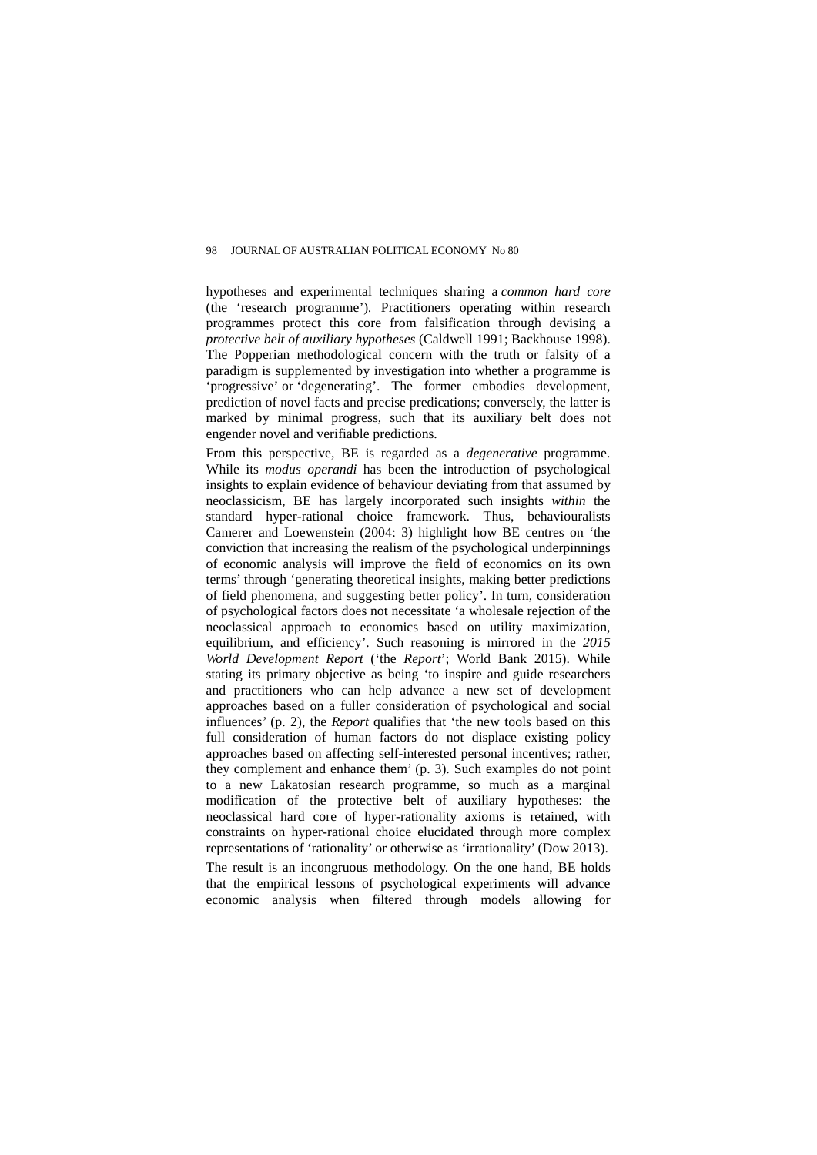hypotheses and experimental techniques sharing a *common hard core* (the 'research programme')*.* Practitioners operating within research programmes protect this core from falsification through devising a *protective belt of auxiliary hypotheses* (Caldwell 1991; Backhouse 1998). The Popperian methodological concern with the truth or falsity of a paradigm is supplemented by investigation into whether a programme is 'progressive' or 'degenerating'. The former embodies development, prediction of novel facts and precise predications; conversely, the latter is marked by minimal progress, such that its auxiliary belt does not engender novel and verifiable predictions.

From this perspective, BE is regarded as a *degenerative* programme. While its *modus operandi* has been the introduction of psychological insights to explain evidence of behaviour deviating from that assumed by neoclassicism, BE has largely incorporated such insights *within* the standard hyper-rational choice framework. Thus, behaviouralists Camerer and Loewenstein (2004: 3) highlight how BE centres on 'the conviction that increasing the realism of the psychological underpinnings of economic analysis will improve the field of economics on its own terms' through 'generating theoretical insights, making better predictions of field phenomena, and suggesting better policy'. In turn, consideration of psychological factors does not necessitate 'a wholesale rejection of the neoclassical approach to economics based on utility maximization, equilibrium, and efficiency'. Such reasoning is mirrored in the *2015 World Development Report* ('the *Report*'; World Bank 2015). While stating its primary objective as being 'to inspire and guide researchers and practitioners who can help advance a new set of development approaches based on a fuller consideration of psychological and social influences' (p. 2), the *Report* qualifies that 'the new tools based on this full consideration of human factors do not displace existing policy approaches based on affecting self-interested personal incentives; rather, they complement and enhance them' (p. 3). Such examples do not point to a new Lakatosian research programme, so much as a marginal modification of the protective belt of auxiliary hypotheses: the neoclassical hard core of hyper-rationality axioms is retained, with constraints on hyper-rational choice elucidated through more complex representations of 'rationality' or otherwise as 'irrationality' (Dow 2013).

The result is an incongruous methodology. On the one hand, BE holds that the empirical lessons of psychological experiments will advance economic analysis when filtered through models allowing for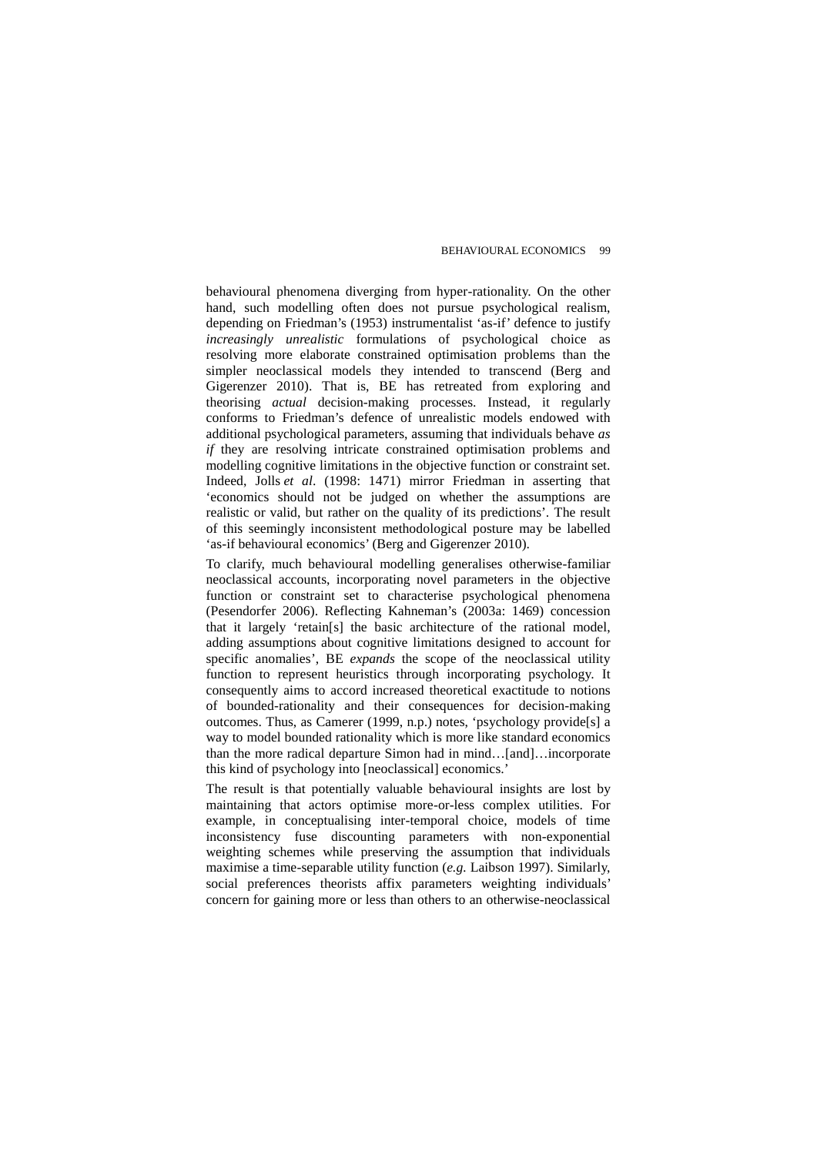behavioural phenomena diverging from hyper-rationality. On the other hand, such modelling often does not pursue psychological realism, depending on Friedman's (1953) instrumentalist 'as-if' defence to justify *increasingly unrealistic* formulations of psychological choice as resolving more elaborate constrained optimisation problems than the simpler neoclassical models they intended to transcend (Berg and Gigerenzer 2010). That is, BE has retreated from exploring and theorising *actual* decision-making processes. Instead, it regularly conforms to Friedman's defence of unrealistic models endowed with additional psychological parameters, assuming that individuals behave *as if* they are resolving intricate constrained optimisation problems and modelling cognitive limitations in the objective function or constraint set. Indeed, Jolls *et al*[. \(1998: 1471\)](http://cje.oxfordjournals.org.ezproxy1.library.usyd.edu.au/content/37/6/1243.full#ref-42) mirror Friedman in asserting that 'economics should not be judged on whether the assumptions are realistic or valid, but rather on the quality of its predictions'. The result of this seemingly inconsistent methodological posture may be labelled 'as-if behavioural economics' (Berg and Gigerenzer 2010).

To clarify, much behavioural modelling generalises otherwise-familiar neoclassical accounts, incorporating novel parameters in the objective function or constraint set to characterise psychological phenomena (Pesendorfer 2006). Reflecting Kahneman's (2003a: 1469) concession that it largely 'retain[s] the basic architecture of the rational model, adding assumptions about cognitive limitations designed to account for specific anomalies', BE *expands* the scope of the neoclassical utility function to represent heuristics through incorporating psychology. It consequently aims to accord increased theoretical exactitude to notions of bounded-rationality and their consequences for decision-making outcomes. Thus, as Camerer (1999, n.p.) notes, 'psychology provide[s] a way to model bounded rationality which is more like standard economics than the more radical departure Simon had in mind…[and]…incorporate this kind of psychology into [neoclassical] economics.'

The result is that potentially valuable behavioural insights are lost by maintaining that actors optimise more-or-less complex utilities. For example, in conceptualising inter-temporal choice, models of time inconsistency fuse discounting parameters with non-exponential weighting schemes while preserving the assumption that individuals maximise a time-separable utility function (*e.g.* Laibson 1997). Similarly, social preferences theorists affix parameters weighting individuals' concern for gaining more or less than others to an otherwise-neoclassical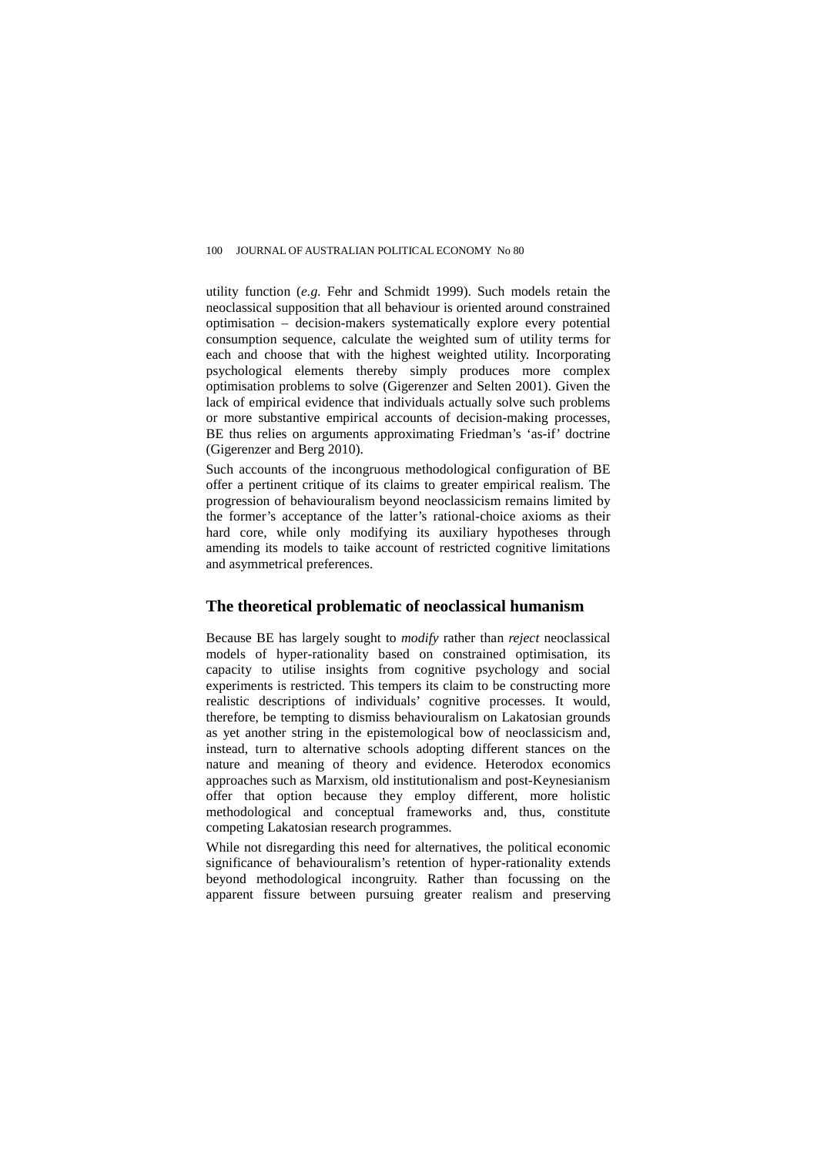utility function (*e.g.* Fehr and Schmidt 1999). Such models retain the neoclassical supposition that all behaviour is oriented around constrained optimisation – decision-makers systematically explore every potential consumption sequence, calculate the weighted sum of utility terms for each and choose that with the highest weighted utility. Incorporating psychological elements thereby simply produces more complex optimisation problems to solve (Gigerenzer and Selten 2001). Given the lack of empirical evidence that individuals actually solve such problems or more substantive empirical accounts of decision-making processes, BE thus relies on arguments approximating Friedman's 'as-if' doctrine (Gigerenzer and Berg 2010).

Such accounts of the incongruous methodological configuration of BE offer a pertinent critique of its claims to greater empirical realism. The progression of behaviouralism beyond neoclassicism remains limited by the former's acceptance of the latter's rational-choice axioms as their hard core, while only modifying its auxiliary hypotheses through amending its models to taike account of restricted cognitive limitations and asymmetrical preferences.

## **The theoretical problematic of neoclassical humanism**

Because BE has largely sought to *modify* rather than *reject* neoclassical models of hyper-rationality based on constrained optimisation, its capacity to utilise insights from cognitive psychology and social experiments is restricted. This tempers its claim to be constructing more realistic descriptions of individuals' cognitive processes. It would, therefore, be tempting to dismiss behaviouralism on Lakatosian grounds as yet another string in the epistemological bow of neoclassicism and, instead, turn to alternative schools adopting different stances on the nature and meaning of theory and evidence. Heterodox economics approaches such as Marxism, old institutionalism and post-Keynesianism offer that option because they employ different, more holistic methodological and conceptual frameworks and, thus, constitute competing Lakatosian research programmes.

While not disregarding this need for alternatives, the political economic significance of behaviouralism's retention of hyper-rationality extends beyond methodological incongruity. Rather than focussing on the apparent fissure between pursuing greater realism and preserving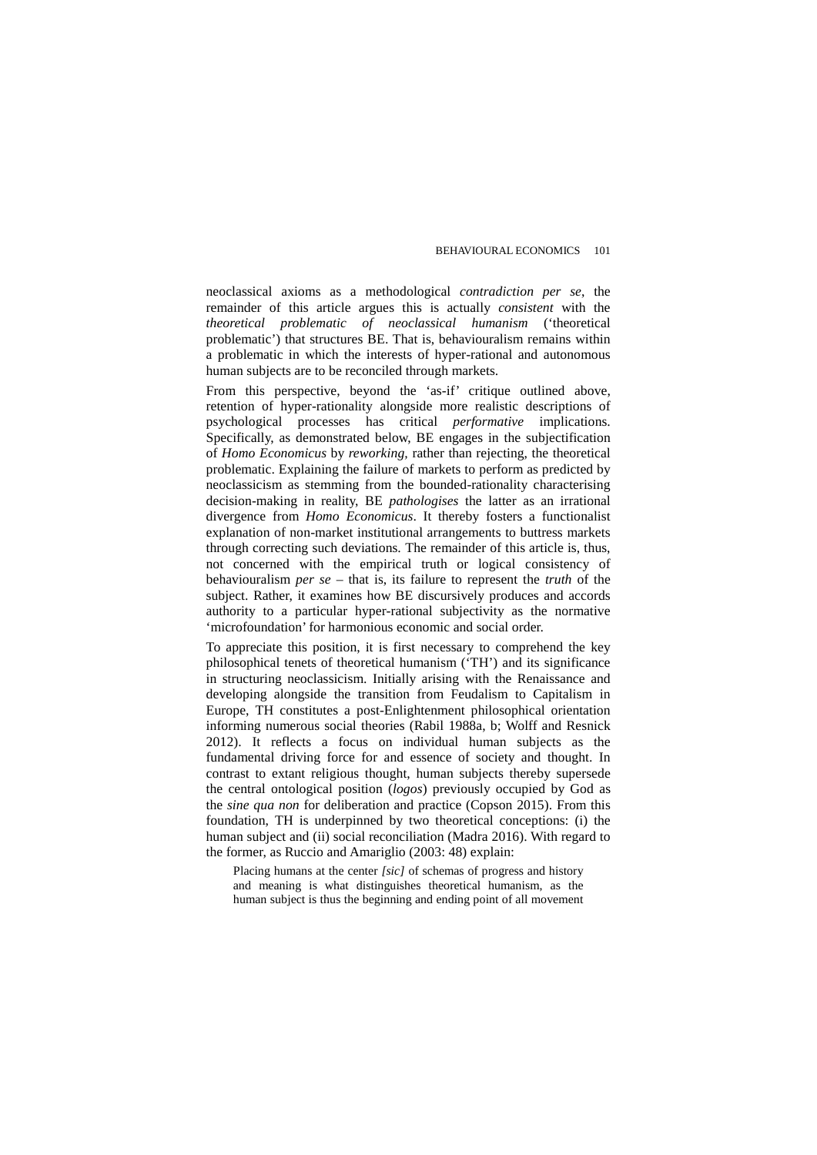neoclassical axioms as a methodological *contradiction per se*, the remainder of this article argues this is actually *consistent* with the *theoretical problematic of neoclassical humanism* ('theoretical problematic') that structures BE. That is, behaviouralism remains within a problematic in which the interests of hyper-rational and autonomous human subjects are to be reconciled through markets.

From this perspective, beyond the 'as-if' critique outlined above, retention of hyper-rationality alongside more realistic descriptions of psychological processes has critical *performative* implications. Specifically, as demonstrated below, BE engages in the subjectification of *Homo Economicus* by *reworking,* rather than rejecting, the theoretical problematic. Explaining the failure of markets to perform as predicted by neoclassicism as stemming from the bounded-rationality characterising decision-making in reality, BE *pathologises* the latter as an irrational divergence from *Homo Economicus*. It thereby fosters a functionalist explanation of non-market institutional arrangements to buttress markets through correcting such deviations. The remainder of this article is, thus, not concerned with the empirical truth or logical consistency of behaviouralism *per se* – that is, its failure to represent the *truth* of the subject. Rather, it examines how BE discursively produces and accords authority to a particular hyper-rational subjectivity as the normative 'microfoundation' for harmonious economic and social order.

To appreciate this position, it is first necessary to comprehend the key philosophical tenets of theoretical humanism ('TH') and its significance in structuring neoclassicism. Initially arising with the Renaissance and developing alongside the transition from Feudalism to Capitalism in Europe, TH constitutes a post-Enlightenment philosophical orientation informing numerous social theories (Rabil 1988a, b; Wolff and Resnick 2012). It reflects a focus on individual human subjects as the fundamental driving force for and essence of society and thought. In contrast to extant religious thought, human subjects thereby supersede the central ontological position (*logos*) previously occupied by God as the *sine qua non* for deliberation and practice (Copson 2015). From this foundation, TH is underpinned by two theoretical conceptions: (i) the human subject and (ii) social reconciliation (Madra 2016). With regard to the former, as Ruccio and Amariglio (2003: 48) explain:

Placing humans at the center *[sic]* of schemas of progress and history and meaning is what distinguishes theoretical humanism, as the human subject is thus the beginning and ending point of all movement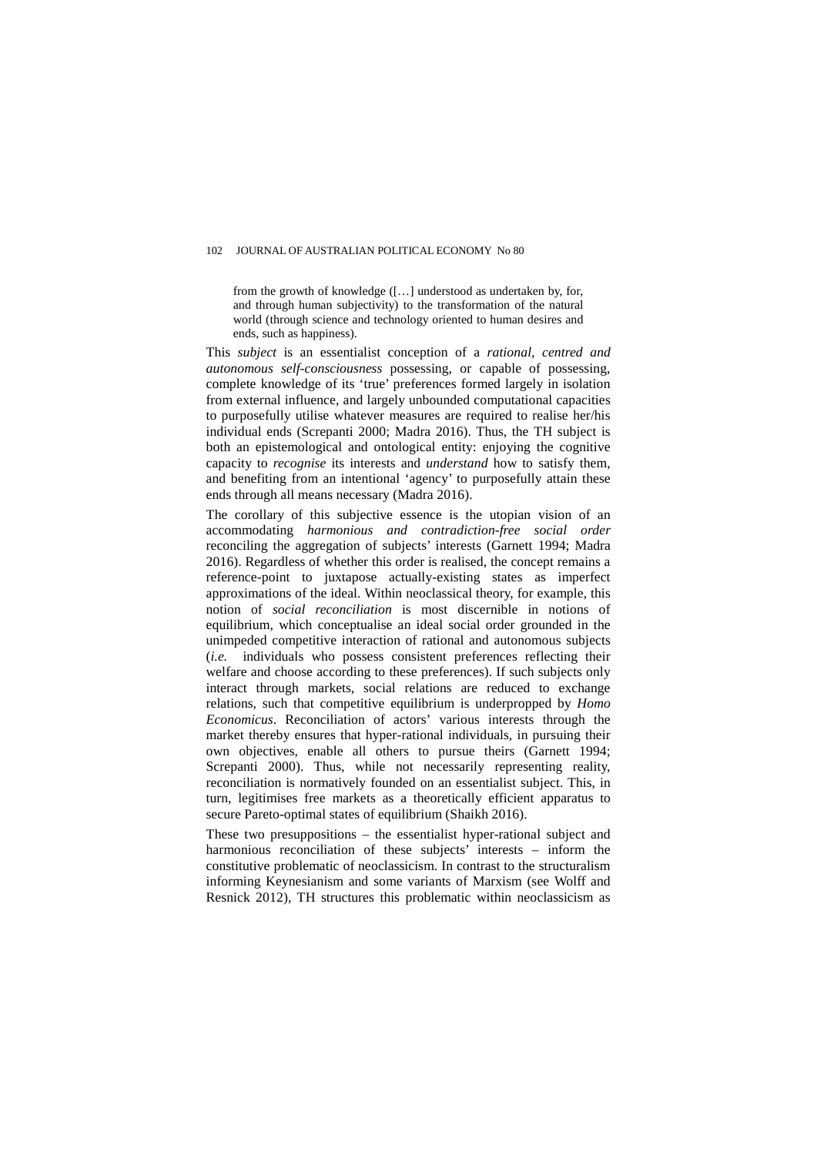from the growth of knowledge ([…] understood as undertaken by, for, and through human subjectivity) to the transformation of the natural world (through science and technology oriented to human desires and ends, such as happiness).

This *subject* is an essentialist conception of a *rational, centred and autonomous self-consciousness* possessing, or capable of possessing, complete knowledge of its 'true' preferences formed largely in isolation from external influence, and largely unbounded computational capacities to purposefully utilise whatever measures are required to realise her/his individual ends (Screpanti 2000; Madra 2016). Thus, the TH subject is both an epistemological and ontological entity: enjoying the cognitive capacity to *recognise* its interests and *understand* how to satisfy them, and benefiting from an intentional 'agency' to purposefully attain these ends through all means necessary (Madra 2016).

The corollary of this subjective essence is the utopian vision of an accommodating *harmonious and contradiction-free social order* reconciling the aggregation of subjects' interests (Garnett 1994; Madra 2016). Regardless of whether this order is realised, the concept remains a reference-point to juxtapose actually-existing states as imperfect approximations of the ideal. Within neoclassical theory, for example, this notion of *social reconciliation* is most discernible in notions of equilibrium, which conceptualise an ideal social order grounded in the unimpeded competitive interaction of rational and autonomous subjects (*i.e.* individuals who possess consistent preferences reflecting their welfare and choose according to these preferences). If such subjects only interact through markets, social relations are reduced to exchange relations, such that competitive equilibrium is underpropped by *Homo Economicus*. Reconciliation of actors' various interests through the market thereby ensures that hyper-rational individuals, in pursuing their own objectives, enable all others to pursue theirs (Garnett 1994; Screpanti 2000). Thus, while not necessarily representing reality, reconciliation is normatively founded on an essentialist subject. This, in turn, legitimises free markets as a theoretically efficient apparatus to secure Pareto-optimal states of equilibrium (Shaikh 2016).

These two presuppositions – the essentialist hyper-rational subject and harmonious reconciliation of these subjects' interests – inform the constitutive problematic of neoclassicism. In contrast to the structuralism informing Keynesianism and some variants of Marxism (see Wolff and Resnick 2012), TH structures this problematic within neoclassicism as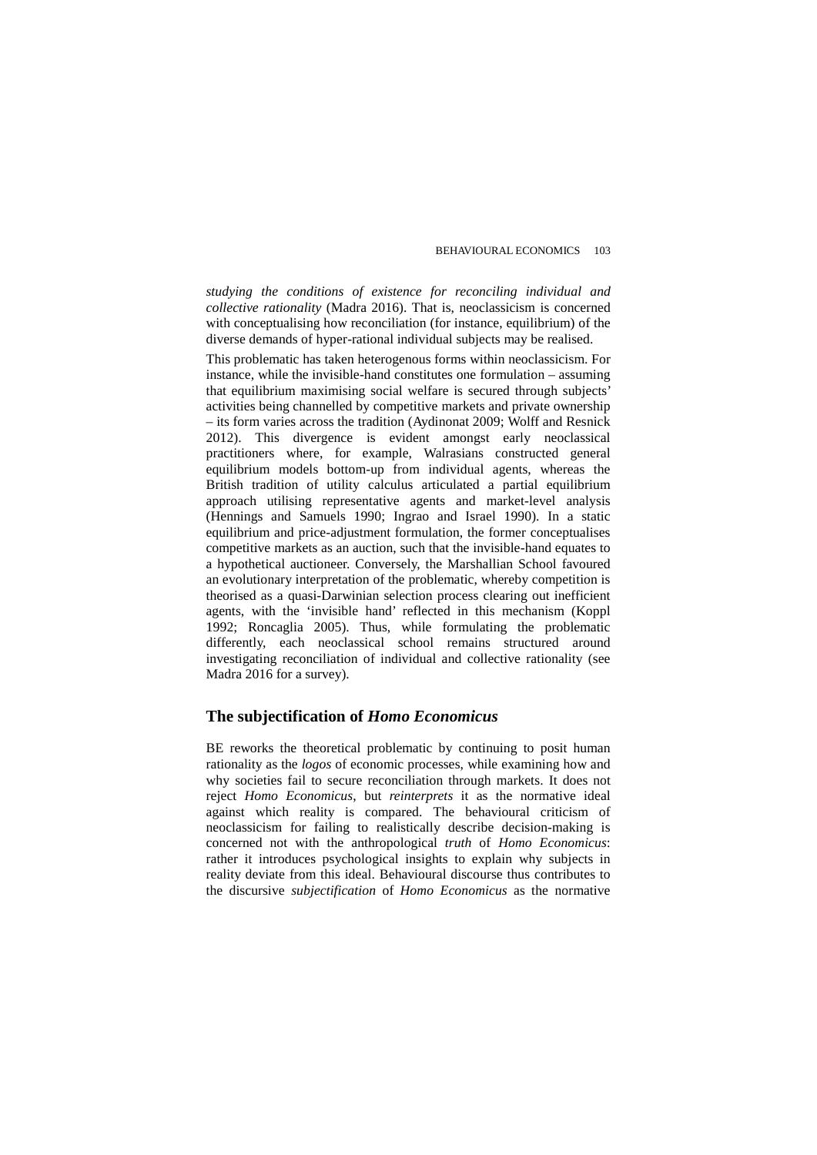*studying the conditions of existence for reconciling individual and collective rationality* (Madra 2016). That is, neoclassicism is concerned with conceptualising how reconciliation (for instance, equilibrium) of the diverse demands of hyper-rational individual subjects may be realised.

This problematic has taken heterogenous forms within neoclassicism. For instance, while the invisible-hand constitutes one formulation – assuming that equilibrium maximising social welfare is secured through subjects' activities being channelled by competitive markets and private ownership – its form varies across the tradition (Aydinonat 2009; Wolff and Resnick 2012). This divergence is evident amongst early neoclassical practitioners where, for example, Walrasians constructed general equilibrium models bottom-up from individual agents, whereas the British tradition of utility calculus articulated a partial equilibrium approach utilising representative agents and market-level analysis (Hennings and Samuels 1990; Ingrao and Israel 1990). In a static equilibrium and price-adjustment formulation, the former conceptualises competitive markets as an auction, such that the invisible-hand equates to a hypothetical auctioneer. Conversely, the Marshallian School favoured an evolutionary interpretation of the problematic, whereby competition is theorised as a quasi-Darwinian selection process clearing out inefficient agents, with the 'invisible hand' reflected in this mechanism (Koppl 1992; Roncaglia 2005). Thus, while formulating the problematic differently, each neoclassical school remains structured around investigating reconciliation of individual and collective rationality (see Madra 2016 for a survey).

## **The subjectification of** *Homo Economicus*

BE reworks the theoretical problematic by continuing to posit human rationality as the *logos* of economic processes, while examining how and why societies fail to secure reconciliation through markets. It does not reject *Homo Economicus*, but *reinterprets* it as the normative ideal against which reality is compared. The behavioural criticism of neoclassicism for failing to realistically describe decision-making is concerned not with the anthropological *truth* of *Homo Economicus*: rather it introduces psychological insights to explain why subjects in reality deviate from this ideal. Behavioural discourse thus contributes to the discursive *subjectification* of *Homo Economicus* as the normative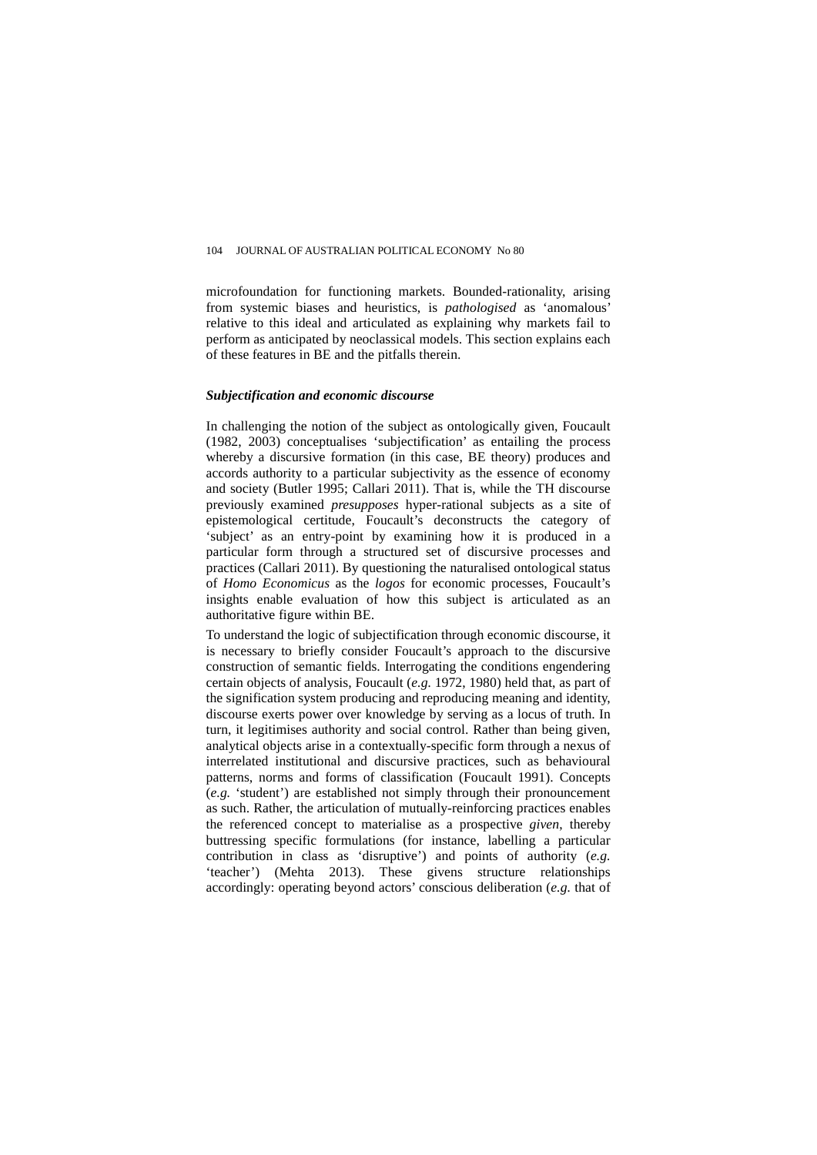microfoundation for functioning markets. Bounded-rationality, arising from systemic biases and heuristics, is *pathologised* as 'anomalous' relative to this ideal and articulated as explaining why markets fail to perform as anticipated by neoclassical models. This section explains each of these features in BE and the pitfalls therein.

#### *Subjectification and economic discourse*

In challenging the notion of the subject as ontologically given, Foucault (1982, 2003) conceptualises 'subjectification' as entailing the process whereby a discursive formation (in this case, BE theory) produces and accords authority to a particular subjectivity as the essence of economy and society (Butler 1995; Callari 2011). That is, while the TH discourse previously examined *presupposes* hyper-rational subjects as a site of epistemological certitude, Foucault's deconstructs the category of 'subject' as an entry-point by examining how it is produced in a particular form through a structured set of discursive processes and practices (Callari 2011). By questioning the naturalised ontological status of *Homo Economicus* as the *logos* for economic processes, Foucault's insights enable evaluation of how this subject is articulated as an authoritative figure within BE.

To understand the logic of subjectification through economic discourse, it is necessary to briefly consider Foucault's approach to the discursive construction of semantic fields. Interrogating the conditions engendering certain objects of analysis, Foucault (*e.g.* 1972, 1980) held that, as part of the signification system producing and reproducing meaning and identity, discourse exerts power over knowledge by serving as a locus of truth. In turn, it legitimises authority and social control. Rather than being given, analytical objects arise in a contextually-specific form through a nexus of interrelated institutional and discursive practices, such as behavioural patterns, norms and forms of classification (Foucault 1991). Concepts (*e.g.* 'student') are established not simply through their pronouncement as such. Rather, the articulation of mutually-reinforcing practices enables the referenced concept to materialise as a prospective *given*, thereby buttressing specific formulations (for instance, labelling a particular contribution in class as 'disruptive') and points of authority (*e.g.* 'teacher') (Mehta 2013). These givens structure relationships accordingly: operating beyond actors' conscious deliberation (*e.g.* that of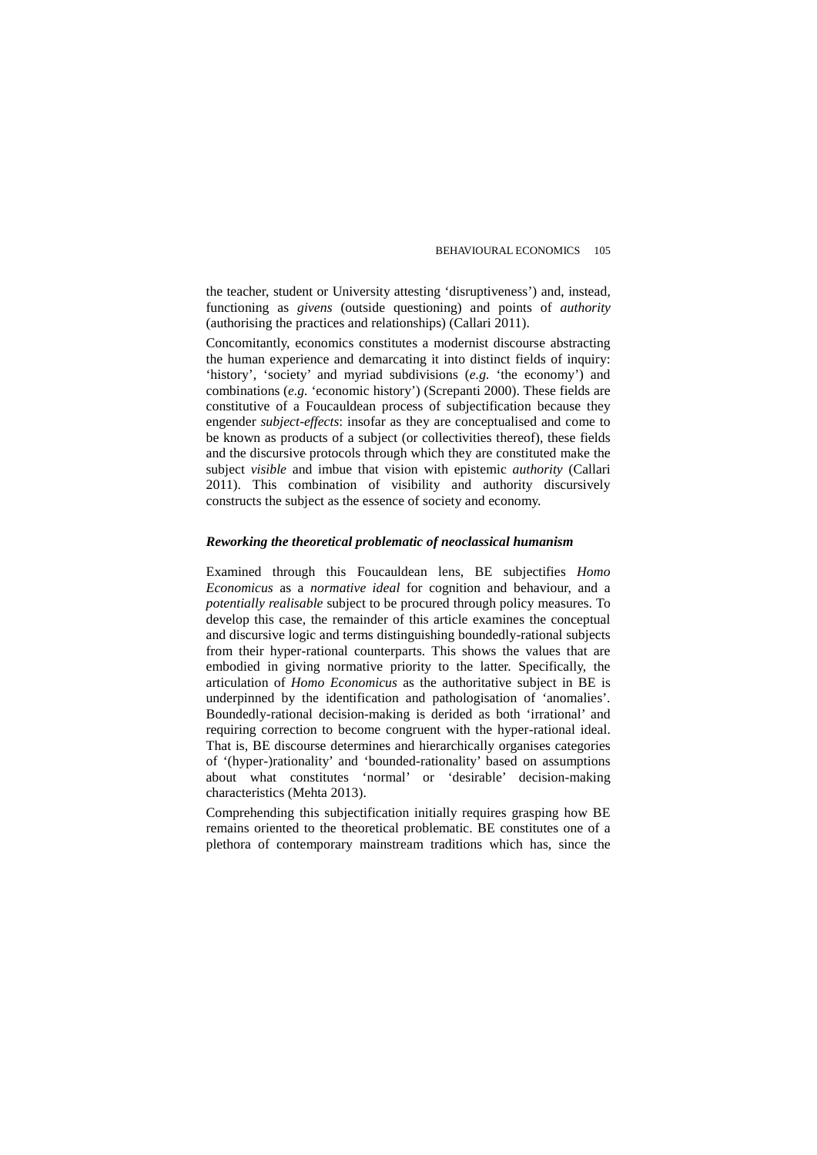the teacher, student or University attesting 'disruptiveness') and, instead, functioning as *givens* (outside questioning) and points of *authority*  (authorising the practices and relationships) (Callari 2011).

Concomitantly, economics constitutes a modernist discourse abstracting the human experience and demarcating it into distinct fields of inquiry: 'history', 'society' and myriad subdivisions (*e.g.* 'the economy') and combinations (*e.g.* 'economic history') (Screpanti 2000). These fields are constitutive of a Foucauldean process of subjectification because they engender *subject-effects*: insofar as they are conceptualised and come to be known as products of a subject (or collectivities thereof), these fields and the discursive protocols through which they are constituted make the subject *visible* and imbue that vision with epistemic *authority* (Callari 2011). This combination of visibility and authority discursively constructs the subject as the essence of society and economy.

#### *Reworking the theoretical problematic of neoclassical humanism*

Examined through this Foucauldean lens, BE subjectifies *Homo Economicus* as a *normative ideal* for cognition and behaviour, and a *potentially realisable* subject to be procured through policy measures. To develop this case, the remainder of this article examines the conceptual and discursive logic and terms distinguishing boundedly-rational subjects from their hyper-rational counterparts. This shows the values that are embodied in giving normative priority to the latter. Specifically, the articulation of *Homo Economicus* as the authoritative subject in BE is underpinned by the identification and pathologisation of 'anomalies'. Boundedly-rational decision-making is derided as both 'irrational' and requiring correction to become congruent with the hyper-rational ideal. That is, BE discourse determines and hierarchically organises categories of '(hyper-)rationality' and 'bounded-rationality' based on assumptions about what constitutes 'normal' or 'desirable' decision-making characteristics (Mehta 2013).

Comprehending this subjectification initially requires grasping how BE remains oriented to the theoretical problematic. BE constitutes one of a plethora of contemporary mainstream traditions which has, since the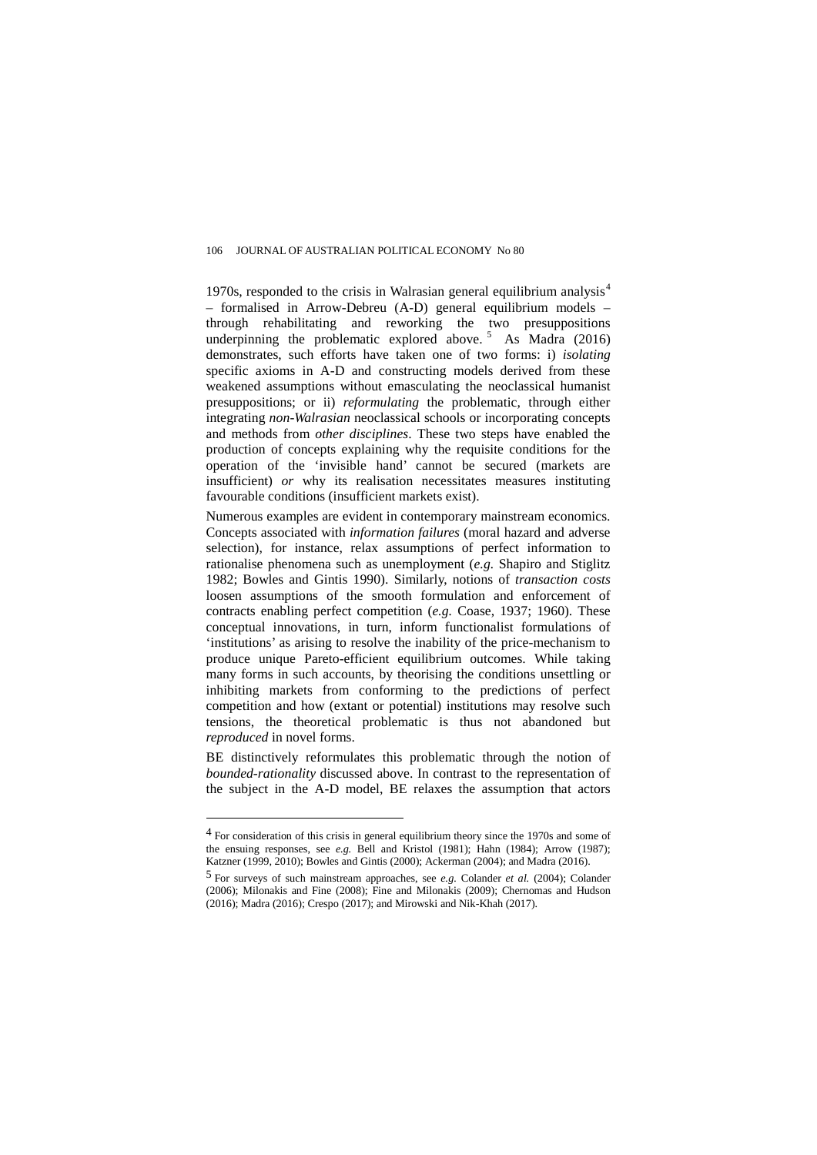1970s, responded to the crisis in Walrasian general equilibrium analysis $4$ – formalised in Arrow-Debreu (A-D) general equilibrium models – through rehabilitating and reworking the two presuppositions underpinning the problematic explored above.  $\frac{1}{5}$  $\frac{1}{5}$  $\frac{1}{5}$  As Madra (2016) demonstrates, such efforts have taken one of two forms: i) *isolating* specific axioms in A-D and constructing models derived from these weakened assumptions without emasculating the neoclassical humanist presuppositions; or ii) *reformulating* the problematic, through either integrating *non-Walrasian* neoclassical schools or incorporating concepts and methods from *other disciplines*. These two steps have enabled the production of concepts explaining why the requisite conditions for the operation of the 'invisible hand' cannot be secured (markets are insufficient) *or* why its realisation necessitates measures instituting favourable conditions (insufficient markets exist).

Numerous examples are evident in contemporary mainstream economics. Concepts associated with *information failures* (moral hazard and adverse selection), for instance, relax assumptions of perfect information to rationalise phenomena such as unemployment (*e.g.* Shapiro and Stiglitz 1982; Bowles and Gintis 1990). Similarly, notions of *transaction costs*  loosen assumptions of the smooth formulation and enforcement of contracts enabling perfect competition (*e.g.* Coase, 1937; 1960). These conceptual innovations, in turn, inform functionalist formulations of 'institutions' as arising to resolve the inability of the price-mechanism to produce unique Pareto-efficient equilibrium outcomes. While taking many forms in such accounts, by theorising the conditions unsettling or inhibiting markets from conforming to the predictions of perfect competition and how (extant or potential) institutions may resolve such tensions, the theoretical problematic is thus not abandoned but *reproduced* in novel forms.

BE distinctively reformulates this problematic through the notion of *bounded-rationality* discussed above. In contrast to the representation of the subject in the A-D model, BE relaxes the assumption that actors

 $\overline{a}$ 

<span id="page-18-0"></span><sup>&</sup>lt;sup>4</sup> For consideration of this crisis in general equilibrium theory since the 1970s and some of the ensuing responses, see *e.g.* Bell and Kristol (1981); Hahn (1984); Arrow (1987); Katzner (1999, 2010); Bowles and Gintis (2000); Ackerman (2004); and Madra (2016).

<span id="page-18-1"></span><sup>5</sup> For surveys of such mainstream approaches, see *e.g.* Colander *et al.* (2004); Colander (2006); Milonakis and Fine (2008); Fine and Milonakis (2009); Chernomas and Hudson (2016); Madra (2016); Crespo (2017); and Mirowski and Nik-Khah (2017).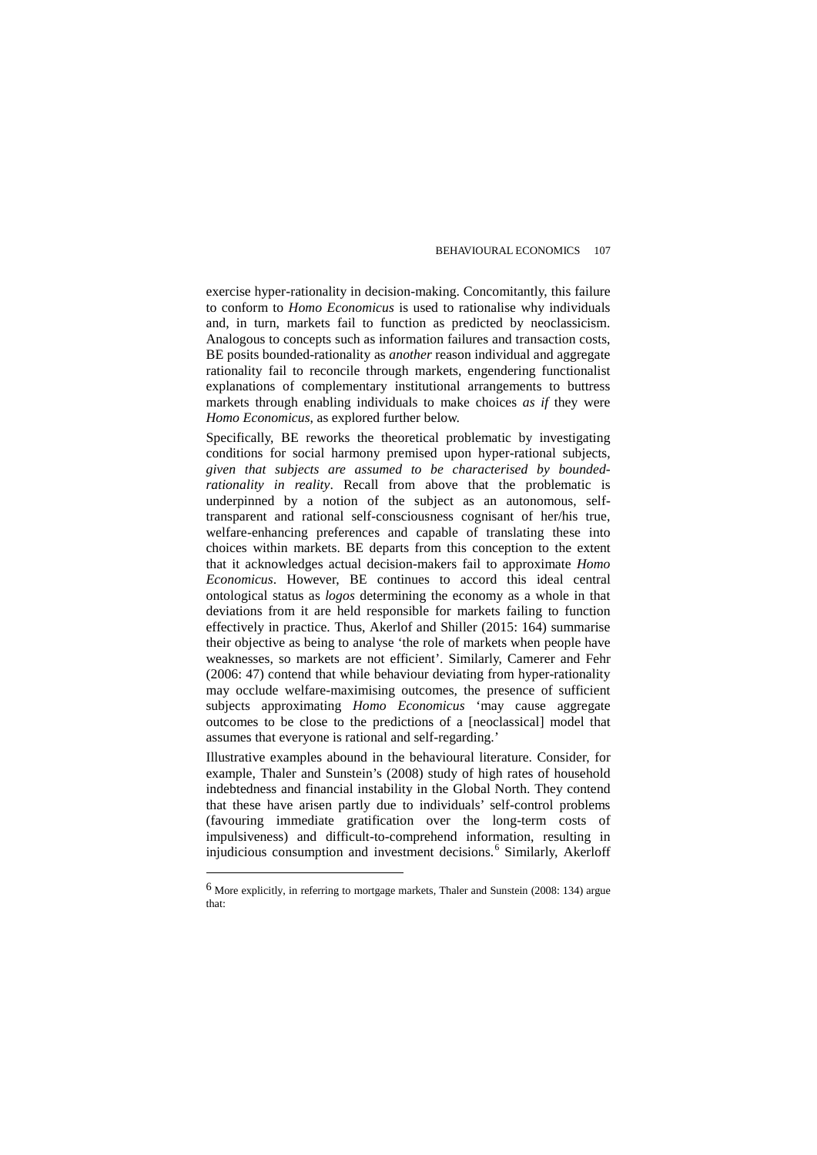exercise hyper-rationality in decision-making. Concomitantly, this failure to conform to *Homo Economicus* is used to rationalise why individuals and, in turn, markets fail to function as predicted by neoclassicism. Analogous to concepts such as information failures and transaction costs, BE posits bounded-rationality as *another* reason individual and aggregate rationality fail to reconcile through markets, engendering functionalist explanations of complementary institutional arrangements to buttress markets through enabling individuals to make choices *as if* they were *Homo Economicus*, as explored further below.

Specifically, BE reworks the theoretical problematic by investigating conditions for social harmony premised upon hyper-rational subjects, *given that subjects are assumed to be characterised by boundedrationality in reality*. Recall from above that the problematic is underpinned by a notion of the subject as an autonomous, selftransparent and rational self-consciousness cognisant of her/his true, welfare-enhancing preferences and capable of translating these into choices within markets. BE departs from this conception to the extent that it acknowledges actual decision-makers fail to approximate *Homo Economicus*. However, BE continues to accord this ideal central ontological status as *logos* determining the economy as a whole in that deviations from it are held responsible for markets failing to function effectively in practice. Thus, Akerlof and Shiller (2015: 164) summarise their objective as being to analyse 'the role of markets when people have weaknesses, so markets are not efficient'. Similarly, Camerer and Fehr (2006: 47) contend that while behaviour deviating from hyper-rationality may occlude welfare-maximising outcomes, the presence of sufficient subjects approximating *Homo Economicus* 'may cause aggregate outcomes to be close to the predictions of a [neoclassical] model that assumes that everyone is rational and self-regarding.'

Illustrative examples abound in the behavioural literature. Consider, for example, Thaler and Sunstein's (2008) study of high rates of household indebtedness and financial instability in the Global North. They contend that these have arisen partly due to individuals' self-control problems (favouring immediate gratification over the long-term costs of impulsiveness) and difficult-to-comprehend information, resulting in injudicious consumption and investment decisions.<sup>[6](#page-19-0)</sup> Similarly, Akerloff

 $\overline{a}$ 

<span id="page-19-0"></span><sup>6</sup> More explicitly, in referring to mortgage markets, Thaler and Sunstein (2008: 134) argue that: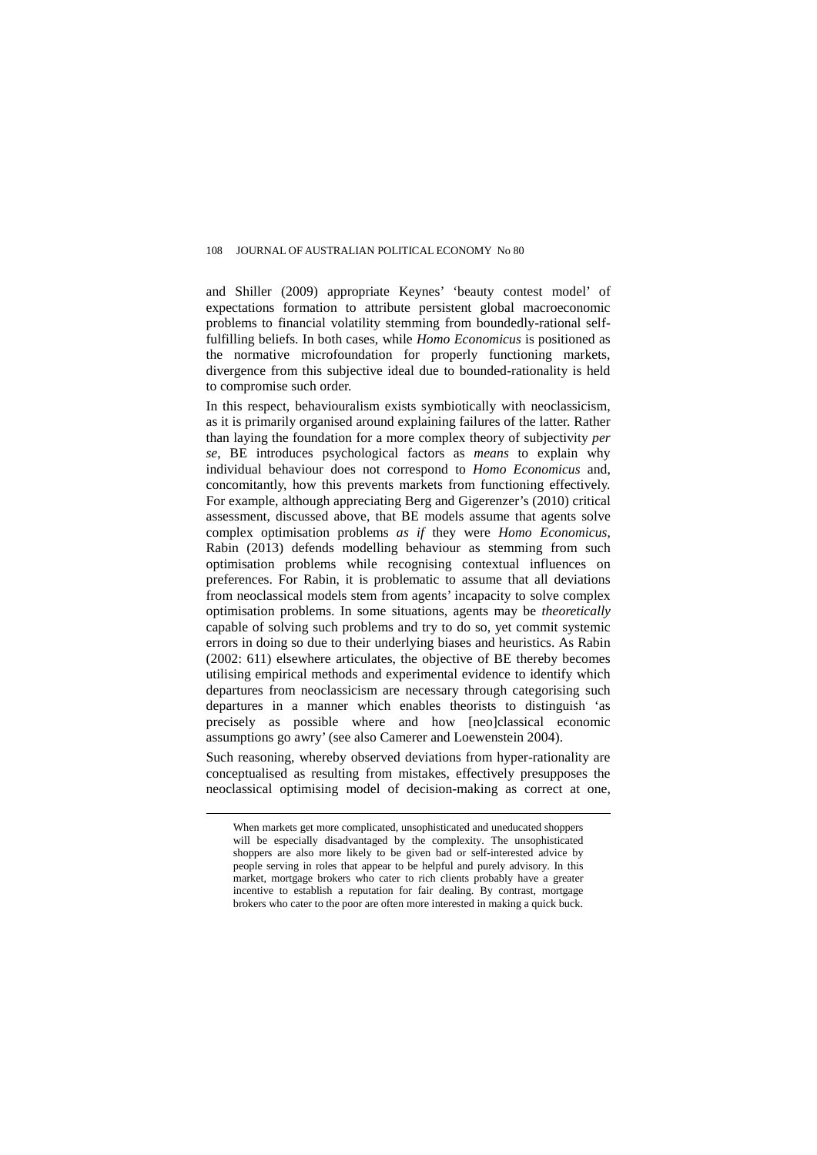and Shiller (2009) appropriate Keynes' 'beauty contest model' of expectations formation to attribute persistent global macroeconomic problems to financial volatility stemming from boundedly-rational selffulfilling beliefs. In both cases, while *Homo Economicus* is positioned as the normative microfoundation for properly functioning markets, divergence from this subjective ideal due to bounded-rationality is held to compromise such order.

In this respect, behaviouralism exists symbiotically with neoclassicism, as it is primarily organised around explaining failures of the latter. Rather than laying the foundation for a more complex theory of subjectivity *per se*, BE introduces psychological factors as *means* to explain why individual behaviour does not correspond to *Homo Economicus* and, concomitantly, how this prevents markets from functioning effectively. For example, although appreciating Berg and Gigerenzer's (2010) critical assessment, discussed above, that BE models assume that agents solve complex optimisation problems *as if* they were *Homo Economicus*, Rabin (2013) defends modelling behaviour as stemming from such optimisation problems while recognising contextual influences on preferences. For Rabin, it is problematic to assume that all deviations from neoclassical models stem from agents' incapacity to solve complex optimisation problems. In some situations, agents may be *theoretically* capable of solving such problems and try to do so, yet commit systemic errors in doing so due to their underlying biases and heuristics. As Rabin (2002: 611) elsewhere articulates, the objective of BE thereby becomes utilising empirical methods and experimental evidence to identify which departures from neoclassicism are necessary through categorising such departures in a manner which enables theorists to distinguish 'as precisely as possible where and how [neo]classical economic assumptions go awry' (see also Camerer and Loewenstein 2004).

Such reasoning, whereby observed deviations from hyper-rationality are conceptualised as resulting from mistakes, effectively presupposes the neoclassical optimising model of decision-making as correct at one,

When markets get more complicated, unsophisticated and uneducated shoppers will be especially disadvantaged by the complexity. The unsophisticated shoppers are also more likely to be given bad or self-interested advice by people serving in roles that appear to be helpful and purely advisory. In this market, mortgage brokers who cater to rich clients probably have a greater incentive to establish a reputation for fair dealing. By contrast, mortgage brokers who cater to the poor are often more interested in making a quick buck.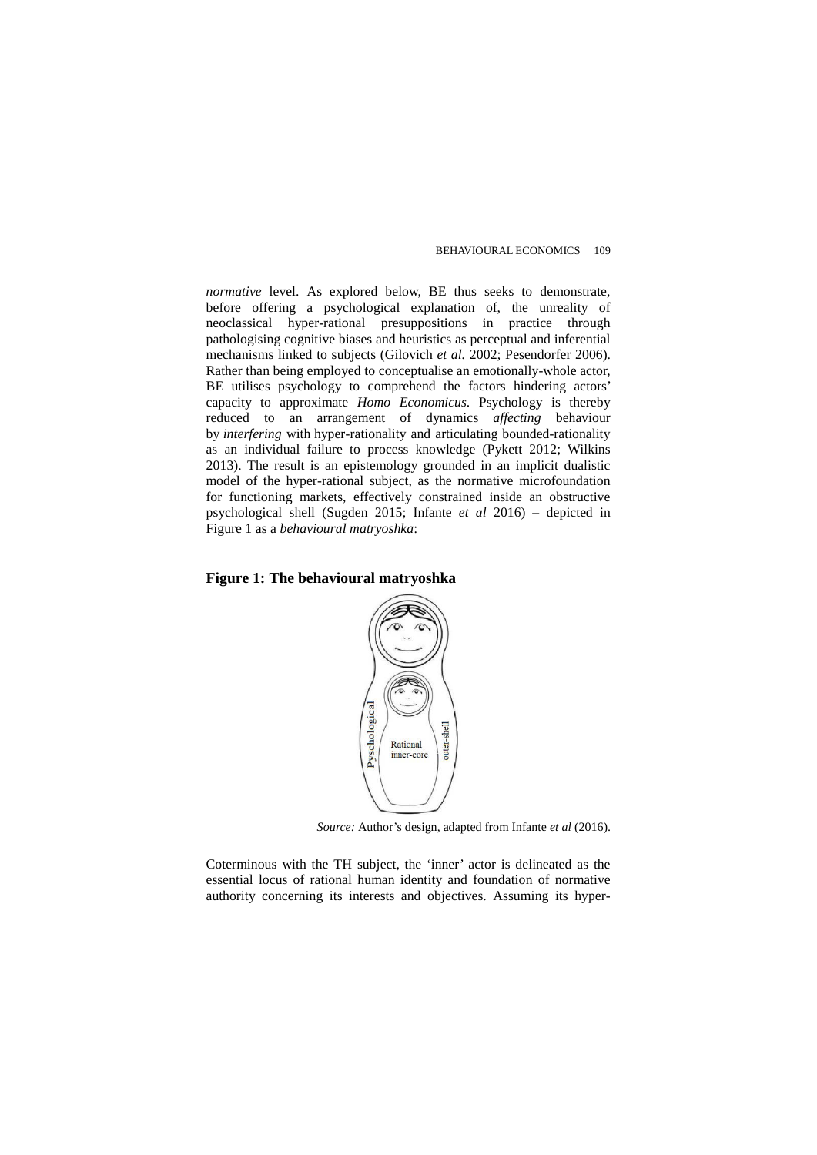*normative* level. As explored below, BE thus seeks to demonstrate, before offering a psychological explanation of, the unreality of neoclassical hyper-rational presuppositions in practice through pathologising cognitive biases and heuristics as perceptual and inferential mechanisms linked to subjects (Gilovich *et al.* 2002; Pesendorfer 2006). Rather than being employed to conceptualise an emotionally-whole actor, BE utilises psychology to comprehend the factors hindering actors' capacity to approximate *Homo Economicus*. Psychology is thereby reduced to an arrangement of dynamics *affecting* behaviour by *interfering* with hyper-rationality and articulating bounded-rationality as an individual failure to process knowledge (Pykett 2012; Wilkins 2013). The result is an epistemology grounded in an implicit dualistic model of the hyper-rational subject, as the normative microfoundation for functioning markets, effectively constrained inside an obstructive psychological shell (Sugden 2015; Infante *et al* 2016) – depicted in Figure 1 as a *behavioural matryoshka*:

## **Figure 1: The behavioural matryoshka**



*Source:* Author's design, adapted from Infante *et al* (2016).

Coterminous with the TH subject, the 'inner' actor is delineated as the essential locus of rational human identity and foundation of normative authority concerning its interests and objectives. Assuming its hyper-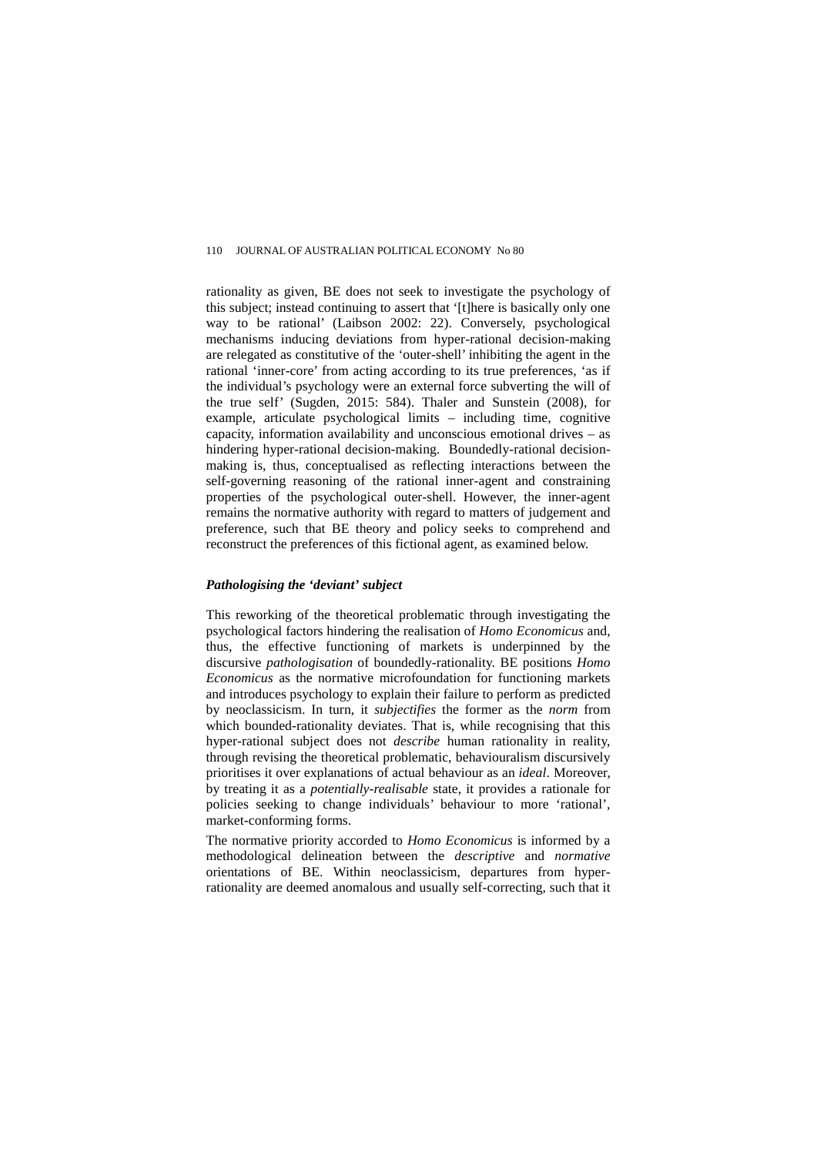rationality as given, BE does not seek to investigate the psychology of this subject; instead continuing to assert that '[t]here is basically only one way to be rational' (Laibson 2002: 22). Conversely, psychological mechanisms inducing deviations from hyper-rational decision-making are relegated as constitutive of the 'outer-shell' inhibiting the agent in the rational 'inner-core' from acting according to its true preferences, 'as if the individual's psychology were an external force subverting the will of the true self' (Sugden, 2015: 584). Thaler and Sunstein (2008), for example, articulate psychological limits – including time, cognitive capacity, information availability and unconscious emotional drives – as hindering hyper-rational decision-making. Boundedly-rational decisionmaking is, thus, conceptualised as reflecting interactions between the self-governing reasoning of the rational inner-agent and constraining properties of the psychological outer-shell. However, the inner-agent remains the normative authority with regard to matters of judgement and preference, such that BE theory and policy seeks to comprehend and reconstruct the preferences of this fictional agent, as examined below.

#### *Pathologising the 'deviant' subject*

This reworking of the theoretical problematic through investigating the psychological factors hindering the realisation of *Homo Economicus* and, thus, the effective functioning of markets is underpinned by the discursive *pathologisation* of boundedly-rationality. BE positions *Homo Economicus* as the normative microfoundation for functioning markets and introduces psychology to explain their failure to perform as predicted by neoclassicism. In turn, it *subjectifies* the former as the *norm* from which bounded-rationality deviates. That is, while recognising that this hyper-rational subject does not *describe* human rationality in reality, through revising the theoretical problematic, behaviouralism discursively prioritises it over explanations of actual behaviour as an *ideal*. Moreover, by treating it as a *potentially-realisable* state, it provides a rationale for policies seeking to change individuals' behaviour to more 'rational', market-conforming forms.

The normative priority accorded to *Homo Economicus* is informed by a methodological delineation between the *descriptive* and *normative* orientations of BE. Within neoclassicism, departures from hyperrationality are deemed anomalous and usually self-correcting, such that it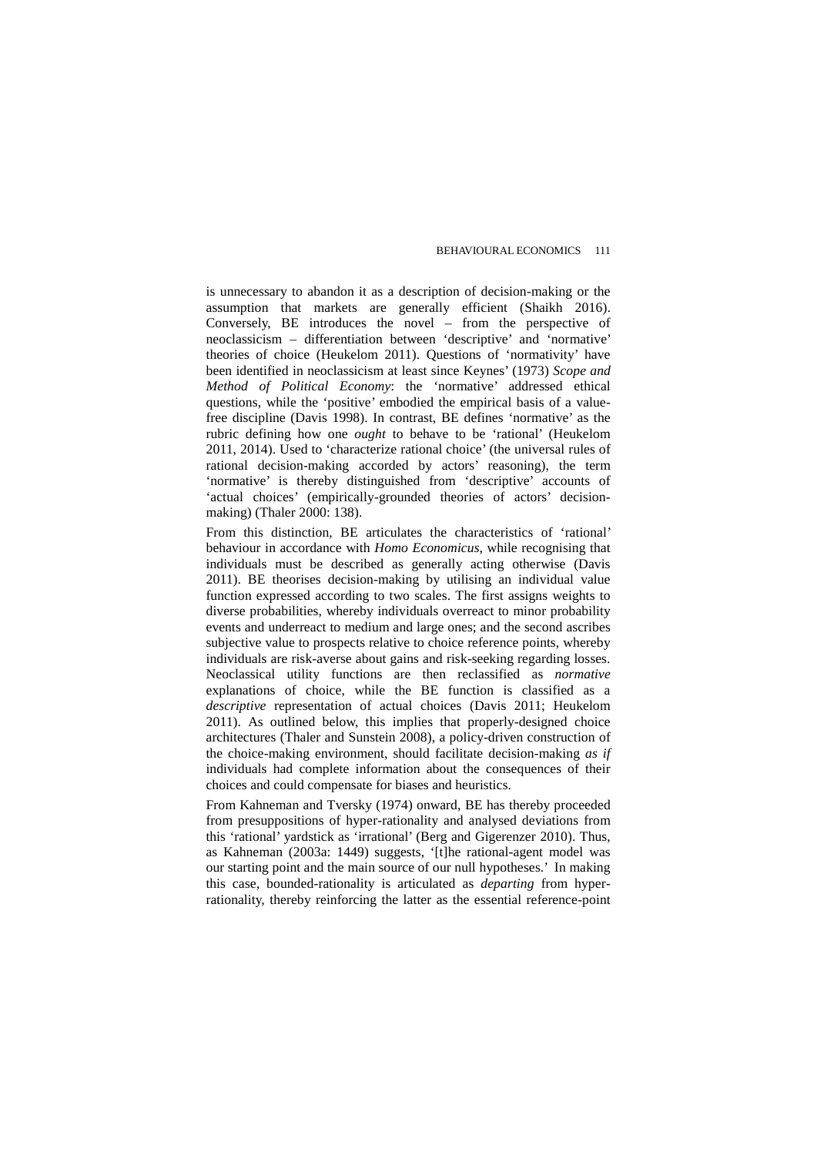is unnecessary to abandon it as a description of decision-making or the assumption that markets are generally efficient (Shaikh 2016). Conversely, BE introduces the novel – from the perspective of neoclassicism – differentiation between 'descriptive' and 'normative' theories of choice (Heukelom 2011). Questions of 'normativity' have been identified in neoclassicism at least since Keynes' (1973) *Scope and Method of Political Economy*: the 'normative' addressed ethical questions, while the 'positive' embodied the empirical basis of a valuefree discipline (Davis 1998). In contrast, BE defines 'normative' as the rubric defining how one *ought* to behave to be 'rational' (Heukelom 2011, 2014). Used to 'characterize rational choice' (the universal rules of rational decision-making accorded by actors' reasoning), the term 'normative' is thereby distinguished from 'descriptive' accounts of 'actual choices' (empirically-grounded theories of actors' decisionmaking) (Thaler 2000: 138).

From this distinction, BE articulates the characteristics of 'rational' behaviour in accordance with *Homo Economicus*, while recognising that individuals must be described as generally acting otherwise (Davis 2011). BE theorises decision-making by utilising an individual value function expressed according to two scales. The first assigns weights to diverse probabilities, whereby individuals overreact to minor probability events and underreact to medium and large ones; and the second ascribes subjective value to prospects relative to choice reference points, whereby individuals are risk-averse about gains and risk-seeking regarding losses. Neoclassical utility functions are then reclassified as *normative* explanations of choice, while the BE function is classified as a *descriptive* representation of actual choices (Davis 2011; Heukelom 2011). As outlined below, this implies that properly-designed choice architectures (Thaler and Sunstein 2008), a policy-driven construction of the choice-making environment, should facilitate decision-making *as if* individuals had complete information about the consequences of their choices and could compensate for biases and heuristics.

From Kahneman and Tversky (1974) onward, BE has thereby proceeded from presuppositions of hyper-rationality and analysed deviations from this 'rational' yardstick as 'irrational' (Berg and Gigerenzer 2010). Thus, as Kahneman (2003a: 1449) suggests, '[t]he rational-agent model was our starting point and the main source of our null hypotheses.' In making this case, bounded-rationality is articulated as *departing* from hyperrationality, thereby reinforcing the latter as the essential reference-point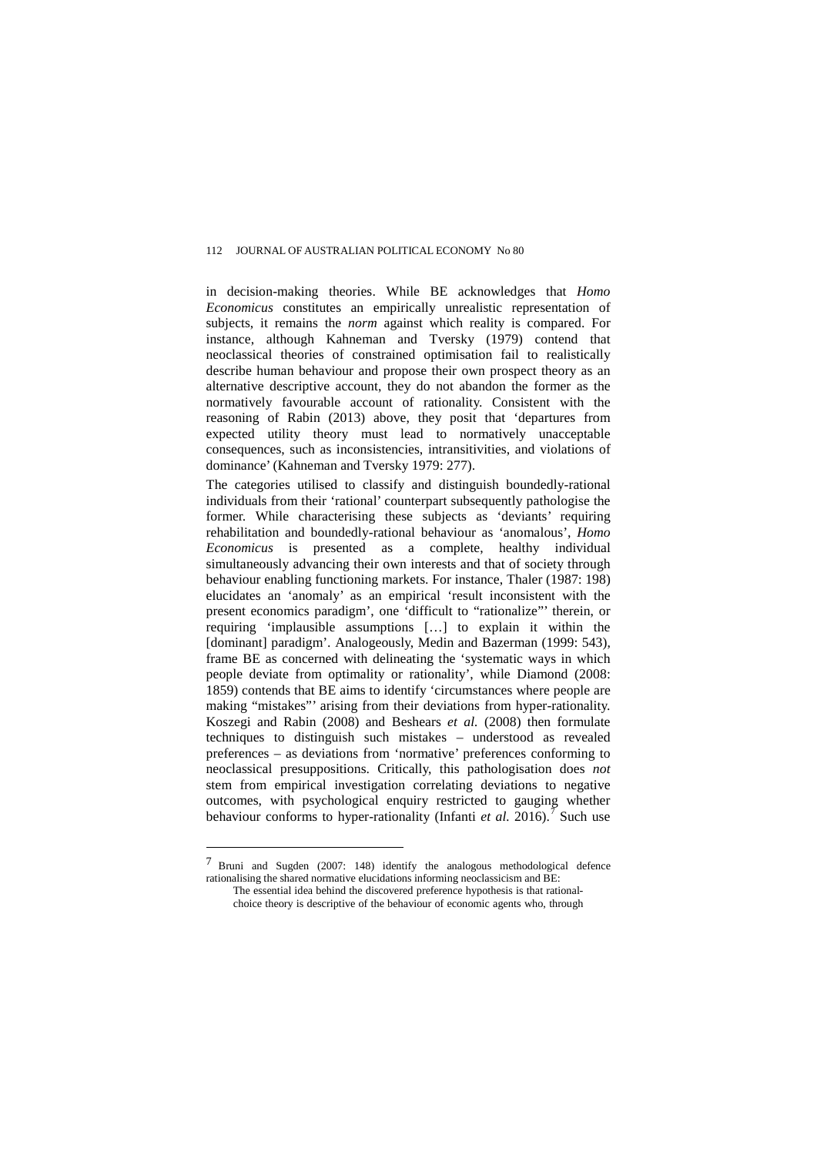in decision-making theories. While BE acknowledges that *Homo Economicus* constitutes an empirically unrealistic representation of subjects, it remains the *norm* against which reality is compared. For instance, although Kahneman and Tversky (1979) contend that neoclassical theories of constrained optimisation fail to realistically describe human behaviour and propose their own prospect theory as an alternative descriptive account, they do not abandon the former as the normatively favourable account of rationality. Consistent with the reasoning of Rabin (2013) above, they posit that 'departures from expected utility theory must lead to normatively unacceptable consequences, such as inconsistencies, intransitivities, and violations of dominance' (Kahneman and Tversky 1979: 277).

The categories utilised to classify and distinguish boundedly-rational individuals from their 'rational' counterpart subsequently pathologise the former. While characterising these subjects as 'deviants' requiring rehabilitation and boundedly-rational behaviour as 'anomalous', *Homo Economicus* is presented as a complete, healthy individual simultaneously advancing their own interests and that of society through behaviour enabling functioning markets. For instance, Thaler [\(1987:](http://cje.oxfordjournals.org.ezproxy1.library.usyd.edu.au/content/37/6/1243.full#ref-67) 198) elucidates an 'anomaly' as an empirical 'result inconsistent with the present economics paradigm', one 'difficult to "rationalize"' therein, or requiring 'implausible assumptions […] to explain it within the [dominant] paradigm'. Analogeously, Medin and Bazerman (1999: 543), frame BE as concerned with delineating the 'systematic ways in which people deviate from optimality or rationality', while Diamond (2008: 1859) contends that BE aims to identify 'circumstances where people are making "mistakes"' arising from their deviations from hyper-rationality. Koszegi and Rabin (2008) and Beshears *et al.* (2008) then formulate techniques to distinguish such mistakes – understood as revealed preferences – as deviations from 'normative' preferences conforming to neoclassical presuppositions. Critically, this pathologisation does *not* stem from empirical investigation correlating deviations to negative outcomes, with psychological enquiry restricted to gauging whether behaviour conforms to hyper-rationality (Infanti *et al.* 2016).<sup>[7](#page-24-0)</sup> Such use

 $\overline{a}$ 

<span id="page-24-0"></span><sup>7</sup> Bruni and Sugden (2007: 148) identify the analogous methodological defence rationalising the shared normative elucidations informing neoclassicism and BE: The essential idea behind the discovered preference hypothesis is that rational-

choice theory is descriptive of the behaviour of economic agents who, through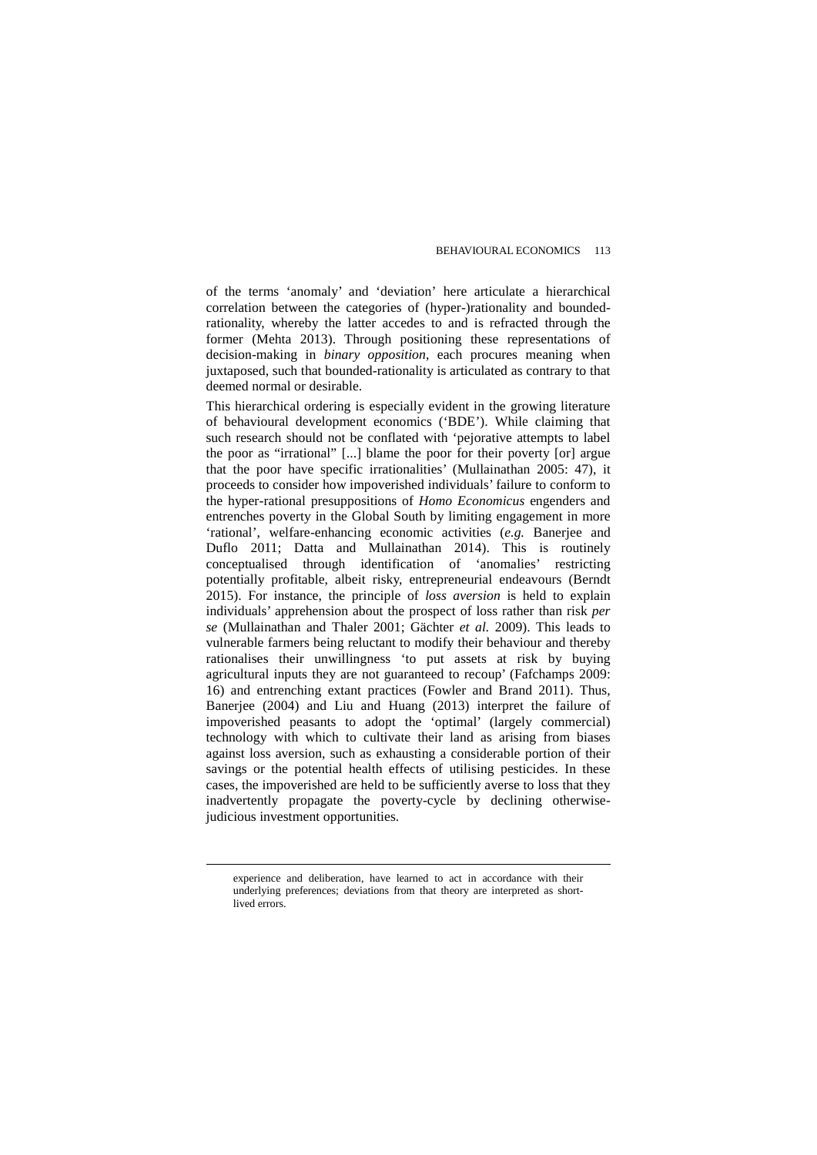of the terms 'anomaly' and 'deviation' here articulate a hierarchical correlation between the categories of (hyper-)rationality and boundedrationality, whereby the latter accedes to and is refracted through the former (Mehta 2013). Through positioning these representations of decision-making in *binary opposition*, each procures meaning when juxtaposed, such that bounded-rationality is articulated as contrary to that deemed normal or desirable.

This hierarchical ordering is especially evident in the growing literature of behavioural development economics ('BDE'). While claiming that such research should not be conflated with 'pejorative attempts to label the poor as "irrational" [...] blame the poor for their poverty [or] argue that the poor have specific irrationalities' (Mullainathan 2005: 47), it proceeds to consider how impoverished individuals' failure to conform to the hyper-rational presuppositions of *Homo Economicus* engenders and entrenches poverty in the Global South by limiting engagement in more 'rational', welfare-enhancing economic activities (*e.g.* Banerjee and Duflo 2011; Datta and Mullainathan 2014). This is routinely conceptualised through identification of 'anomalies' restricting potentially profitable, albeit risky, entrepreneurial endeavours (Berndt 2015). For instance, the principle of *loss aversion* is held to explain individuals' apprehension about the prospect of loss rather than risk *per se* (Mullainathan and Thaler 2001; Gächter *et al.* 2009). This leads to vulnerable farmers being reluctant to modify their behaviour and thereby rationalises their unwillingness 'to put assets at risk by buying agricultural inputs they are not guaranteed to recoup' (Fafchamps 2009: 16) and entrenching extant practices (Fowler and Brand 2011). Thus, Banerjee (2004) and Liu and Huang (2013) interpret the failure of impoverished peasants to adopt the 'optimal' (largely commercial) technology with which to cultivate their land as arising from biases against loss aversion, such as exhausting a considerable portion of their savings or the potential health effects of utilising pesticides. In these cases, the impoverished are held to be sufficiently averse to loss that they inadvertently propagate the poverty-cycle by declining otherwisejudicious investment opportunities.

experience and deliberation, have learned to act in accordance with their underlying preferences; deviations from that theory are interpreted as shortlived errors.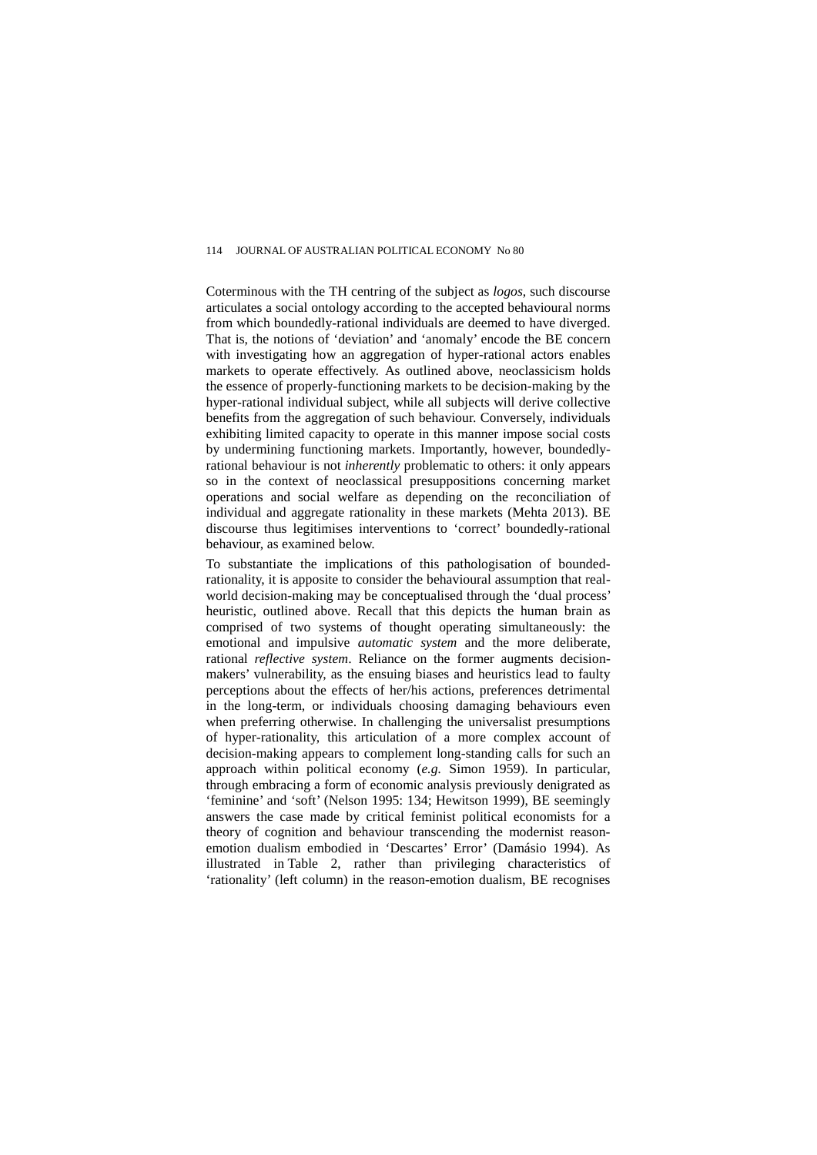Coterminous with the TH centring of the subject as *logos*, such discourse articulates a social ontology according to the accepted behavioural norms from which boundedly-rational individuals are deemed to have diverged. That is, the notions of 'deviation' and 'anomaly' encode the BE concern with investigating how an aggregation of hyper-rational actors enables markets to operate effectively. As outlined above, neoclassicism holds the essence of properly-functioning markets to be decision-making by the hyper-rational individual subject, while all subjects will derive collective benefits from the aggregation of such behaviour. Conversely, individuals exhibiting limited capacity to operate in this manner impose social costs by undermining functioning markets. Importantly, however, boundedlyrational behaviour is not *inherently* problematic to others: it only appears so in the context of neoclassical presuppositions concerning market operations and social welfare as depending on the reconciliation of individual and aggregate rationality in these markets (Mehta 2013). BE discourse thus legitimises interventions to 'correct' boundedly-rational behaviour, as examined below.

To substantiate the implications of this pathologisation of boundedrationality, it is apposite to consider the behavioural assumption that realworld decision-making may be conceptualised through the 'dual process' heuristic, outlined above. Recall that this depicts the human brain as comprised of two systems of thought operating simultaneously: the emotional and impulsive *automatic system* and the more deliberate, rational *reflective system*. Reliance on the former augments decisionmakers' vulnerability, as the ensuing biases and heuristics lead to faulty perceptions about the effects of her/his actions, preferences detrimental in the long-term, or individuals choosing damaging behaviours even when preferring otherwise. In challenging the universalist presumptions of hyper-rationality, this articulation of a more complex account of decision-making appears to complement long-standing calls for such an approach within political economy (*e.g.* Simon 1959). In particular, through embracing a form of economic analysis previously denigrated as 'feminine' and 'soft' [\(Nelson](http://onlinelibrary.wiley.com.ezproxy1.library.usyd.edu.au/doi/10.1111/j.1467-8330.2011.00897.x/full#b59) 1995: 134; Hewitson 1999), BE seemingly answers the case made by critical feminist political economists for a theory of cognition and behaviour transcending the modernist reasonemotion dualism embodied in 'Descartes' Error' (Damásio 1994). As illustrated in [Table 2,](http://www.tandfonline.com.ezproxy1.library.usyd.edu.au/action/showPopup?citid=citart1&id=T0001&doi=10.1080/19460171.2013.784622) rather than privileging characteristics of 'rationality' (left column) in the reason-emotion dualism, BE recognises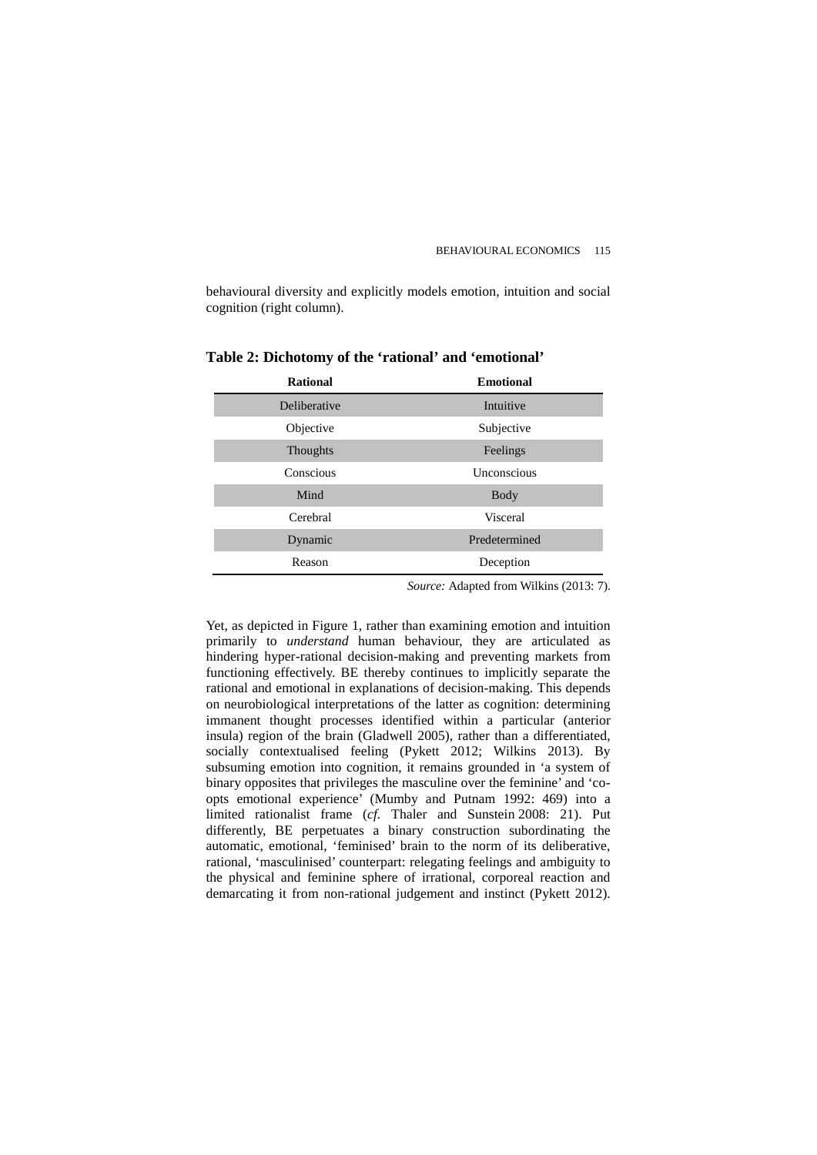behavioural diversity and explicitly models emotion, intuition and social cognition (right column).

| <b>Rational</b> | <b>Emotional</b> |
|-----------------|------------------|
| Deliberative    | Intuitive        |
| Objective       | Subjective       |
| Thoughts        | Feelings         |
| Conscious       | Unconscious      |
| Mind            | <b>Body</b>      |
| Cerebral        | Visceral         |
| Dynamic         | Predetermined    |
| Reason          | Deception        |
|                 |                  |

**Table 2: Dichotomy of the 'rational' and 'emotional'**

*Source:* Adapted from Wilkins (2013: 7).

Yet, as depicted in Figure 1, rather than examining emotion and intuition primarily to *understand* human behaviour, they are articulated as hindering hyper-rational decision-making and preventing markets from functioning effectively. BE thereby continues to implicitly separate the rational and emotional in explanations of decision-making. This depends on neurobiological interpretations of the latter as cognition: determining immanent thought processes identified within a particular (anterior insula) region of the brain [\(Gladwell](http://onlinelibrary.wiley.com.ezproxy1.library.usyd.edu.au/doi/10.1111/j.1467-8330.2011.00897.x/full#b37) 2005), rather than a differentiated, socially contextualised feeling (Pykett 2012; Wilkins 2013). By subsuming emotion into cognition, it remains grounded in 'a system of binary opposites that privileges the masculine over the feminine' and 'coopts emotional experience' [\(Mumby and Putnam](http://onlinelibrary.wiley.com.ezproxy1.library.usyd.edu.au/doi/10.1111/j.1467-8330.2011.00897.x/full#b57) 1992: 469) into a limited rationalist frame (*cf.* Thaler and Sunstein [2008:](http://www.tandfonline.com.ezproxy1.library.usyd.edu.au/doi/full/10.1080/19460171.2013.784622#CIT0059) 21). Put differently, BE perpetuates a binary construction subordinating the automatic, emotional, 'feminised' brain to the norm of its deliberative, rational, 'masculinised' counterpart: relegating feelings and ambiguity to the physical and feminine sphere of irrational, corporeal reaction and demarcating it from non-rational judgement and instinct (Pykett 2012).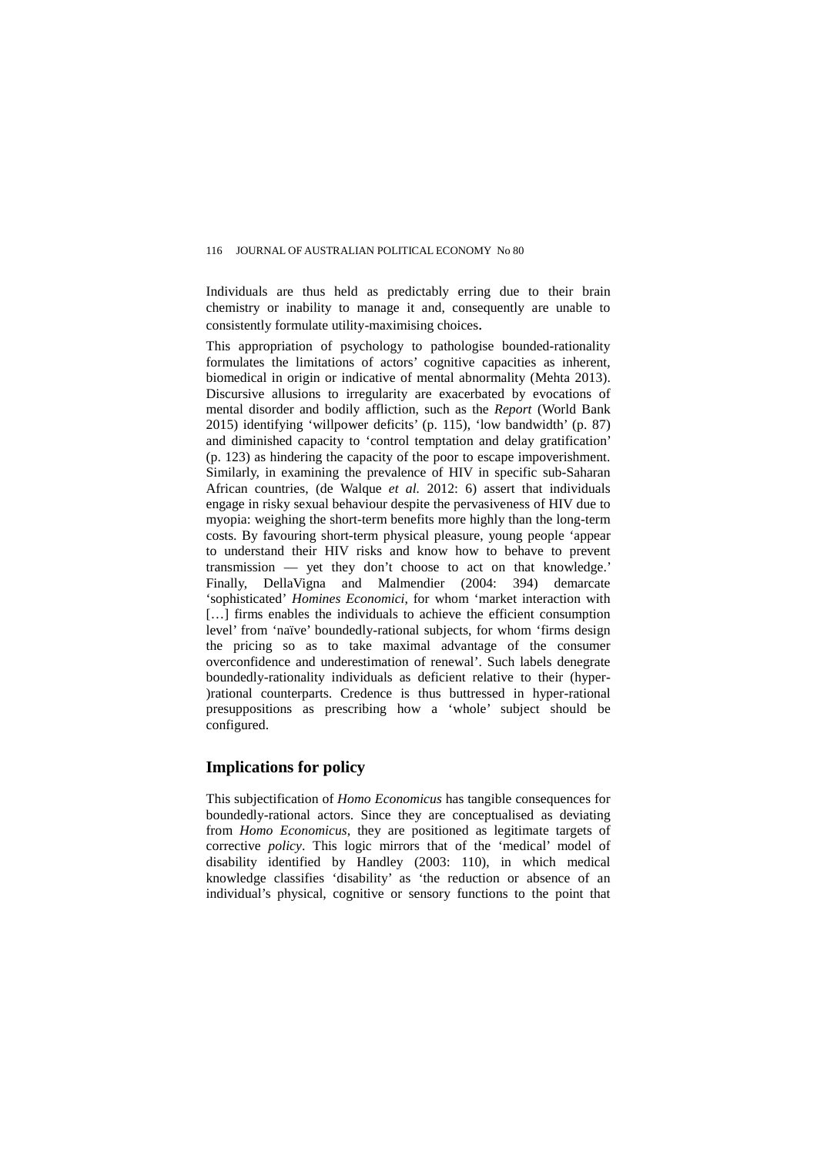Individuals are thus held as predictably erring due to their brain chemistry or inability to manage it and, consequently are unable to consistently formulate utility-maximising choices.

This appropriation of psychology to pathologise bounded-rationality formulates the limitations of actors' cognitive capacities as inherent, biomedical in origin or indicative of mental abnormality (Mehta 2013). Discursive allusions to irregularity are exacerbated by evocations of mental disorder and bodily affliction, such as the *Report* (World Bank 2015) identifying 'willpower deficits' (p. 115), 'low bandwidth' (p. 87) and diminished capacity to 'control temptation and delay gratification' (p. 123) as hindering the capacity of the poor to escape impoverishment. Similarly, in examining the prevalence of HIV in specific sub-Saharan African countries, (de Walque *et al.* 2012: 6) assert that individuals engage in risky sexual behaviour despite the pervasiveness of HIV due to myopia: weighing the short-term benefits more highly than the long-term costs. By favouring short-term physical pleasure, young people 'appear to understand their HIV risks and know how to behave to prevent transmission — yet they don't choose to act on that knowledge.' Finally, [DellaVigna and Malmendier \(2004:](http://cje.oxfordjournals.org.ezproxy1.library.usyd.edu.au/content/37/6/1243.full#ref-25) 394) demarcate 'sophisticated' *Homines Economici*, for whom 'market interaction with [...] firms enables the individuals to achieve the efficient consumption level' from 'naïve' boundedly-rational subjects, for whom 'firms design the pricing so as to take maximal advantage of the consumer overconfidence and underestimation of renewal'. Such labels denegrate boundedly-rationality individuals as deficient relative to their (hyper- )rational counterparts. Credence is thus buttressed in hyper-rational presuppositions as prescribing how a 'whole' subject should be configured.

## **Implications for policy**

This subjectification of *Homo Economicus* has tangible consequences for boundedly-rational actors. Since they are conceptualised as deviating from *Homo Economicus*, they are positioned as legitimate targets of corrective *policy*. This logic mirrors that of the 'medical' model of disability identified by [Handley \(2003: 110\),](http://cje.oxfordjournals.org.ezproxy1.library.usyd.edu.au/content/37/6/1243.full#ref-39) in which medical knowledge classifies 'disability' as 'the reduction or absence of an individual's physical, cognitive or sensory functions to the point that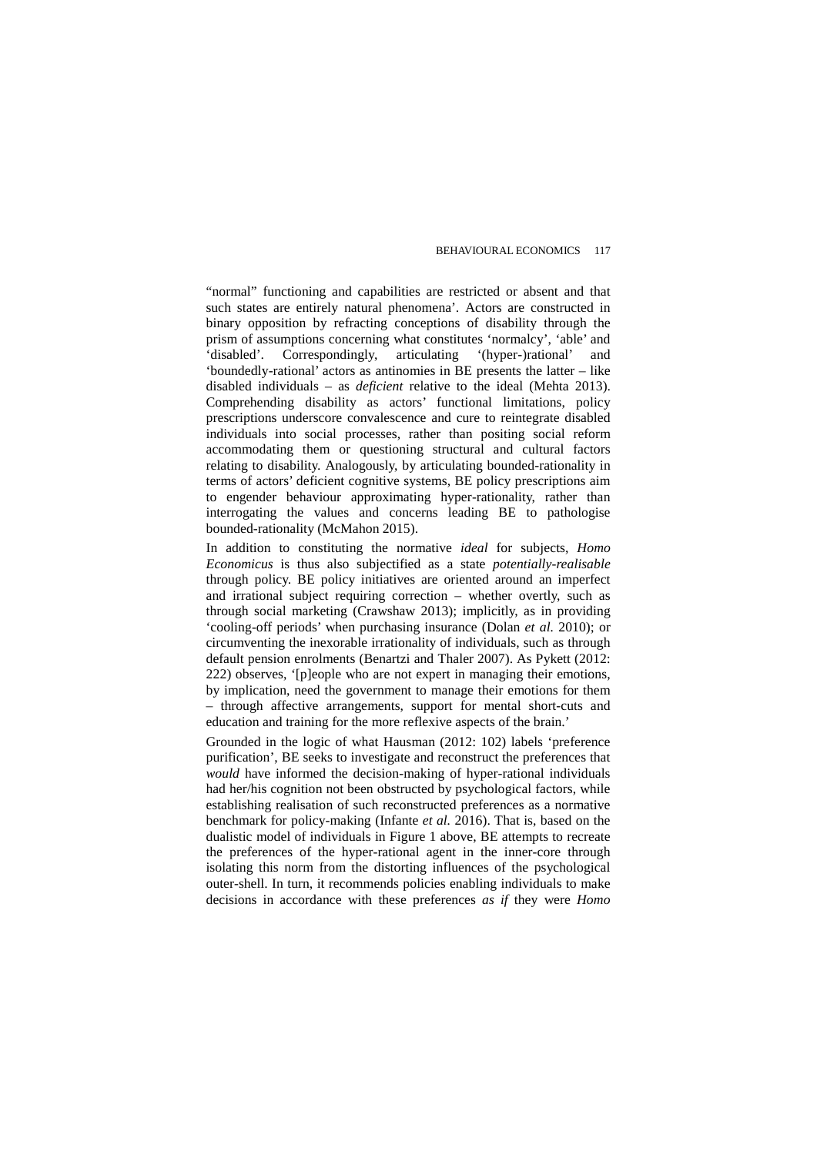"normal" functioning and capabilities are restricted or absent and that such states are entirely natural phenomena'. Actors are constructed in binary opposition by refracting conceptions of disability through the prism of assumptions concerning what constitutes 'normalcy', 'able' and 'disabled'. Correspondingly, articulating '(hyper-)rational' and 'disabled'. Correspondingly, articulating 'boundedly-rational' actors as antinomies in BE presents the latter – like disabled individuals – as *deficient* relative to the ideal (Mehta 2013). Comprehending disability as actors' functional limitations, policy prescriptions underscore convalescence and cure to reintegrate disabled individuals into social processes, rather than positing social reform accommodating them or questioning structural and cultural factors relating to disability. Analogously, by articulating bounded-rationality in terms of actors' deficient cognitive systems, BE policy prescriptions aim to engender behaviour approximating hyper-rationality, rather than interrogating the values and concerns leading BE to pathologise bounded-rationality (McMahon 2015).

In addition to constituting the normative *ideal* for subjects, *Homo Economicus* is thus also subjectified as a state *potentially-realisable*  through policy. BE policy initiatives are oriented around an imperfect and irrational subject requiring correction – whether overtly, such as through social marketing (Crawshaw 2013); implicitly, as in providing 'cooling-off periods' when purchasing insurance [\(Dolan](http://onlinelibrary.wiley.com.ezproxy1.library.usyd.edu.au/doi/10.1111/j.1467-8330.2011.00897.x/full#b28) *et al.* 2010); or circumventing the inexorable irrationality of individuals, such as through default pension enrolments (Benartzi and Thaler 2007). As Pykett [\(2012:](http://www.tandfonline.com.ezproxy1.library.usyd.edu.au/doi/full/10.1080/19460171.2013.784622#CIT0054) 222) observes, '[p]eople who are not expert in managing their emotions, by implication, need the government to manage their emotions for them – through affective arrangements, support for mental short-cuts and education and training for the more reflexive aspects of the brain.'

Grounded in the logic of what Hausman (2012: 102) labels 'preference purification', BE seeks to investigate and reconstruct the preferences that *would* have informed the decision-making of hyper-rational individuals had her/his cognition not been obstructed by psychological factors, while establishing realisation of such reconstructed preferences as a normative benchmark for policy-making (Infante *et al.* 2016). That is, based on the dualistic model of individuals in Figure 1 above, BE attempts to recreate the preferences of the hyper-rational agent in the inner-core through isolating this norm from the distorting influences of the psychological outer-shell. In turn, it recommends policies enabling individuals to make decisions in accordance with these preferences *as if* they were *Homo*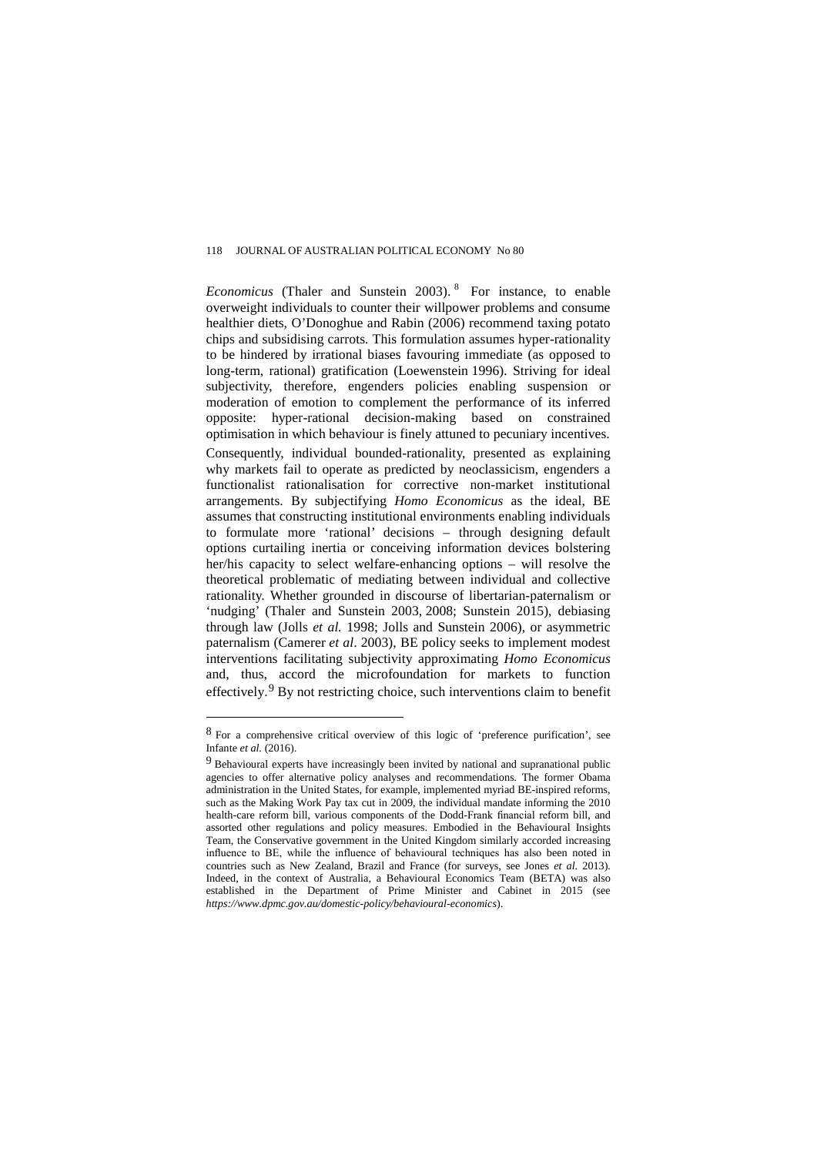*Economicus* (Thaler and Sunstein 2003). [8](#page-30-0) For instance, to enable overweight individuals to counter their willpower problems and consume healthier diets, O'Donoghue and Rabin (2006) recommend taxing potato chips and subsidising carrots. This formulation assumes hyper-rationality to be hindered by irrational biases favouring immediate (as opposed to long-term, rational) gratification (Loewenstein [1996\)](http://www.tandfonline.com.ezproxy1.library.usyd.edu.au/doi/full/10.1080/19460171.2013.784622#CIT0046). Striving for ideal subjectivity, therefore, engenders policies enabling suspension or moderation of emotion to complement the performance of its inferred opposite: hyper-rational decision-making based on constrained optimisation in which behaviour is finely attuned to pecuniary incentives. Consequently, individual bounded-rationality, presented as explaining why markets fail to operate as predicted by neoclassicism, engenders a functionalist rationalisation for corrective non-market institutional arrangements. By subjectifying *Homo Economicus* as the ideal, BE assumes that constructing institutional environments enabling individuals to formulate more 'rational' decisions – through designing default options curtailing inertia or conceiving information devices bolstering her/his capacity to select welfare-enhancing options – will resolve the theoretical problematic of mediating between individual and collective rationality. Whether grounded in discourse of libertarian-paternalism or 'nudging' (Thaler and Sunstein 2003, [2008;](http://cje.oxfordjournals.org.ezproxy1.library.usyd.edu.au/content/37/6/1243.full#ref-69) Sunstein 2015), debiasing through law (Jolls *et al.* 1998; [Jolls and Sunstein](http://cje.oxfordjournals.org.ezproxy1.library.usyd.edu.au/content/37/6/1243.full#ref-41) 2006), or asymmetric paternalism [\(Camerer](http://cje.oxfordjournals.org.ezproxy1.library.usyd.edu.au/content/37/6/1243.full#ref-15) *et al*. 2003), BE policy seeks to implement modest interventions facilitating subjectivity approximating *Homo Economicus* and, thus, accord the microfoundation for markets to function effectively.[9](#page-30-1) By not restricting choice, such interventions claim to benefit

 $\overline{a}$ 

<span id="page-30-0"></span><sup>8</sup> For a comprehensive critical overview of this logic of 'preference purification', see Infante *et al.* (2016).

<span id="page-30-1"></span><sup>9</sup> Behavioural experts have increasingly been invited by national and supranational public agencies to offer alternative policy analyses and recommendations. The former Obama administration in the United States, for example, implemented myriad BE-inspired reforms, such as the Making Work Pay tax cut in 2009, the individual mandate informing the 2010 health-care reform bill, various components of the Dodd-Frank financial reform bill, and assorted other regulations and policy measures. Embodied in the Behavioural Insights Team, the Conservative government in the United Kingdom similarly accorded increasing influence to BE, while the influence of behavioural techniques has also been noted in countries such as New Zealand, Brazil and France (for surveys, see Jones *et al.* 2013). Indeed, in the context of Australia, a Behavioural Economics Team (BETA) was also established in the Department of Prime Minister and Cabinet in 2015 (see *https://www.dpmc.gov.au/domestic-policy/behavioural-economics*).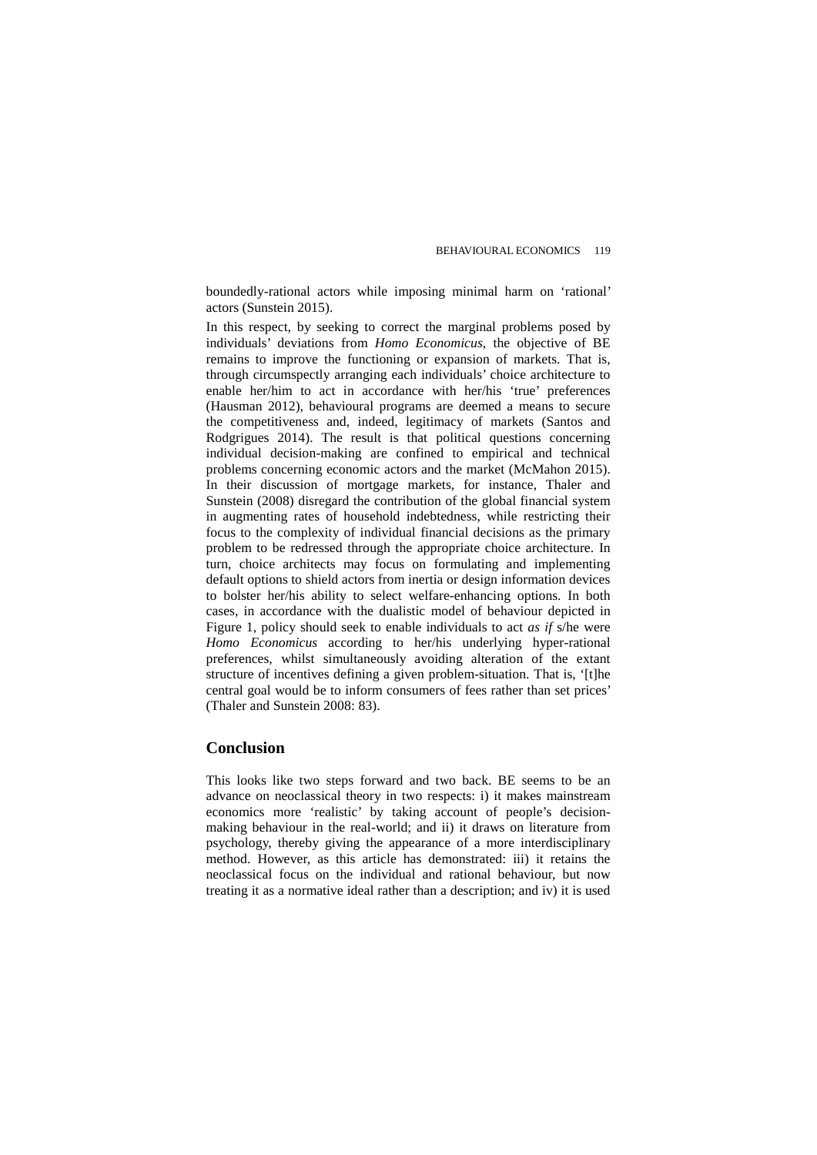boundedly-rational actors while imposing minimal harm on 'rational' actors (Sunstein 2015).

In this respect, by seeking to correct the marginal problems posed by individuals' deviations from *Homo Economicus*, the objective of BE remains to improve the functioning or expansion of markets. That is, through circumspectly arranging each individuals' choice architecture to enable her/him to act in accordance with her/his 'true' preferences (Hausman 2012), behavioural programs are deemed a means to secure the competitiveness and, indeed, legitimacy of markets (Santos and Rodgrigues 2014). The result is that political questions concerning individual decision-making are confined to empirical and technical problems concerning economic actors and the market (McMahon 2015). In their discussion of mortgage markets, for instance, Thaler and Sunstein (2008) disregard the contribution of the global financial system in augmenting rates of household indebtedness, while restricting their focus to the complexity of individual financial decisions as the primary problem to be redressed through the appropriate choice architecture. In turn, choice architects may focus on formulating and implementing default options to shield actors from inertia or design information devices to bolster her/his ability to select welfare-enhancing options. In both cases, in accordance with the dualistic model of behaviour depicted in Figure 1, policy should seek to enable individuals to act *as if* s/he were *Homo Economicus* according to her/his underlying hyper-rational preferences, whilst simultaneously avoiding alteration of the extant structure of incentives defining a given problem-situation. That is, '[t]he central goal would be to inform consumers of fees rather than set prices' (Thaler and Sunstein 2008: 83).

## **Conclusion**

This looks like two steps forward and two back. BE seems to be an advance on neoclassical theory in two respects: i) it makes mainstream economics more 'realistic' by taking account of people's decisionmaking behaviour in the real-world; and ii) it draws on literature from psychology, thereby giving the appearance of a more interdisciplinary method. However, as this article has demonstrated: iii) it retains the neoclassical focus on the individual and rational behaviour, but now treating it as a normative ideal rather than a description; and iv) it is used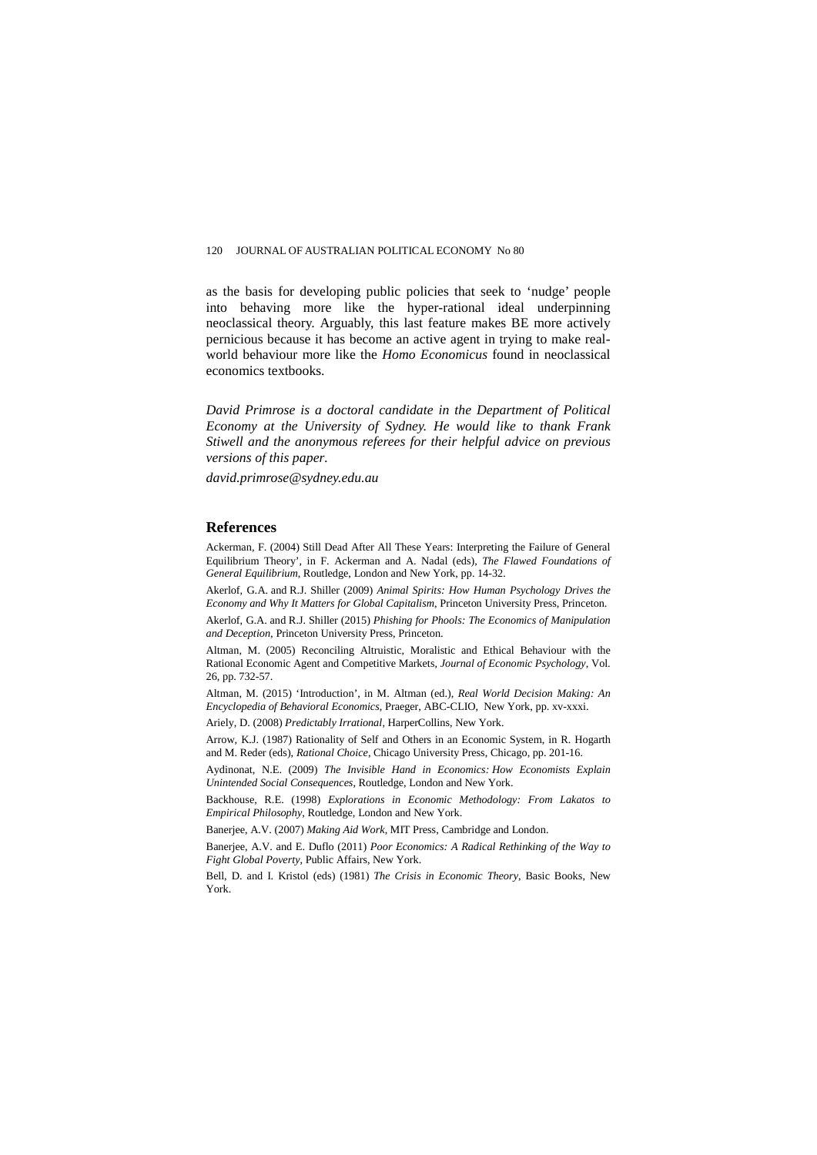as the basis for developing public policies that seek to 'nudge' people into behaving more like the hyper-rational ideal underpinning neoclassical theory. Arguably, this last feature makes BE more actively pernicious because it has become an active agent in trying to make realworld behaviour more like the *Homo Economicus* found in neoclassical economics textbooks.

*David Primrose is a doctoral candidate in the Department of Political Economy at the University of Sydney. He would like to thank Frank Stiwell and the anonymous referees for their helpful advice on previous versions of this paper.* 

*david.primrose@sydney.edu.au*

#### **References**

Ackerman, F. (2004) Still Dead After All These Years: Interpreting the Failure of General Equilibrium Theory', in F. Ackerman and A. Nadal (eds), *The Flawed Foundations of General Equilibrium*, Routledge, London and New York, pp. 14-32.

Akerlof, G.A. and R.J. Shiller (2009) *Animal Spirits: How Human Psychology Drives the Economy and Why It Matters for Global Capitalism*, Princeton University Press, Princeton.

Akerlof, G.A. and R.J. Shiller (2015) *Phishing for Phools: The Economics of Manipulation and Deception*, Princeton University Press, Princeton.

Altman, M. (2005) Reconciling Altruistic, Moralistic and Ethical Behaviour with the Rational Economic Agent and Competitive Markets, *Journal of Economic Psychology*, Vol. 26, pp. 732-57.

Altman, M. (2015) 'Introduction', in M. Altman (ed.), *Real World Decision Making: An Encyclopedia of Behavioral Economics*, Praeger, ABC-CLIO, New York, pp. xv-xxxi.

Ariely, D. (2008) *Predictably Irrational*, HarperCollins, New York.

Arrow, K.J. (1987) Rationality of Self and Others in an Economic System, in R. Hogarth and M. Reder (eds), *Rational Choice*, Chicago University Press, Chicago, pp. 201-16.

Aydinonat, N.E. (2009) *The Invisible Hand in Economics: How Economists Explain Unintended Social Consequences*, Routledge, London and New York.

Backhouse, R.E. (1998) *Explorations in Economic Methodology: From Lakatos to Empirical Philosophy*, Routledge, London and New York.

Banerjee, A.V. (2007) *Making Aid Work*, MIT Press, Cambridge and London.

Banerjee, A.V. and E. Duflo (2011) *Poor Economics: A Radical Rethinking of the Way to Fight Global Poverty*, Public Affairs, New York.

Bell, D. and I. Kristol (eds) (1981) *The Crisis in Economic Theory*, Basic Books, New York.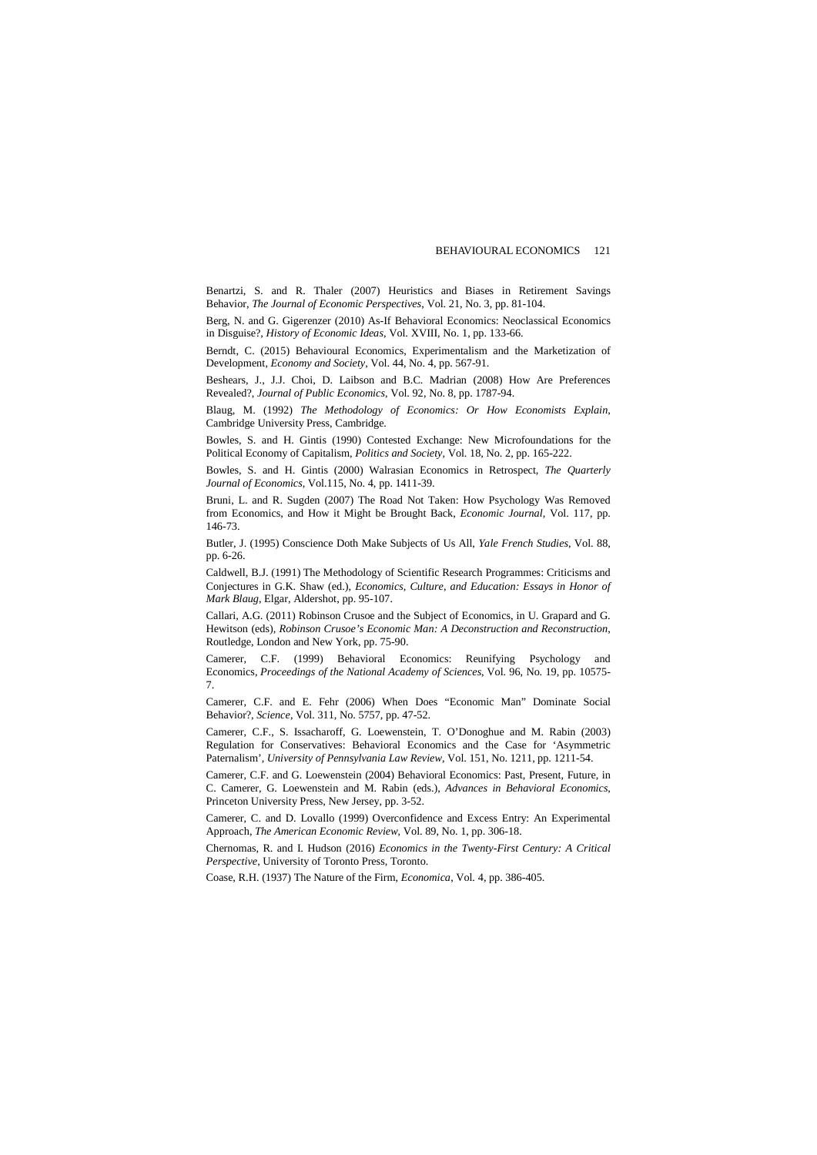Benartzi, S. and R. Thaler (2007) Heuristics and Biases in Retirement Savings Behavior, *The Journal of Economic Perspectives*, Vol. 21, No. 3, pp. 81-104.

Berg, N. and G. Gigerenzer (2010) As-If Behavioral Economics: Neoclassical Economics in Disguise?, *History of Economic Ideas*, Vol. XVIII, No. 1, pp. 133-66.

Berndt, C. (2015) Behavioural Economics, Experimentalism and the Marketization of Development, *Economy and Society*[, Vol. 44,](http://www.tandfonline.com.ezproxy1.library.usyd.edu.au/loi/reso20?open=44#vol_44) [No. 4,](http://www.tandfonline.com.ezproxy1.library.usyd.edu.au/toc/reso20/44/4) pp. 567-91.

Beshears, J., J.J. Choi, D. Laibson and B.C. Madrian (2008) How Are Preferences Revealed?, *Journal of Public Economics*, Vol. 92, No. 8, pp. 1787-94.

Blaug, M. (1992) *The Methodology of Economics: Or How Economists Explain*, Cambridge University Press, Cambridge.

Bowles, S. and H. Gintis (1990) Contested Exchange: New Microfoundations for the Political Economy of Capitalism, *Politics and Society*, Vol. 18, No. 2, pp. 165-222.

Bowles, S. and H. Gintis (2000) Walrasian Economics in Retrospect, *The Quarterly Journal of Economics*, Vol.115, No. 4, pp. 1411-39.

Bruni, L. and R. Sugden (2007) The Road Not Taken: How Psychology Was Removed from Economics, and How it Might be Brought Back, *Economic Journal*, Vol. 117, pp. 146-73.

Butler, J. (1995) Conscience Doth Make Subjects of Us All, *Yale French Studies*, Vol. 88, pp. 6-26.

Caldwell, B.J. (1991[\) The Methodology of Scientific Research Programmes: Criticisms and](http://public.econ.duke.edu/~bjc18/docs/MSRP%20in%20Economics.pdf)  [Conjectures](http://public.econ.duke.edu/~bjc18/docs/MSRP%20in%20Economics.pdf) in G.K. Shaw (ed.), *Economics, Culture, and Education: Essays in Honor of Mark Blaug*, Elgar, Aldershot, pp. 95-107.

Callari, A.G. (2011) Robinson Crusoe and the Subject of Economics, in U. Grapard and G. Hewitson (eds), *Robinson Crusoe's Economic Man: A Deconstruction and Reconstruction*, Routledge, London and New York, pp. 75-90.

Camerer, C.F. (1999) Behavioral Economics: Reunifying Psychology and Economics, *Proceedings of the National Academy of Sciences*, Vol. 96, No. 19, pp. 10575- 7.

Camerer, C.F. and E. Fehr (2006) When Does "Economic Man" Dominate Social Behavior?, *Science*, Vol. 311, No. 5757, pp. 47-52.

Camerer, C.F., S. Issacharoff, G. Loewenstein, T. O'Donoghue and M. Rabin (2003) Regulation for Conservatives: Behavioral Economics and the Case for 'Asymmetric Paternalism', *University of Pennsylvania Law Review*, Vol. 151, No. 1211, pp. 1211-54.

Camerer, C.F. and G. Loewenstein (2004) Behavioral Economics: Past, Present, Future, in C. Camerer, G. Loewenstein and M. Rabin (eds.), *Advances in Behavioral Economics*, Princeton University Press, New Jersey, pp. 3-52.

Camerer, C. and D. Lovallo (1999) Overconfidence and Excess Entry: An Experimental Approach, *The American Economic Review*, Vol. 89, No. 1, pp. 306-18.

Chernomas, R. and I. Hudson (2016) *Economics in the Twenty-First Century: A Critical Perspective*, University of Toronto Press, Toronto.

Coase, R.H. (1937) The Nature of the Firm, *Economica*, Vol. 4, pp. 386-405.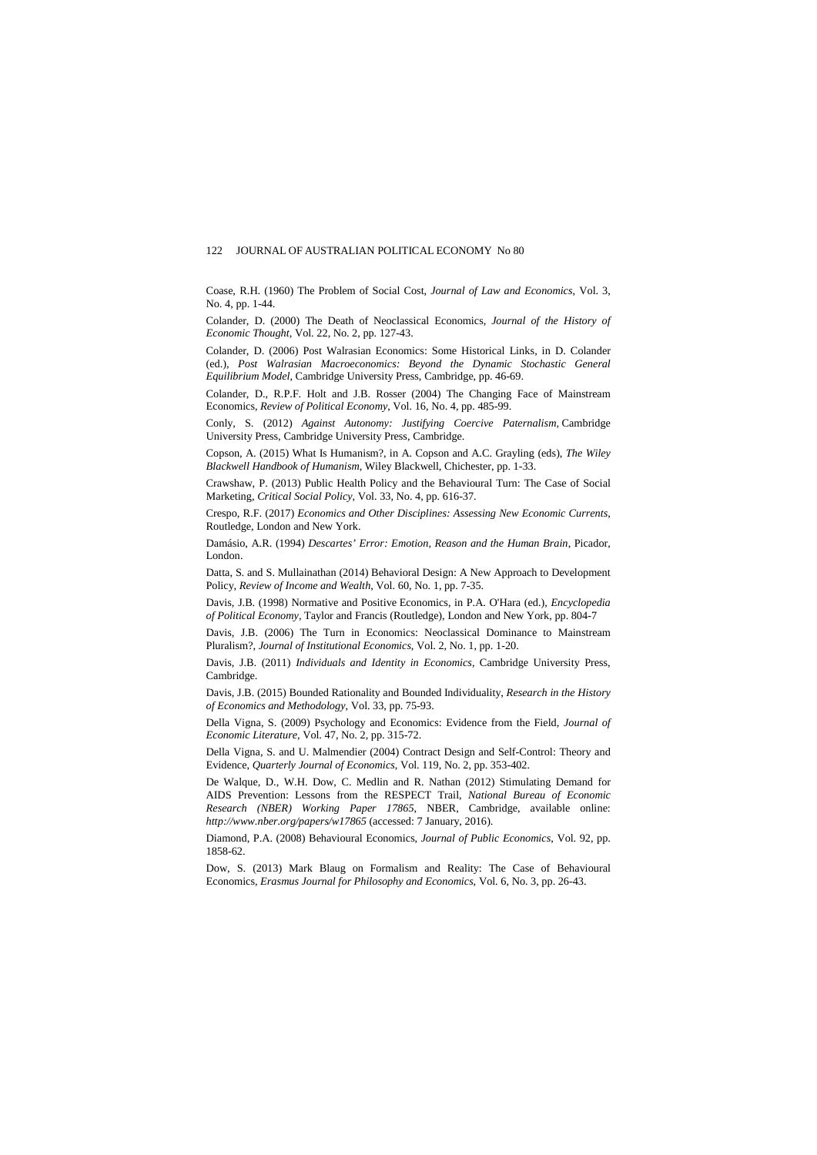Coase, R.H. (1960) The Problem of Social Cost, *Journal of Law and Economics*, Vol. 3, No. 4, pp. 1-44.

Colander, D. (2000) The Death of Neoclassical Economics, *Journal of the History of Economic Thought*, Vol. 22, No. 2, pp. 127-43.

Colander, D. (2006) Post Walrasian Economics: Some Historical Links, in D. Colander (ed.), *Post Walrasian Macroeconomics: Beyond the Dynamic Stochastic General Equilibrium Model*, Cambridge University Press, Cambridge, pp. 46-69.

Colander, D., R.P.F. Holt and J.B. Rosser (2004) The Changing Face of Mainstream Economics, *Review of Political Economy*, Vol. 16, No. 4, pp. 485-99.

Conly, S. (2012) *Against Autonomy: Justifying Coercive Paternalism,* Cambridge University Press, Cambridge University Press, Cambridge.

Copson, A. (2015) What Is Humanism?, in A. Copson and A.C. Grayling (eds), *The Wiley Blackwell Handbook of Humanism*, Wiley Blackwell, Chichester, pp. 1-33.

Crawshaw, P. (2013) Public Health Policy and the Behavioural Turn: The Case of Social Marketing, *Critical Social Policy*, Vol. 33, No. 4, pp. 616-37.

Crespo, R.F. (2017) *Economics and Other Disciplines: Assessing New Economic Currents*, Routledge, London and New York.

Damásio, A.R. (1994) *Descartes' Error: Emotion, Reason and the Human Brain*, Picador, London.

Datta, S. and S. Mullainathan (2014) Behavioral Design: A New Approach to Development Policy, *Review of Income and Wealth*, Vol. 60, No. 1, pp. 7-35.

Davis, J.B. (1998) Normative and Positive Economics, in P.A. O'Hara (ed.), *Encyclopedia of Political Economy*, Taylor and Francis (Routledge), London and New York, pp. 804-7

Davis, J.B. (2006) The Turn in Economics: Neoclassical Dominance to Mainstream Pluralism?, *Journal of Institutional Economics*, Vol. 2, No. 1, pp. 1-20.

Davis, J.B. (2011) *Individuals and Identity in Economics*, Cambridge University Press, Cambridge.

Davis, J.B. (2015) Bounded Rationality and Bounded Individuality, *Research in the History of Economics and Methodology*, Vol. 33, pp. 75-93.

Della Vigna, S. (2009) Psychology and Economics: Evidence from the Field, *Journal of Economic Literature*, Vol. 47, No. 2, pp. 315-72.

Della Vigna, S. and U. Malmendier (2004) Contract Design and Self-Control: Theory and Evidence, *Quarterly Journal of Economics*, Vol. 119, No. 2, pp. 353-402.

De Walque, D., W.H. Dow, C. Medlin and R. Nathan (2012) Stimulating Demand for AIDS Prevention: Lessons from the RESPECT Trail, *National Bureau of Economic Research (NBER) Working Paper 17865*, NBER, Cambridge, available online: *http://www.nber.org/papers/w17865* (accessed: 7 January, 2016).

Diamond, P.A. (2008) Behavioural Economics, *Journal of Public Economics*, Vol. 92, pp. 1858-62.

Dow, S. (2013) Mark Blaug on Formalism and Reality: The Case of Behavioural Economics, *Erasmus Journal for Philosophy and Economics*, Vol. 6, No. 3, pp. 26-43.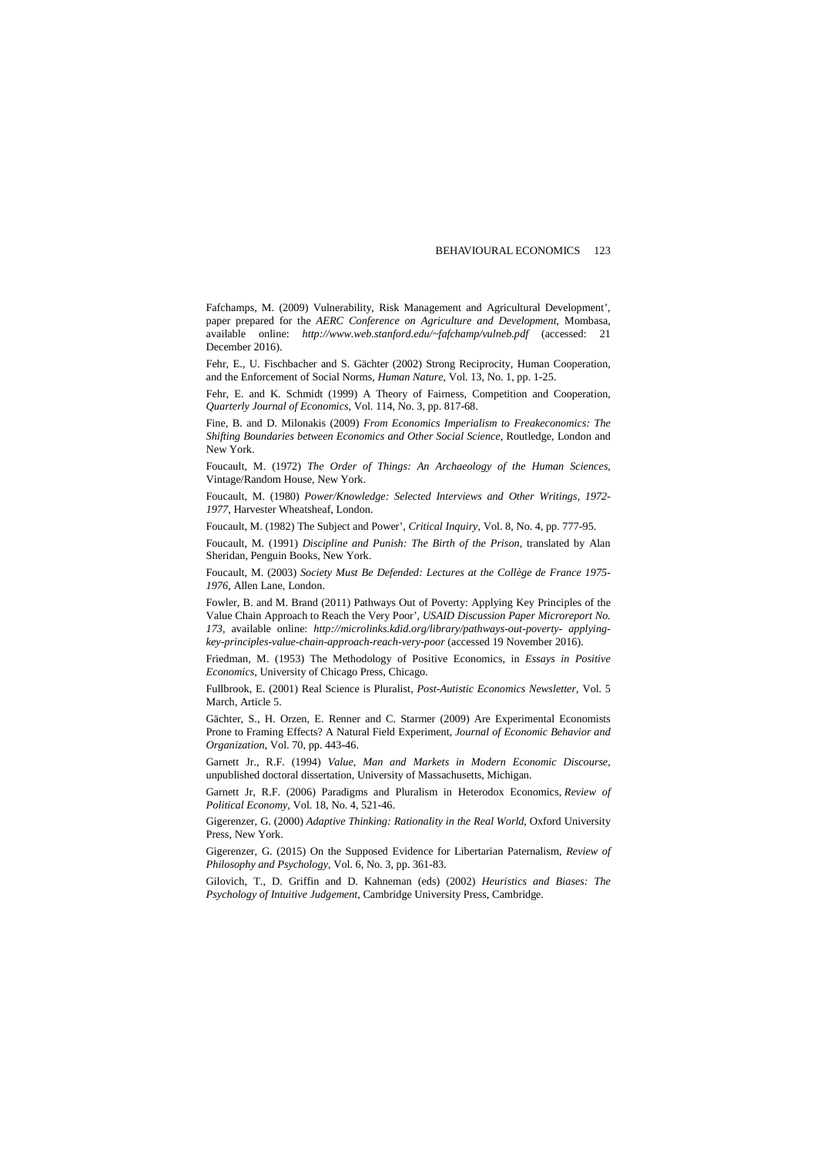Fafchamps, M. (2009) Vulnerability, Risk Management and Agricultural Development', paper prepared for the *AERC Conference on Agriculture and Development*, Mombasa, available online: *http://ww[w.web.stanford.edu/~fafchamp/vulneb.pdf](http://web.stanford.edu/%26%23x007E%3Bfafchamp/vulneb.pdf)* (accessed: 21 December 2016).

Fehr, E., U. Fischbacher and S. Gächter (2002) Strong Reciprocity, Human Cooperation, and the Enforcement of Social Norms, *Human Nature*, Vol. 13, No. 1, pp. 1-25.

Fehr, E. and K. Schmidt (1999) A Theory of Fairness, Competition and Cooperation, *Quarterly Journal of Economics*, Vol. 114, No. 3, pp. 817-68.

Fine, B. and D. Milonakis (2009) *From Economics Imperialism to Freakeconomics: The Shifting Boundaries between Economics and Other Social Science*, Routledge, London and New York.

Foucault, M. (1972) *The Order of Things: An Archaeology of the Human Sciences*, Vintage/Random House, New York.

Foucault, M. (1980) *Power/Knowledge: Selected Interviews and Other Writings, 1972- 1977*, Harvester Wheatsheaf, London.

Foucault, M. (1982) The Subject and Power', *Critical Inquiry*, Vol. 8, No. 4, pp. 777-95.

Foucault, M. (1991) *Discipline and Punish: The Birth of the Prison*, translated by Alan Sheridan, Penguin Books, New York.

Foucault, M. (2003) *Society Must Be Defended: Lectures at the Collège de France 1975- 1976*, Allen Lane, London.

Fowler, B. and M. Brand (2011) Pathways Out of Poverty: Applying Key Principles of the Value Chain Approach to Reach the Very Poor', *USAID Discussion Paper Microreport No. 173*, available online: *http://microlinks.kdid[.org/library/pathways-out-poverty- applying](http://microlinks.kdid.org/library/pathways-out-poverty-applying-key-principles-value-chain-approach-reach-very-poor)[key-principles-value-chain-approach-reach-very-poor](http://microlinks.kdid.org/library/pathways-out-poverty-applying-key-principles-value-chain-approach-reach-very-poor)* (accessed 19 November 2016).

Friedman, M. (1953) The Methodology of Positive Economics, in *Essays in Positive Economics*, University of Chicago Press, Chicago.

Fullbrook, E. (2001) Real Science is Pluralist, *Post-Autistic Economics Newsletter*, Vol. 5 March, Article 5.

Gächter, S., H. Orzen, E. Renner and C. Starmer (2009) Are Experimental Economists Prone to Framing Effects? A Natural Field Experiment, *Journal of Economic Behavior and Organization*, Vol. 70, pp. 443-46.

Garnett Jr., R.F. (1994) *Value, Man and Markets in Modern Economic Discourse*, unpublished doctoral dissertation, University of Massachusetts, Michigan.

Garnett Jr, R.F. (2006) Paradigms and Pluralism in Heterodox Economics, *Review of Political Economy*, Vol. 18, No. 4, 521-46.

Gigerenzer, G. (2000) *[Adaptive Thinking: Rationality in the Real World](https://books.google.com.au/books?id=4ObhBwAAQBAJ&pg=PA377&lpg=PA377&dq=G+Gigerenzer,+J+Czerlinski,+L+Martignon+-+Decision+Science+and&source=bl&ots=P_EfOsxE9O&sig=3CEa84FrGc50U_bESSxx0DFd9fc&hl=en&sa=X&ved=0ahUKEwj16qTnm6jPAhWFjpQKHb-JA5gQ6AEIOjAG)*, Oxford University Press, New York.

Gigerenzer, G. (2015) On the Supposed Evidence for Libertarian Paternalism, *Review of Philosophy and Psychology*, Vol. 6, No. 3, pp. 361-83.

Gilovich, T., D. Griffin and D. Kahneman (eds) (2002) *Heuristics and Biases: The Psychology of Intuitive Judgement*, Cambridge University Press, Cambridge.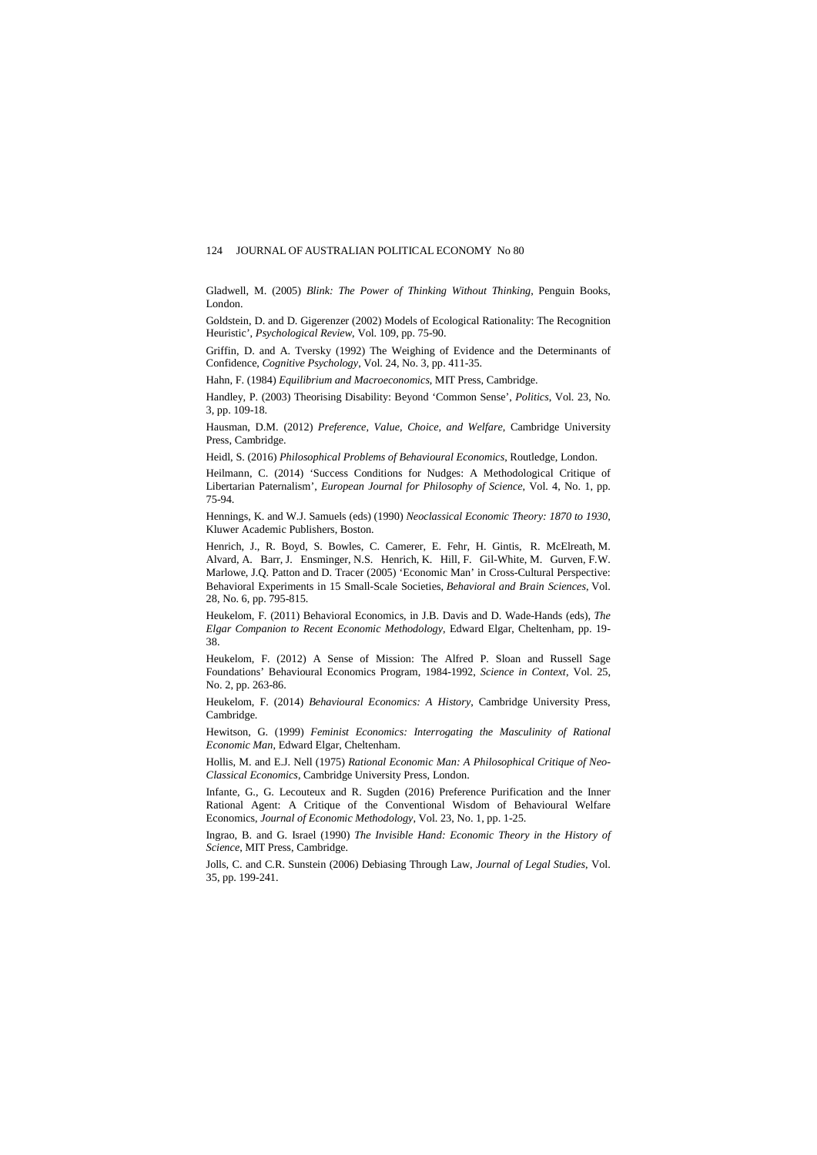Gladwell, M. (2005) *Blink: The Power of Thinking Without Thinking*, Penguin Books, London.

Goldstein, D. and D. Gigerenzer (2002) Models of Ecological Rationality: The Recognition Heuristic', *Psychological Review*, Vol. 109, pp. 75-90.

Griffin, D. and A. Tversky (1992) The Weighing of Evidence and the Determinants of Confidence, *Cognitive Psychology*, Vol. 24, No. 3, pp. 411-35.

Hahn, F. (1984) *Equilibrium and Macroeconomics*, MIT Press, Cambridge.

Handley, P. (2003) Theorising Disability: Beyond 'Common Sense', *Politics*, Vol. 23, No. 3, pp. 109-18.

Hausman, D.M. (2012) *Preference, Value, Choice, and Welfare*, Cambridge University Press, Cambridge.

Heidl, S. (2016) *Philosophical Problems of Behavioural Economics*, Routledge, London.

Heilmann, C. (2014) 'Success Conditions for Nudges: A Methodological Critique of Libertarian Paternalism', *European Journal for Philosophy of Science*, Vol. 4, No. 1, pp. 75-94.

Hennings, K. and W.J. Samuels (eds) (1990) *Neoclassical Economic Theory: 1870 to 1930*, Kluwer Academic Publishers, Boston.

Henrich, J., R. Boyd, S. Bowles, C. Camerer, E. Fehr, H. Gintis, [R. McElreath,](https://www.cambridge.org/core/search?filters%5BauthorTerms%5D=Richard%20McElreath&eventCode=SE-AU) [M.](https://www.cambridge.org/core/search?filters%5BauthorTerms%5D=Michael%20Alvard&eventCode=SE-AU)  [Alvard,](https://www.cambridge.org/core/search?filters%5BauthorTerms%5D=Michael%20Alvard&eventCode=SE-AU) [A. Barr,](https://www.cambridge.org/core/search?filters%5BauthorTerms%5D=Abigail%20Barr&eventCode=SE-AU) [J. Ensminger,](https://www.cambridge.org/core/search?filters%5BauthorTerms%5D=Jean%20Ensminger&eventCode=SE-AU) [N.S. Henrich,](https://www.cambridge.org/core/search?filters%5BauthorTerms%5D=Natalie%20Smith%20Henrich&eventCode=SE-AU) [K. Hill,](https://www.cambridge.org/core/search?filters%5BauthorTerms%5D=Kim%20Hill&eventCode=SE-AU) [F. Gil-White,](https://www.cambridge.org/core/search?filters%5BauthorTerms%5D=Francisco%20Gil-White&eventCode=SE-AU) [M. Gurven,](https://www.cambridge.org/core/search?filters%5BauthorTerms%5D=Michael%20Gurven&eventCode=SE-AU) [F.W.](https://www.cambridge.org/core/search?filters%5BauthorTerms%5D=Frank%20W.%20Marlowe&eventCode=SE-AU)  [Marlowe,](https://www.cambridge.org/core/search?filters%5BauthorTerms%5D=Frank%20W.%20Marlowe&eventCode=SE-AU) [J.Q. Patton](https://www.cambridge.org/core/search?filters%5BauthorTerms%5D=John%20Q.%20Patton&eventCode=SE-AU) and [D. Tracer](https://www.cambridge.org/core/search?filters%5BauthorTerms%5D=David%20Tracer&eventCode=SE-AU) (2005) 'Economic Man' in Cross-Cultural Perspective: Behavioral Experiments in 15 Small-Scale Societies, *Behavioral and Brain Sciences*, Vol. 28, No. 6, pp. 795-815.

Heukelom, F. (2011) Behavioral Economics, in J.B. Davis and D. Wade-Hands (eds), *The Elgar Companion to Recent Economic Methodology*, Edward Elgar, Cheltenham, pp. 19- 38.

Heukelom, F. (2012) A Sense of Mission: The Alfred P. Sloan and Russell Sage Foundations' Behavioural Economics Program, 1984-1992, *Science in Context*, Vol. 25, No. 2, pp. 263-86.

Heukelom, F. (2014) *Behavioural Economics: A History*, Cambridge University Press, Cambridge.

Hewitson, G. (1999) *Feminist Economics: Interrogating the Masculinity of Rational Economic Man*, Edward Elgar, Cheltenham.

Hollis, M. and E.J. Nell (1975) *Rational Economic Man: A Philosophical Critique of Neo-Classical Economics*, Cambridge University Press, London.

Infante, G., G. Lecouteux and R. Sugden (2016) Preference Purification and the Inner Rational Agent: A Critique of the Conventional Wisdom of Behavioural Welfare Economics, *Journal of Economic Methodology*, Vol. 23, No. 1, pp. 1-25.

Ingrao, B. and G. Israel (1990) *The Invisible Hand: Economic Theory in the History of Science*, MIT Press, Cambridge.

Jolls, C. and C.R. Sunstein (2006) Debiasing Through Law, *Journal of Legal Studies*, Vol. 35, pp. 199-241.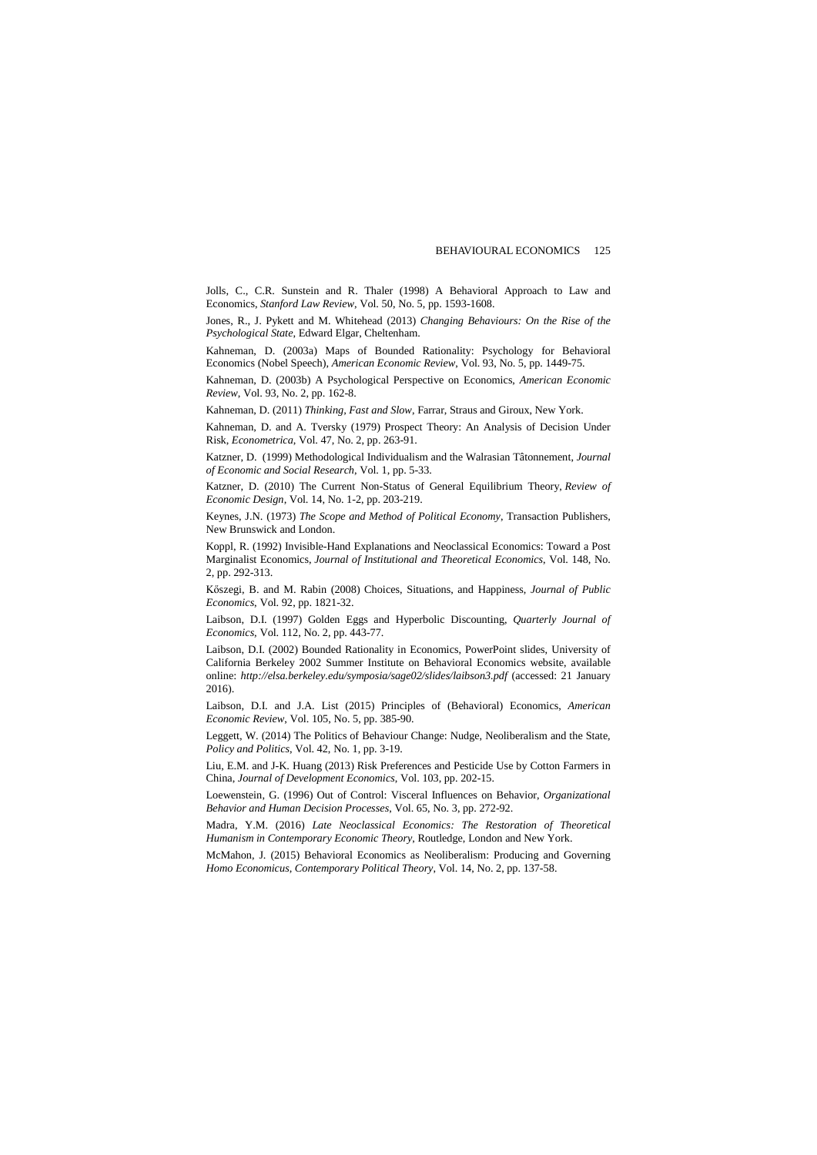Jolls, C., C.R. Sunstein and R. Thaler (1998) A Behavioral Approach to Law and Economics, *Stanford Law Review*, Vol. 50, No. 5, pp. 1593-1608.

Jones, R., J. Pykett and M. Whitehead (2013) *Changing Behaviours: On the Rise of the Psychological State*, Edward Elgar, Cheltenham.

Kahneman, D. (2003a) Maps of Bounded Rationality: Psychology for Behavioral Economics (Nobel Speech), *American Economic Review*, Vol. 93, No. 5, pp. 1449-75.

Kahneman, D. (2003b) A Psychological Perspective on Economics, *American Economic Review*, Vol. 93, No. 2, pp. 162-8.

Kahneman, D. (2011) *Thinking, Fast and Slow*, Farrar, Straus and Giroux, New York.

Kahneman, D. and A. Tversky (1979) Prospect Theory: An Analysis of Decision Under Risk, *Econometrica*, Vol. 47, No. 2, pp. 263-91.

Katzner, D. (1999) Methodological Individualism and the Walrasian Tâtonnement, *Journal of Economic and Social Research*, Vol. 1, pp. 5-33.

Katzner, D. (2010) The Current Non-Status of General Equilibrium Theory, *Review of Economic Design*, Vol. 14, No. 1-2, pp. 203-219.

Keynes, J.N. (1973) *The Scope and Method of Political Economy*, Transaction Publishers, New Brunswick and London.

Koppl, R. (1992) Invisible-Hand Explanations and Neoclassical Economics: Toward a Post Marginalist Economics, *Journal of Institutional and Theoretical Economics*, Vol. 148, No. 2, pp. 292-313.

Kőszegi, B. and M. Rabin (2008) Choices, Situations, and Happiness, *Journal of Public Economics*, Vol. 92, pp. 1821-32.

Laibson, D.I. (1997) Golden Eggs and Hyperbolic Discounting, *Quarterly Journal of Economics,* Vol. 112, No. 2, pp. 443-77.

Laibson, D.I. (2002) Bounded Rationality in Economics, PowerPoint slides, University of California Berkeley 2002 Summer Institute on Behavioral Economics website, available online: *<http://elsa.berkeley.edu/symposia/sage02/slides/laibson3.pdf>* (accessed: 21 January 2016).

Laibson, D.I. and J.A. List (2015) Principles of (Behavioral) Economics, *American Economic Review*, Vol. 105, No. 5, pp. 385-90.

Leggett, W. (2014) The Politics of Behaviour Change: Nudge, Neoliberalism and the State, *Policy and Politics*, Vol. 42, No. 1, pp. 3-19.

Liu, E.M. and J-K. Huang (2013) Risk Preferences and Pesticide Use by Cotton Farmers in China, *Journal of Development Economics*, Vol. 103, pp. 202-15.

Loewenstein, G. (1996) Out of Control: Visceral Influences on Behavior, *Organizational Behavior and Human Decision Processes*, Vol. 65, No. 3, pp. 272-92.

Madra, Y.M. (2016) *Late Neoclassical Economics: The Restoration of Theoretical Humanism in Contemporary Economic Theory*, Routledge, London and New York.

McMahon, J. (2015) Behavioral Economics as Neoliberalism: Producing and Governing *Homo Economicus*, *Contemporary Political Theory*, Vol. 14, No. 2, pp. 137-58.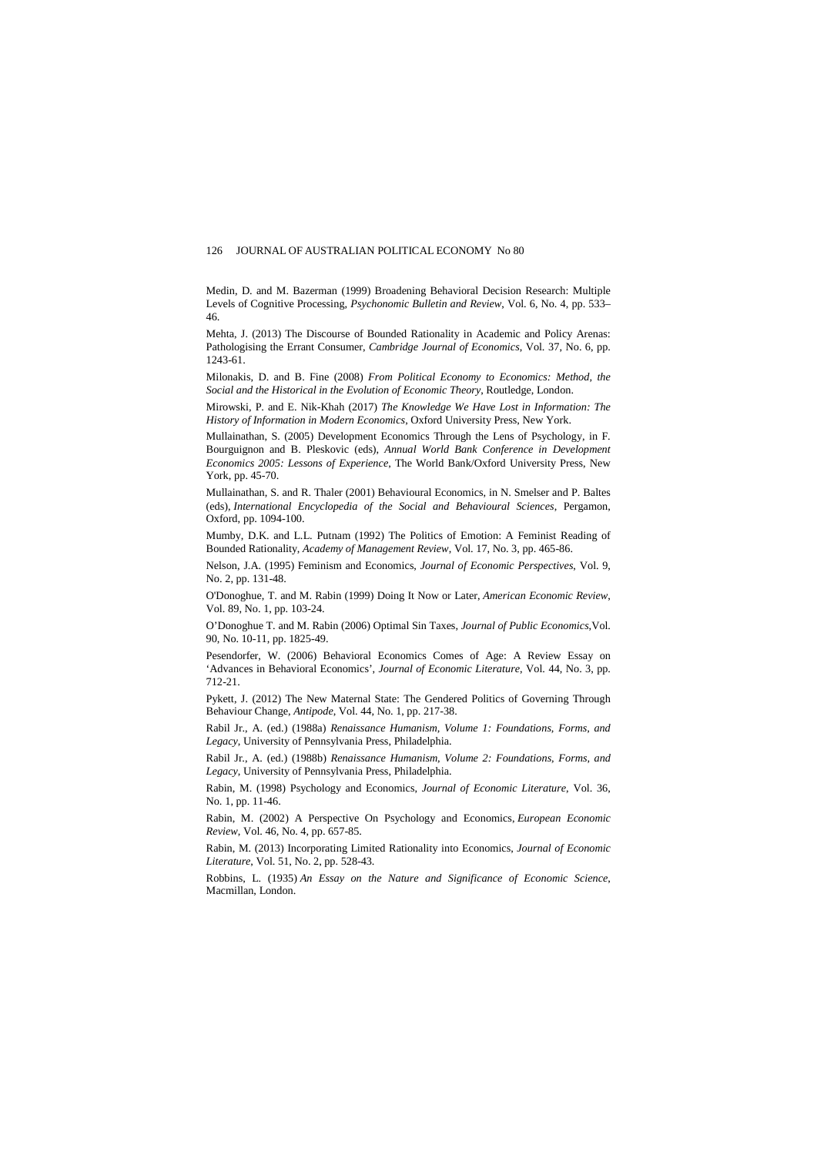Medin, D. and M. Bazerman (1999) Broadening Behavioral Decision Research: Multiple Levels of Cognitive Processing, *Psychonomic Bulletin and Review*, Vol. 6, No. 4, pp. 533– 46.

Mehta, J. (2013) The Discourse of Bounded Rationality in Academic and Policy Arenas: Pathologising the Errant Consumer, *Cambridge Journal of Economics*, Vol. 37, No. 6, pp. 1243-61.

Milonakis, D. and B. Fine (2008) *From Political Economy to Economics: Method, the Social and the Historical in the Evolution of Economic Theory*, Routledge, London.

Mirowski, P. and E. Nik-Khah (2017) *The Knowledge We Have Lost in Information: The History of Information in Modern Economics*, Oxford University Press, New York.

Mullainathan, S. (2005) Development Economics Through the Lens of Psychology, in F. Bourguignon and B. Pleskovic (eds), *Annual World Bank Conference in Development Economics 2005: Lessons of Experience*, The World Bank/Oxford University Press, New York, pp. 45-70.

Mullainathan, S. and R. Thaler (2001) Behavioural Economics, in N. Smelser and P. Baltes (eds), *International Encyclopedia of the Social and Behavioural Sciences*, Pergamon, Oxford, pp. 1094-100.

Mumby, D.K. and L.L. Putnam (1992) The Politics of Emotion: A Feminist Reading of Bounded Rationality, *Academy of Management Review*, Vol. 17, No. 3, pp. 465-86.

Nelson, J.A. (1995) Feminism and Economics, *Journal of Economic Perspectives*, Vol. 9, No. 2, pp. 131-48.

O'Donoghue, T. and M. Rabin (1999) Doing It Now or Later, *American Economic Review*, Vol. 89, No. 1, pp. 103-24.

O'Donoghue T. and M. Rabin (2006) Optimal Sin Taxes, *Journal of Public Economics*,Vol. 90, No. 10-11, pp. 1825-49.

Pesendorfer, W. (2006) Behavioral Economics Comes of Age: A Review Essay on 'Advances in Behavioral Economics', *Journal of Economic Literature*, Vol. 44, No. 3, pp. 712-21.

Pykett, J. (2012) The New Maternal State: The Gendered Politics of Governing Through Behaviour Change, *Antipode*, Vol. 44, No. 1, pp. 217-38.

Rabil Jr., A. (ed.) (1988a) *Renaissance Humanism, Volume 1: Foundations, Forms, and Legacy*, University of Pennsylvania Press, Philadelphia.

Rabil Jr., A. (ed.) (1988b) *Renaissance Humanism, Volume 2: Foundations, Forms, and Legacy*, University of Pennsylvania Press, Philadelphia.

Rabin, M. (1998) Psychology and Economics, *Journal of Economic Literature*, Vol. 36, No. 1, pp. 11-46.

Rabin, M. (2002) A Perspective On Psychology and Economics, *European Economic Review*, Vol. 46, No. 4, pp. 657-85.

Rabin, M. (2013) Incorporating Limited Rationality into Economics, *[Journal of Economic](http://www.ingentaconnect.com/content/aea/jel)  [Literature](http://www.ingentaconnect.com/content/aea/jel)*, Vol. 51, No. 2, pp. 528-43.

Robbins, L. (1935) *An Essay on the Nature and Significance of Economic Science*, Macmillan, London.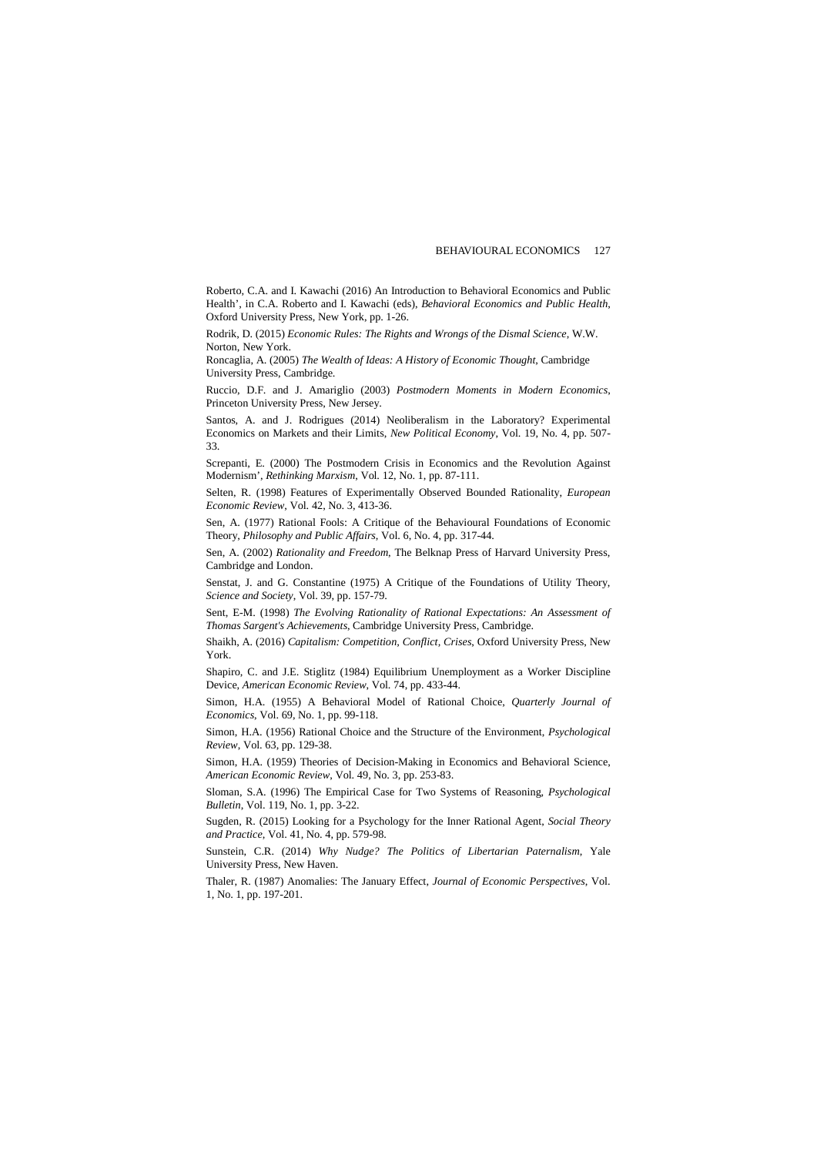Roberto, C.A. and I. Kawachi (2016) An Introduction to Behavioral Economics and Public Health', in C.A. Roberto and I. Kawachi (eds), *Behavioral Economics and Public Health*, Oxford University Press, New York, pp. 1-26.

Rodrik, D. (2015) *Economic Rules: The Rights and Wrongs of the Dismal Science*, W.W. Norton, New Yor[k.](javascript:;)

Roncaglia, A. (2005) *The Wealth of Ideas: A History of Economic Thought*, Cambridge University Press, Cambridge.

Ruccio, D.F. and J. Amariglio (2003) *Postmodern Moments in Modern Economics*, Princeton University Press, New Jersey.

Santos, A. and J. Rodrigues (2014) Neoliberalism in the Laboratory? Experimental Economics on Markets and their Limits, *New Political Economy*, Vol. 19, No. 4, pp. 507- 33.

Screpanti, E. (2000) The Postmodern Crisis in Economics and the Revolution Against Modernism', *Rethinking Marxism*, Vol. 12, No. 1, pp. 87-111.

Selten, R. (1998) Features of Experimentally Observed Bounded Rationality, *European Economic Review*, Vol. 42, No. 3, 413-36.

Sen, A. (1977) Rational Fools: A Critique of the Behavioural Foundations of Economic Theory, *Philosophy and Public Affairs*, Vol. 6, No. 4, pp. 317-44.

Sen, A. (2002) *Rationality and Freedom*, The Belknap Press of Harvard University Press, Cambridge and London.

Senstat, J. and G. Constantine (1975) A Critique of the Foundations of Utility Theory, *Science and Society*, Vol. 39, pp. 157-79.

Sent, E-M. (1998) *The Evolving Rationality of Rational Expectations: An Assessment of Thomas Sargent's Achievements*, Cambridge University Press, Cambridge.

Shaikh, A. (2016) *Capitalism: Competition, Conflict, Crises*, Oxford University Press, New York.

Shapiro, C. and J.E. Stiglitz (1984) Equilibrium Unemployment as a Worker Discipline Device, *American Economic Review*, Vol. 74, pp. 433-44.

Simon, H.A. (1955) A Behavioral Model of Rational Choice, *Quarterly Journal of Economics*, Vol. 69, No. 1, pp. 99-118.

Simon, H.A. (1956) Rational Choice and the Structure of the Environment, *Psychological Review*, Vol. 63, pp. 129-38.

Simon, H.A. (1959) Theories of Decision-Making in Economics and Behavioral Science, *American Economic Review*, Vol. 49, No. 3, pp. 253-83.

Sloman, S.A. (1996) The Empirical Case for Two Systems of Reasoning, *Psychological Bulletin*, Vol. 119, No. 1, pp. 3-22.

Sugden, R. (2015) Looking for a Psychology for the Inner Rational Agent, *Social Theory and Practice*, Vol. 41, No. 4, pp. 579-98.

Sunstein, C.R. (2014) *Why Nudge? The Politics of Libertarian Paternalism*, Yale University Press, New Haven.

Thaler, R. (1987) Anomalies: The January Effect, *Journal of Economic Perspectives*, Vol. 1, No. 1, pp. 197-201.